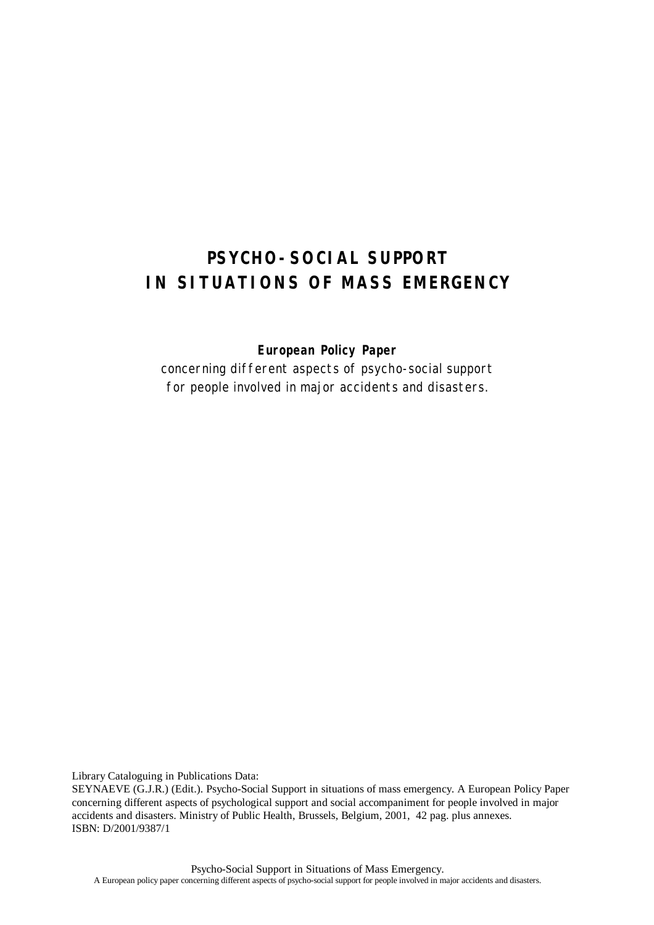# **PSYCHO-SOCIAL SUPPORT IN SITUATIONS OF MASS EMERGENCY**

*European Policy Paper*

*concerning different aspects of psycho-social support for people involved in major accidents and disasters.*

Library Cataloguing in Publications Data:

SEYNAEVE (G.J.R.) (Edit.). Psycho-Social Support in situations of mass emergency. A European Policy Paper concerning different aspects of psychological support and social accompaniment for people involved in major accidents and disasters. Ministry of Public Health, Brussels, Belgium, 2001, 42 pag. plus annexes. ISBN: D/2001/9387/1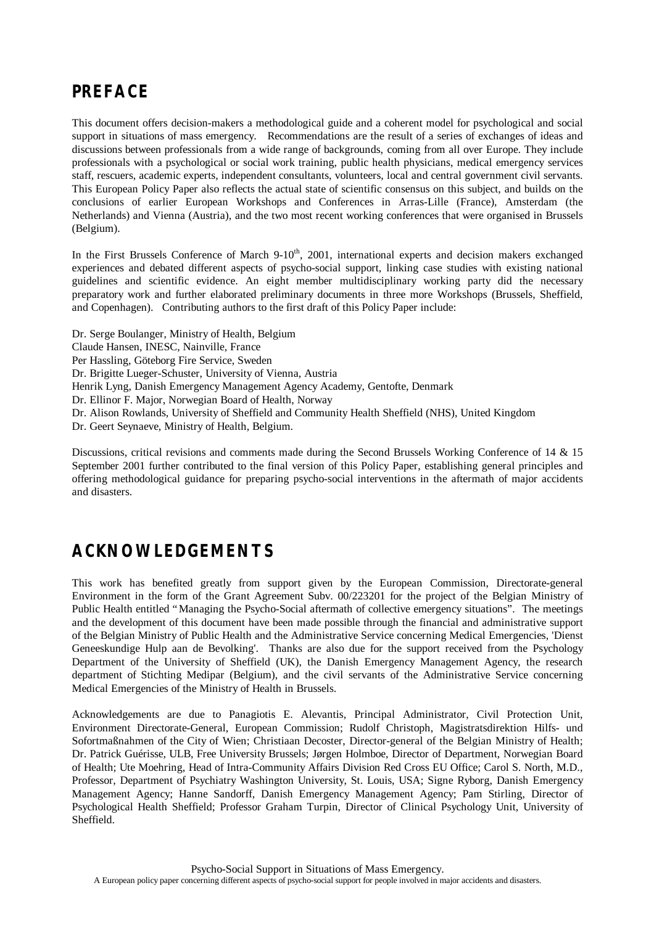# **PREFACE**

This document offers decision-makers a methodological guide and a coherent model for psychological and social support in situations of mass emergency. Recommendations are the result of a series of exchanges of ideas and discussions between professionals from a wide range of backgrounds, coming from all over Europe. They include professionals with a psychological or social work training, public health physicians, medical emergency services staff, rescuers, academic experts, independent consultants, volunteers, local and central government civil servants. This European Policy Paper also reflects the actual state of scientific consensus on this subject, and builds on the conclusions of earlier European Workshops and Conferences in Arras-Lille (France), Amsterdam (the Netherlands) and Vienna (Austria), and the two most recent working conferences that were organised in Brussels (Belgium).

In the First Brussels Conference of March 9-10<sup>th</sup>, 2001, international experts and decision makers exchanged experiences and debated different aspects of psycho-social support, linking case studies with existing national guidelines and scientific evidence. An eight member multidisciplinary working party did the necessary preparatory work and further elaborated preliminary documents in three more Workshops (Brussels, Sheffield, and Copenhagen). Contributing authors to the first draft of this Policy Paper include:

Dr. Serge Boulanger, Ministry of Health, Belgium

Claude Hansen, INESC, Nainville, France

Per Hassling, Göteborg Fire Service, Sweden

Dr. Brigitte Lueger-Schuster, University of Vienna, Austria

Henrik Lyng, Danish Emergency Management Agency Academy, Gentofte, Denmark

Dr. Ellinor F. Major, Norwegian Board of Health, Norway

Dr. Alison Rowlands, University of Sheffield and Community Health Sheffield (NHS), United Kingdom

Dr. Geert Seynaeve, Ministry of Health, Belgium.

Discussions, critical revisions and comments made during the Second Brussels Working Conference of 14 & 15 September 2001 further contributed to the final version of this Policy Paper, establishing general principles and offering methodological guidance for preparing psycho-social interventions in the aftermath of major accidents and disasters.

# **ACKNOWLEDGEMENTS**

This work has benefited greatly from support given by the European Commission, Directorate-general Environment in the form of the Grant Agreement Subv. 00/223201 for the project of the Belgian Ministry of Public Health entitled "Managing the Psycho-Social aftermath of collective emergency situations". The meetings and the development of this document have been made possible through the financial and administrative support of the Belgian Ministry of Public Health and the Administrative Service concerning Medical Emergencies, 'Dienst Geneeskundige Hulp aan de Bevolking'. Thanks are also due for the support received from the Psychology Department of the University of Sheffield (UK), the Danish Emergency Management Agency, the research department of Stichting Medipar (Belgium), and the civil servants of the Administrative Service concerning Medical Emergencies of the Ministry of Health in Brussels.

Acknowledgements are due to Panagiotis E. Alevantis, Principal Administrator, Civil Protection Unit, Environment Directorate-General, European Commission; Rudolf Christoph, Magistratsdirektion Hilfs- und Sofortmaßnahmen of the City of Wien; Christiaan Decoster, Director-general of the Belgian Ministry of Health; Dr. Patrick Guérisse, ULB, Free University Brussels; Jørgen Holmboe, Director of Department, Norwegian Board of Health; Ute Moehring, Head of Intra-Community Affairs Division Red Cross EU Office; Carol S. North, M.D., Professor, Department of Psychiatry Washington University, St. Louis, USA; Signe Ryborg, Danish Emergency Management Agency; Hanne Sandorff, Danish Emergency Management Agency; Pam Stirling, Director of Psychological Health Sheffield; Professor Graham Turpin, Director of Clinical Psychology Unit, University of Sheffield.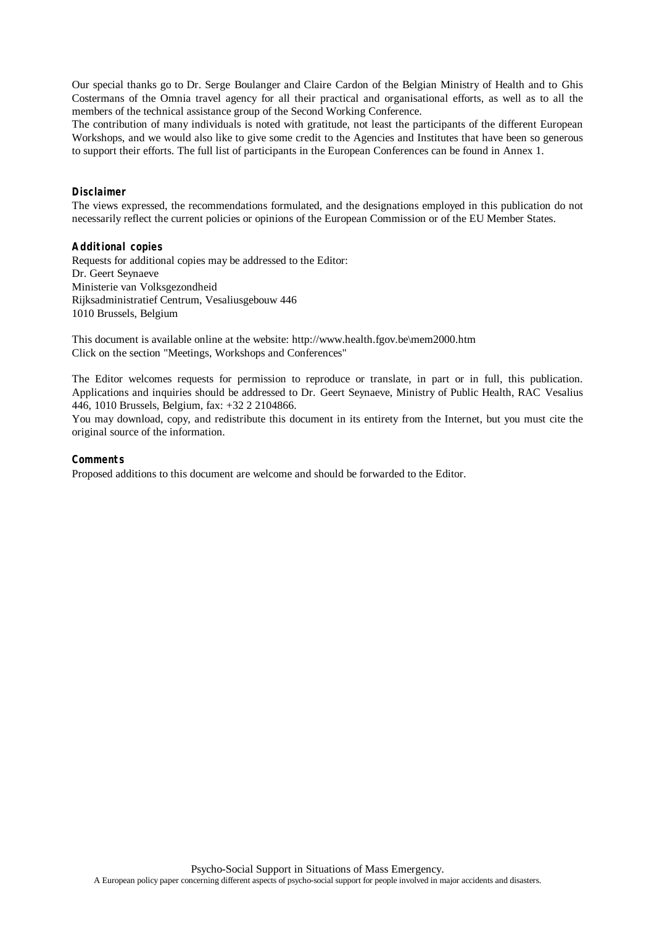Our special thanks go to Dr. Serge Boulanger and Claire Cardon of the Belgian Ministry of Health and to Ghis Costermans of the Omnia travel agency for all their practical and organisational efforts, as well as to all the members of the technical assistance group of the Second Working Conference.

The contribution of many individuals is noted with gratitude, not least the participants of the different European Workshops, and we would also like to give some credit to the Agencies and Institutes that have been so generous to support their efforts. The full list of participants in the European Conferences can be found in Annex 1.

#### **Disclaimer**

The views expressed, the recommendations formulated, and the designations employed in this publication do not necessarily reflect the current policies or opinions of the European Commission or of the EU Member States.

#### **Additional copies**

Requests for additional copies may be addressed to the Editor: Dr. Geert Seynaeve Ministerie van Volksgezondheid Rijksadministratief Centrum, Vesaliusgebouw 446 1010 Brussels, Belgium

This document is available online at the website: http://www.health.fgov.be\mem2000.htm Click on the section "Meetings, Workshops and Conferences"

The Editor welcomes requests for permission to reproduce or translate, in part or in full, this publication. Applications and inquiries should be addressed to Dr. Geert Seynaeve, Ministry of Public Health, RAC Vesalius 446, 1010 Brussels, Belgium, fax: +32 2 2104866.

You may download, copy, and redistribute this document in its entirety from the Internet, but you must cite the original source of the information.

#### **Comments**

Proposed additions to this document are welcome and should be forwarded to the Editor.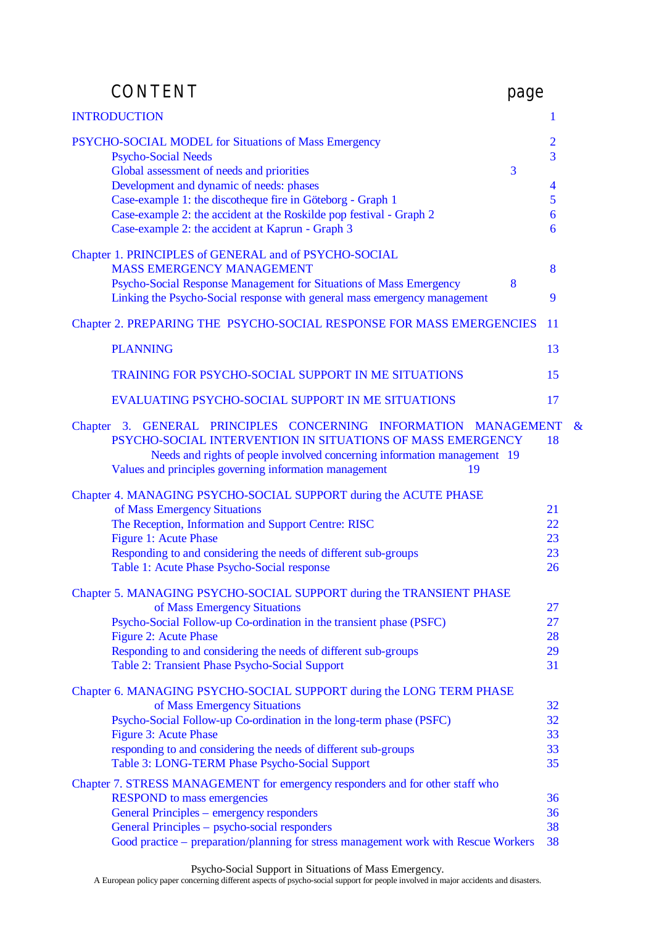| <b>CONTENT</b>                                                                                                                                                                                                                                                                                                                                                       | page |                                                      |   |
|----------------------------------------------------------------------------------------------------------------------------------------------------------------------------------------------------------------------------------------------------------------------------------------------------------------------------------------------------------------------|------|------------------------------------------------------|---|
| <b>INTRODUCTION</b>                                                                                                                                                                                                                                                                                                                                                  |      | 1                                                    |   |
| PSYCHO-SOCIAL MODEL for Situations of Mass Emergency<br><b>Psycho-Social Needs</b><br>Global assessment of needs and priorities<br>Development and dynamic of needs: phases<br>Case-example 1: the discotheque fire in Göteborg - Graph 1<br>Case-example 2: the accident at the Roskilde pop festival - Graph 2<br>Case-example 2: the accident at Kaprun - Graph 3 | 3    | $\overline{2}$<br>$\overline{3}$<br>4<br>5<br>6<br>6 |   |
| Chapter 1. PRINCIPLES of GENERAL and of PSYCHO-SOCIAL<br><b>MASS EMERGENCY MANAGEMENT</b><br>Psycho-Social Response Management for Situations of Mass Emergency<br>Linking the Psycho-Social response with general mass emergency management                                                                                                                         | 8    | 8<br>9                                               |   |
| Chapter 2. PREPARING THE PSYCHO-SOCIAL RESPONSE FOR MASS EMERGENCIES                                                                                                                                                                                                                                                                                                 |      | 11                                                   |   |
| <b>PLANNING</b>                                                                                                                                                                                                                                                                                                                                                      |      | 13                                                   |   |
| <b>TRAINING FOR PSYCHO-SOCIAL SUPPORT IN ME SITUATIONS</b>                                                                                                                                                                                                                                                                                                           |      | 15                                                   |   |
| EVALUATING PSYCHO-SOCIAL SUPPORT IN ME SITUATIONS                                                                                                                                                                                                                                                                                                                    |      | 17                                                   |   |
| Chapter 3. GENERAL PRINCIPLES CONCERNING INFORMATION MANAGEMENT<br>PSYCHO-SOCIAL INTERVENTION IN SITUATIONS OF MASS EMERGENCY<br>Needs and rights of people involved concerning information management 19<br>Values and principles governing information management<br>19                                                                                            |      | 18                                                   | & |
| Chapter 4. MANAGING PSYCHO-SOCIAL SUPPORT during the ACUTE PHASE<br>of Mass Emergency Situations<br>The Reception, Information and Support Centre: RISC<br><b>Figure 1: Acute Phase</b><br>Responding to and considering the needs of different sub-groups<br>Table 1: Acute Phase Psycho-Social response                                                            |      | 21<br>22<br>23<br>23<br>26                           |   |
| Chapter 5. MANAGING PSYCHO-SOCIAL SUPPORT during the TRANSIENT PHASE<br>of Mass Emergency Situations<br>Psycho-Social Follow-up Co-ordination in the transient phase (PSFC)<br><b>Figure 2: Acute Phase</b><br>Responding to and considering the needs of different sub-groups<br>Table 2: Transient Phase Psycho-Social Support                                     |      | 27<br>27<br>28<br>29<br>31                           |   |
| Chapter 6. MANAGING PSYCHO-SOCIAL SUPPORT during the LONG TERM PHASE<br>of Mass Emergency Situations<br>Psycho-Social Follow-up Co-ordination in the long-term phase (PSFC)<br><b>Figure 3: Acute Phase</b><br>responding to and considering the needs of different sub-groups<br>Table 3: LONG-TERM Phase Psycho-Social Support                                     |      | 32<br>32<br>33<br>33<br>35                           |   |
| Chapter 7. STRESS MANAGEMENT for emergency responders and for other staff who<br><b>RESPOND</b> to mass emergencies<br>General Principles – emergency responders<br>General Principles - psycho-social responders<br>Good practice - preparation/planning for stress management work with Rescue Workers                                                             |      | 36<br>36<br>38<br>38                                 |   |

Psycho-Social Support in Situations of Mass Emergency.

A European policy paper concerning different aspects of psycho-social support for people involved in major accidents and disasters.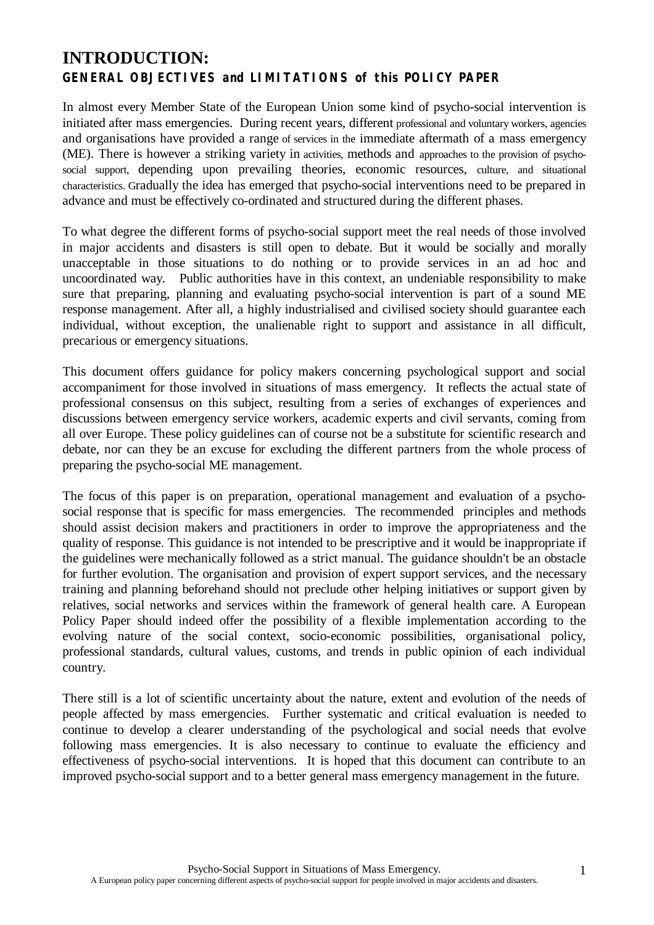# **INTRODUCTION: GENERAL OBJECTIVES and LIMITATIONS of this POLICY PAPER**

In almost every Member State of the European Union some kind of psycho-social intervention is initiated after mass emergencies. During recent years, different professional and voluntary workers, agencies and organisations have provided a range of services in the immediate aftermath of a mass emergency (ME). There is however a striking variety in activities, methods and approaches to the provision of psychosocial support, depending upon prevailing theories, economic resources, culture, and situational characteristics. Gradually the idea has emerged that psycho-social interventions need to be prepared in advance and must be effectively co-ordinated and structured during the different phases.

To what degree the different forms of psycho-social support meet the real needs of those involved in major accidents and disasters is still open to debate. But it would be socially and morally unacceptable in those situations to do nothing or to provide services in an ad hoc and uncoordinated way. Public authorities have in this context, an undeniable responsibility to make sure that preparing, planning and evaluating psycho-social intervention is part of a sound ME response management. After all, a highly industrialised and civilised society should guarantee each individual, without exception, the unalienable right to support and assistance in all difficult, precarious or emergency situations.

This document offers guidance for policy makers concerning psychological support and social accompaniment for those involved in situations of mass emergency. It reflects the actual state of professional consensus on this subject, resulting from a series of exchanges of experiences and discussions between emergency service workers, academic experts and civil servants, coming from all over Europe. These policy guidelines can of course not be a substitute for scientific research and debate, nor can they be an excuse for excluding the different partners from the whole process of preparing the psycho-social ME management.

The focus of this paper is on preparation, operational management and evaluation of a psychosocial response that is specific for mass emergencies. The recommended principles and methods should assist decision makers and practitioners in order to improve the appropriateness and the quality of response. This guidance is not intended to be prescriptive and it would be inappropriate if the guidelines were mechanically followed as a strict manual. The guidance shouldn't be an obstacle for further evolution. The organisation and provision of expert support services, and the necessary training and planning beforehand should not preclude other helping initiatives or support given by relatives, social networks and services within the framework of general health care. A European Policy Paper should indeed offer the possibility of a flexible implementation according to the evolving nature of the social context, socio-economic possibilities, organisational policy, professional standards, cultural values, customs, and trends in public opinion of each individual country.

There still is a lot of scientific uncertainty about the nature, extent and evolution of the needs of people affected by mass emergencies. Further systematic and critical evaluation is needed to continue to develop a clearer understanding of the psychological and social needs that evolve following mass emergencies. It is also necessary to continue to evaluate the efficiency and effectiveness of psycho-social interventions. It is hoped that this document can contribute to an improved psycho-social support and to a better general mass emergency management in the future.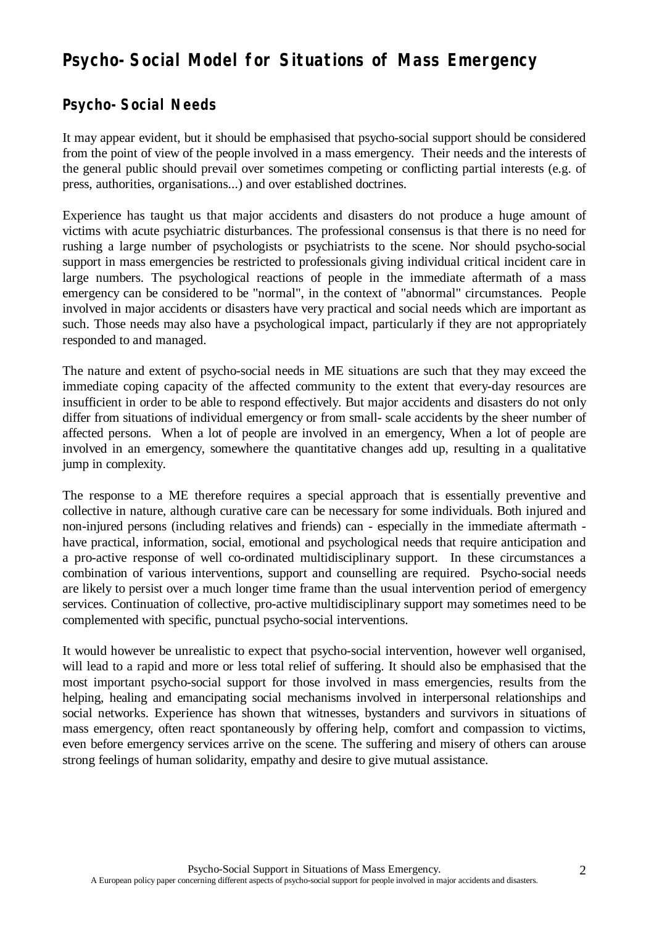# **Psycho-Social Model for Situations of Mass Emergency**

# **Psycho-Social Needs**

It may appear evident, but it should be emphasised that psycho-social support should be considered from the point of view of the people involved in a mass emergency. Their needs and the interests of the general public should prevail over sometimes competing or conflicting partial interests (e.g. of press, authorities, organisations...) and over established doctrines.

Experience has taught us that major accidents and disasters do not produce a huge amount of victims with acute psychiatric disturbances. The professional consensus is that there is no need for rushing a large number of psychologists or psychiatrists to the scene. Nor should psycho-social support in mass emergencies be restricted to professionals giving individual critical incident care in large numbers. The psychological reactions of people in the immediate aftermath of a mass emergency can be considered to be "normal", in the context of "abnormal" circumstances. People involved in major accidents or disasters have very practical and social needs which are important as such. Those needs may also have a psychological impact, particularly if they are not appropriately responded to and managed.

The nature and extent of psycho-social needs in ME situations are such that they may exceed the immediate coping capacity of the affected community to the extent that every-day resources are insufficient in order to be able to respond effectively. But major accidents and disasters do not only differ from situations of individual emergency or from small- scale accidents by the sheer number of affected persons. When a lot of people are involved in an emergency, When a lot of people are involved in an emergency, somewhere the quantitative changes add up, resulting in a qualitative jump in complexity.

The response to a ME therefore requires a special approach that is essentially preventive and collective in nature, although curative care can be necessary for some individuals. Both injured and non-injured persons (including relatives and friends) can - especially in the immediate aftermath have practical, information, social, emotional and psychological needs that require anticipation and a pro-active response of well co-ordinated multidisciplinary support. In these circumstances a combination of various interventions, support and counselling are required. Psycho-social needs are likely to persist over a much longer time frame than the usual intervention period of emergency services. Continuation of collective, pro-active multidisciplinary support may sometimes need to be complemented with specific, punctual psycho-social interventions.

It would however be unrealistic to expect that psycho-social intervention, however well organised, will lead to a rapid and more or less total relief of suffering. It should also be emphasised that the most important psycho-social support for those involved in mass emergencies, results from the helping, healing and emancipating social mechanisms involved in interpersonal relationships and social networks. Experience has shown that witnesses, bystanders and survivors in situations of mass emergency, often react spontaneously by offering help, comfort and compassion to victims, even before emergency services arrive on the scene. The suffering and misery of others can arouse strong feelings of human solidarity, empathy and desire to give mutual assistance.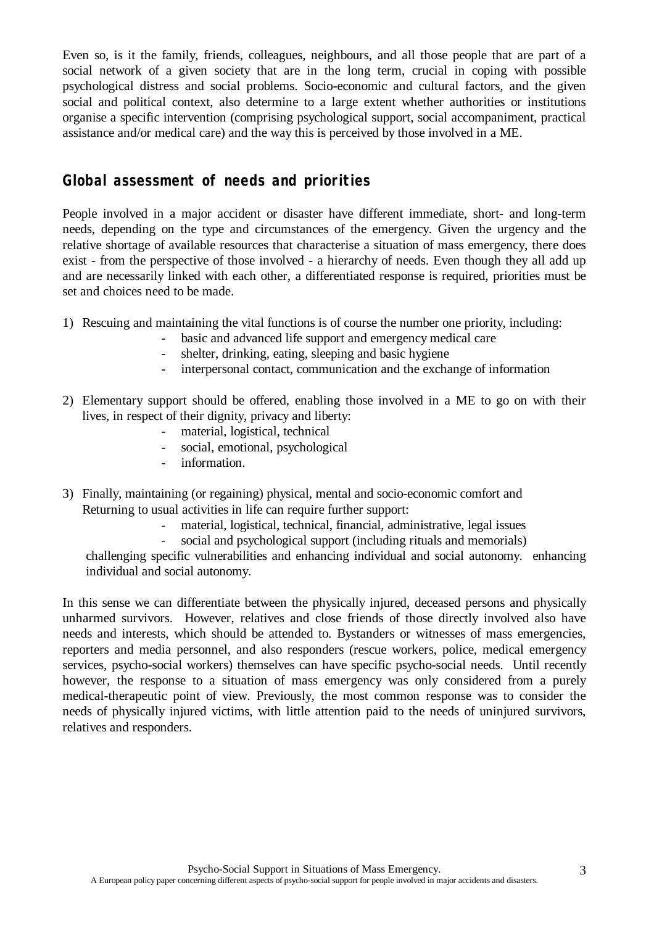Even so, is it the family, friends, colleagues, neighbours, and all those people that are part of a social network of a given society that are in the long term, crucial in coping with possible psychological distress and social problems. Socio-economic and cultural factors, and the given social and political context, also determine to a large extent whether authorities or institutions organise a specific intervention (comprising psychological support, social accompaniment, practical assistance and/or medical care) and the way this is perceived by those involved in a ME.

# **Global assessment of needs and priorities**

People involved in a major accident or disaster have different immediate, short- and long-term needs, depending on the type and circumstances of the emergency. Given the urgency and the relative shortage of available resources that characterise a situation of mass emergency, there does exist - from the perspective of those involved - a hierarchy of needs. Even though they all add up and are necessarily linked with each other, a differentiated response is required, priorities must be set and choices need to be made.

- 1) Rescuing and maintaining the vital functions is of course the number one priority, including:
	- basic and advanced life support and emergency medical care
	- shelter, drinking, eating, sleeping and basic hygiene
	- interpersonal contact, communication and the exchange of information
- 2) Elementary support should be offered, enabling those involved in a ME to go on with their lives, in respect of their dignity, privacy and liberty:
	- material, logistical, technical
	- social, emotional, psychological
	- information.
- 3) Finally, maintaining (or regaining) physical, mental and socio-economic comfort and Returning to usual activities in life can require further support:
	- material, logistical, technical, financial, administrative, legal issues
	- social and psychological support (including rituals and memorials)

challenging specific vulnerabilities and enhancing individual and social autonomy. enhancing individual and social autonomy.

In this sense we can differentiate between the physically injured, deceased persons and physically unharmed survivors. However, relatives and close friends of those directly involved also have needs and interests, which should be attended to. Bystanders or witnesses of mass emergencies, reporters and media personnel, and also responders (rescue workers, police, medical emergency services, psycho-social workers) themselves can have specific psycho-social needs. Until recently however, the response to a situation of mass emergency was only considered from a purely medical-therapeutic point of view. Previously, the most common response was to consider the needs of physically injured victims, with little attention paid to the needs of uninjured survivors, relatives and responders.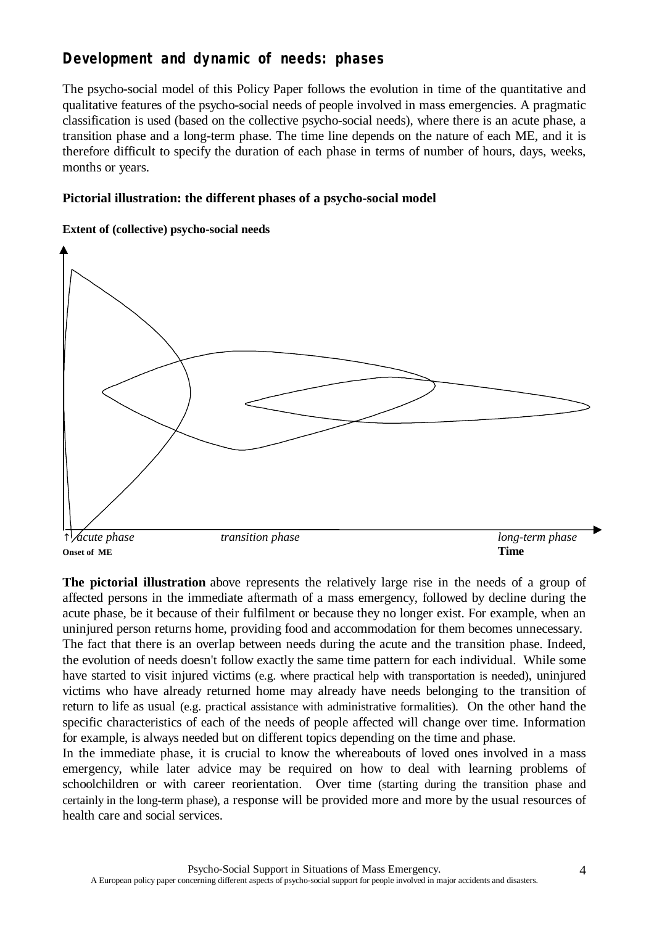# **Development and dynamic of needs: phases**

The psycho-social model of this Policy Paper follows the evolution in time of the quantitative and qualitative features of the psycho-social needs of people involved in mass emergencies. A pragmatic classification is used (based on the collective psycho-social needs), where there is an acute phase, a transition phase and a long-term phase. The time line depends on the nature of each ME, and it is therefore difficult to specify the duration of each phase in terms of number of hours, days, weeks, months or years.

### **Pictorial illustration: the different phases of a psycho-social model**

### **Extent of (collective) psycho-social needs**



**The pictorial illustration** above represents the relatively large rise in the needs of a group of affected persons in the immediate aftermath of a mass emergency, followed by decline during the acute phase, be it because of their fulfilment or because they no longer exist. For example, when an uninjured person returns home, providing food and accommodation for them becomes unnecessary. The fact that there is an overlap between needs during the acute and the transition phase. Indeed, the evolution of needs doesn't follow exactly the same time pattern for each individual. While some have started to visit injured victims (e.g. where practical help with transportation is needed), uninjured victims who have already returned home may already have needs belonging to the transition of return to life as usual (e.g. practical assistance with administrative formalities). On the other hand the specific characteristics of each of the needs of people affected will change over time. Information for example, is always needed but on different topics depending on the time and phase.

In the immediate phase, it is crucial to know the whereabouts of loved ones involved in a mass emergency, while later advice may be required on how to deal with learning problems of schoolchildren or with career reorientation. Over time (starting during the transition phase and certainly in the long-term phase), a response will be provided more and more by the usual resources of health care and social services.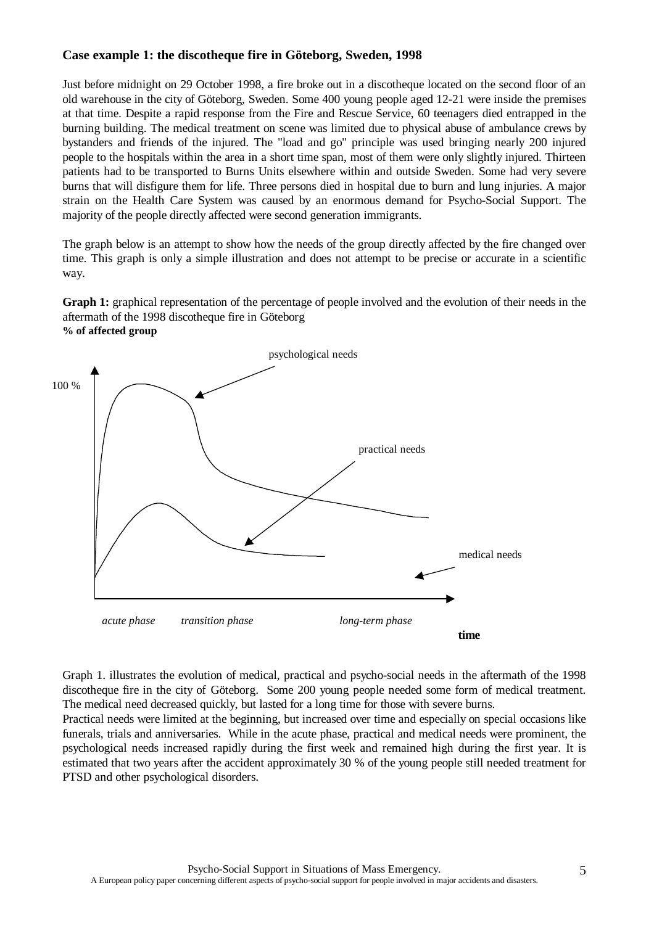### **Case example 1: the discotheque fire in Göteborg, Sweden, 1998**

Just before midnight on 29 October 1998, a fire broke out in a discotheque located on the second floor of an old warehouse in the city of Göteborg, Sweden. Some 400 young people aged 12-21 were inside the premises at that time. Despite a rapid response from the Fire and Rescue Service, 60 teenagers died entrapped in the burning building. The medical treatment on scene was limited due to physical abuse of ambulance crews by bystanders and friends of the injured. The "load and go" principle was used bringing nearly 200 injured people to the hospitals within the area in a short time span, most of them were only slightly injured. Thirteen patients had to be transported to Burns Units elsewhere within and outside Sweden. Some had very severe burns that will disfigure them for life. Three persons died in hospital due to burn and lung injuries. A major strain on the Health Care System was caused by an enormous demand for Psycho-Social Support. The majority of the people directly affected were second generation immigrants.

The graph below is an attempt to show how the needs of the group directly affected by the fire changed over time. This graph is only a simple illustration and does not attempt to be precise or accurate in a scientific way.

**Graph 1:** graphical representation of the percentage of people involved and the evolution of their needs in the aftermath of the 1998 discotheque fire in Göteborg **% of affected group**



Graph 1. illustrates the evolution of medical, practical and psycho-social needs in the aftermath of the 1998 discotheque fire in the city of Göteborg. Some 200 young people needed some form of medical treatment. The medical need decreased quickly, but lasted for a long time for those with severe burns.

Practical needs were limited at the beginning, but increased over time and especially on special occasions like funerals, trials and anniversaries. While in the acute phase, practical and medical needs were prominent, the psychological needs increased rapidly during the first week and remained high during the first year. It is estimated that two years after the accident approximately 30 % of the young people still needed treatment for PTSD and other psychological disorders.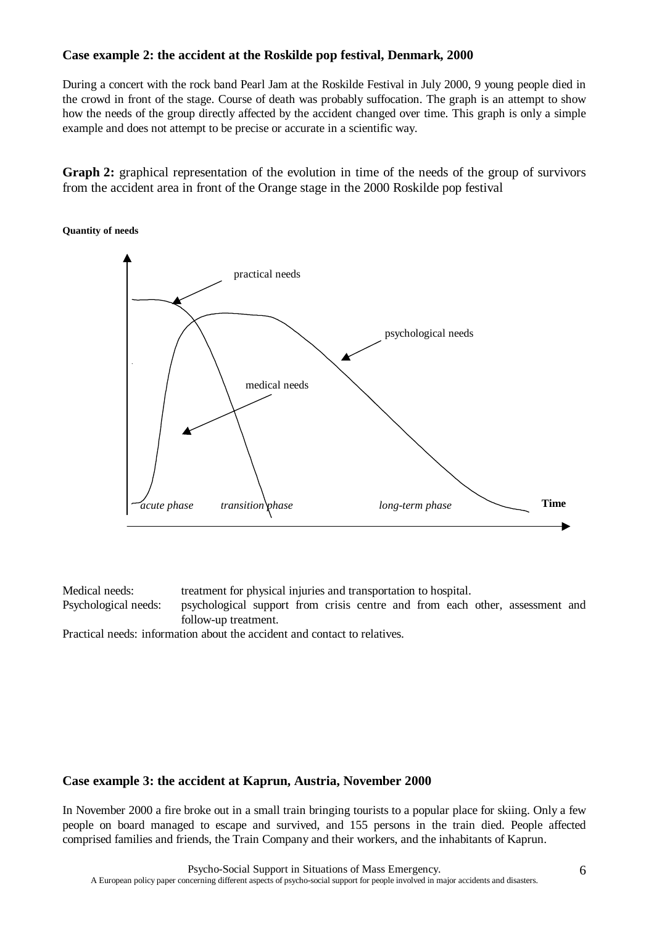### **Case example 2: the accident at the Roskilde pop festival, Denmark, 2000**

During a concert with the rock band Pearl Jam at the Roskilde Festival in July 2000, 9 young people died in the crowd in front of the stage. Course of death was probably suffocation. The graph is an attempt to show how the needs of the group directly affected by the accident changed over time. This graph is only a simple example and does not attempt to be precise or accurate in a scientific way.

**Graph 2:** graphical representation of the evolution in time of the needs of the group of survivors from the accident area in front of the Orange stage in the 2000 Roskilde pop festival

#### **Quantity of needs**



Medical needs: treatment for physical injuries and transportation to hospital. Psychological needs: psychological support from crisis centre and from each other, assessment and follow-up treatment.

Practical needs: information about the accident and contact to relatives.

#### **Case example 3: the accident at Kaprun, Austria, November 2000**

In November 2000 a fire broke out in a small train bringing tourists to a popular place for skiing. Only a few people on board managed to escape and survived, and 155 persons in the train died. People affected comprised families and friends, the Train Company and their workers, and the inhabitants of Kaprun.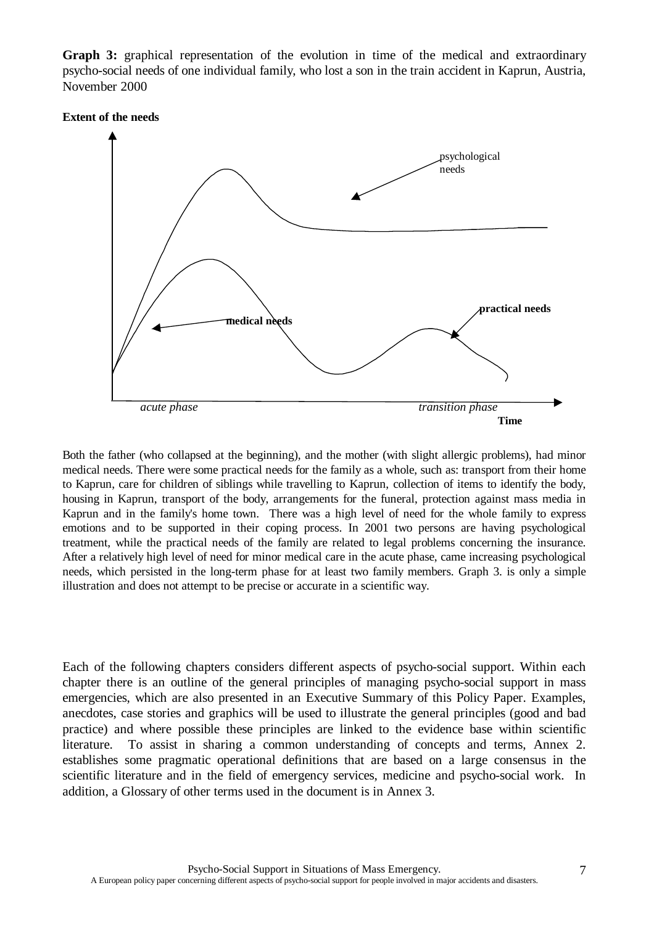**Graph 3:** graphical representation of the evolution in time of the medical and extraordinary psycho-social needs of one individual family, who lost a son in the train accident in Kaprun, Austria, November 2000

#### **Extent of the needs**



Both the father (who collapsed at the beginning), and the mother (with slight allergic problems), had minor medical needs. There were some practical needs for the family as a whole, such as: transport from their home to Kaprun, care for children of siblings while travelling to Kaprun, collection of items to identify the body, housing in Kaprun, transport of the body, arrangements for the funeral, protection against mass media in Kaprun and in the family's home town. There was a high level of need for the whole family to express emotions and to be supported in their coping process. In 2001 two persons are having psychological treatment, while the practical needs of the family are related to legal problems concerning the insurance. After a relatively high level of need for minor medical care in the acute phase, came increasing psychological needs, which persisted in the long-term phase for at least two family members. Graph 3. is only a simple illustration and does not attempt to be precise or accurate in a scientific way.

Each of the following chapters considers different aspects of psycho-social support. Within each chapter there is an outline of the general principles of managing psycho-social support in mass emergencies, which are also presented in an Executive Summary of this Policy Paper. Examples, anecdotes, case stories and graphics will be used to illustrate the general principles (good and bad practice) and where possible these principles are linked to the evidence base within scientific literature. To assist in sharing a common understanding of concepts and terms, Annex 2. establishes some pragmatic operational definitions that are based on a large consensus in the scientific literature and in the field of emergency services, medicine and psycho-social work. In addition, a Glossary of other terms used in the document is in Annex 3.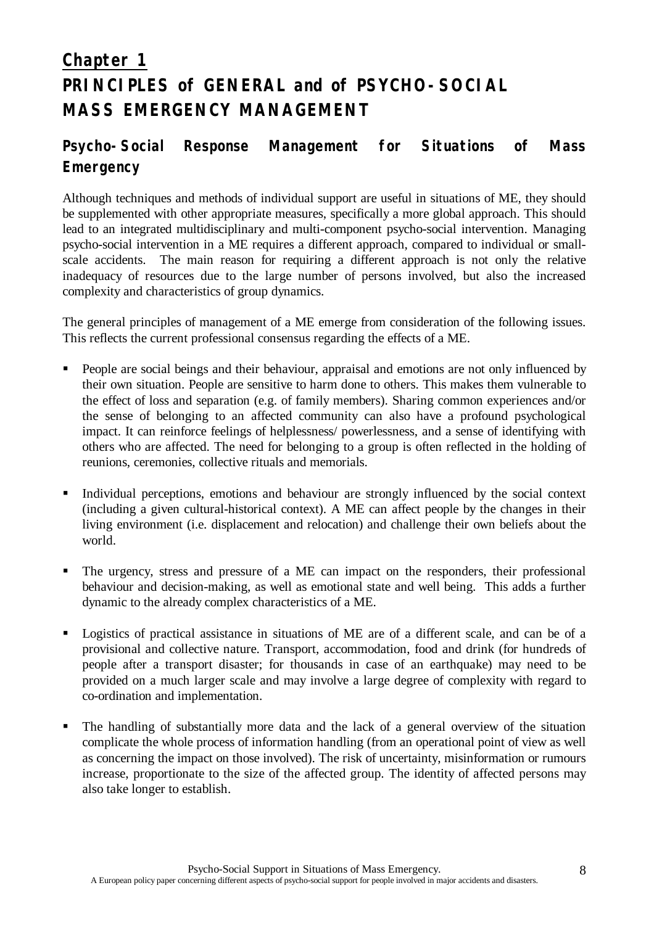# **Chapter 1 PRINCIPLES of GENERAL and of PSYCHO-SOCIAL MASS EMERGENCY MANAGEMENT**

# **Psycho-Social Response Management for Situations of Mass Emergency**

Although techniques and methods of individual support are useful in situations of ME, they should be supplemented with other appropriate measures, specifically a more global approach. This should lead to an integrated multidisciplinary and multi-component psycho-social intervention. Managing psycho-social intervention in a ME requires a different approach, compared to individual or smallscale accidents. The main reason for requiring a different approach is not only the relative inadequacy of resources due to the large number of persons involved, but also the increased complexity and characteristics of group dynamics.

The general principles of management of a ME emerge from consideration of the following issues. This reflects the current professional consensus regarding the effects of a ME.

- **•** People are social beings and their behaviour, appraisal and emotions are not only influenced by their own situation. People are sensitive to harm done to others. This makes them vulnerable to the effect of loss and separation (e.g. of family members). Sharing common experiences and/or the sense of belonging to an affected community can also have a profound psychological impact. It can reinforce feelings of helplessness/ powerlessness, and a sense of identifying with others who are affected. The need for belonging to a group is often reflected in the holding of reunions, ceremonies, collective rituals and memorials.
- Individual perceptions, emotions and behaviour are strongly influenced by the social context (including a given cultural-historical context). A ME can affect people by the changes in their living environment (i.e. displacement and relocation) and challenge their own beliefs about the world.
- The urgency, stress and pressure of a ME can impact on the responders, their professional behaviour and decision-making, as well as emotional state and well being. This adds a further dynamic to the already complex characteristics of a ME.
- ß Logistics of practical assistance in situations of ME are of a different scale, and can be of a provisional and collective nature. Transport, accommodation, food and drink (for hundreds of people after a transport disaster; for thousands in case of an earthquake) may need to be provided on a much larger scale and may involve a large degree of complexity with regard to co-ordination and implementation.
- The handling of substantially more data and the lack of a general overview of the situation complicate the whole process of information handling (from an operational point of view as well as concerning the impact on those involved). The risk of uncertainty, misinformation or rumours increase, proportionate to the size of the affected group. The identity of affected persons may also take longer to establish.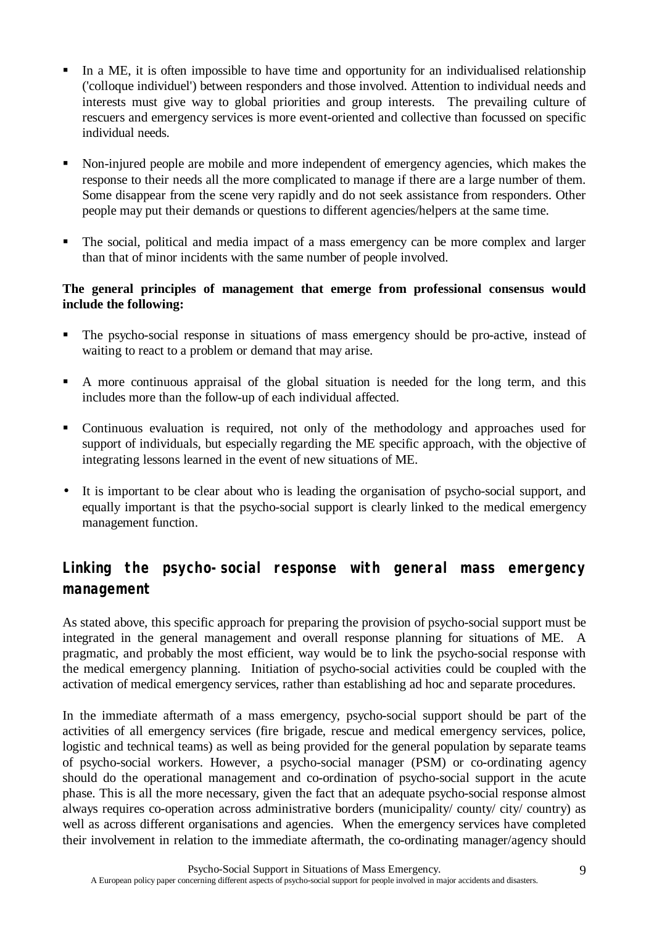- In a ME, it is often impossible to have time and opportunity for an individualised relationship ('colloque individuel') between responders and those involved. Attention to individual needs and interests must give way to global priorities and group interests. The prevailing culture of rescuers and emergency services is more event-oriented and collective than focussed on specific individual needs.
- ß Non-injured people are mobile and more independent of emergency agencies, which makes the response to their needs all the more complicated to manage if there are a large number of them. Some disappear from the scene very rapidly and do not seek assistance from responders. Other people may put their demands or questions to different agencies/helpers at the same time.
- The social, political and media impact of a mass emergency can be more complex and larger than that of minor incidents with the same number of people involved.

## **The general principles of management that emerge from professional consensus would include the following:**

- The psycho-social response in situations of mass emergency should be pro-active, instead of waiting to react to a problem or demand that may arise.
- ß A more continuous appraisal of the global situation is needed for the long term, and this includes more than the follow-up of each individual affected.
- Continuous evaluation is required, not only of the methodology and approaches used for support of individuals, but especially regarding the ME specific approach, with the objective of integrating lessons learned in the event of new situations of ME.
- It is important to be clear about who is leading the organisation of psycho-social support, and equally important is that the psycho-social support is clearly linked to the medical emergency management function.

# **Linking the psycho-social response with general mass emergency management**

As stated above, this specific approach for preparing the provision of psycho-social support must be integrated in the general management and overall response planning for situations of ME. A pragmatic, and probably the most efficient, way would be to link the psycho-social response with the medical emergency planning. Initiation of psycho-social activities could be coupled with the activation of medical emergency services, rather than establishing ad hoc and separate procedures.

In the immediate aftermath of a mass emergency, psycho-social support should be part of the activities of all emergency services (fire brigade, rescue and medical emergency services, police, logistic and technical teams) as well as being provided for the general population by separate teams of psycho-social workers. However, a psycho-social manager (PSM) or co-ordinating agency should do the operational management and co-ordination of psycho-social support in the acute phase. This is all the more necessary, given the fact that an adequate psycho-social response almost always requires co-operation across administrative borders (municipality/ county/ city/ country) as well as across different organisations and agencies. When the emergency services have completed their involvement in relation to the immediate aftermath, the co-ordinating manager/agency should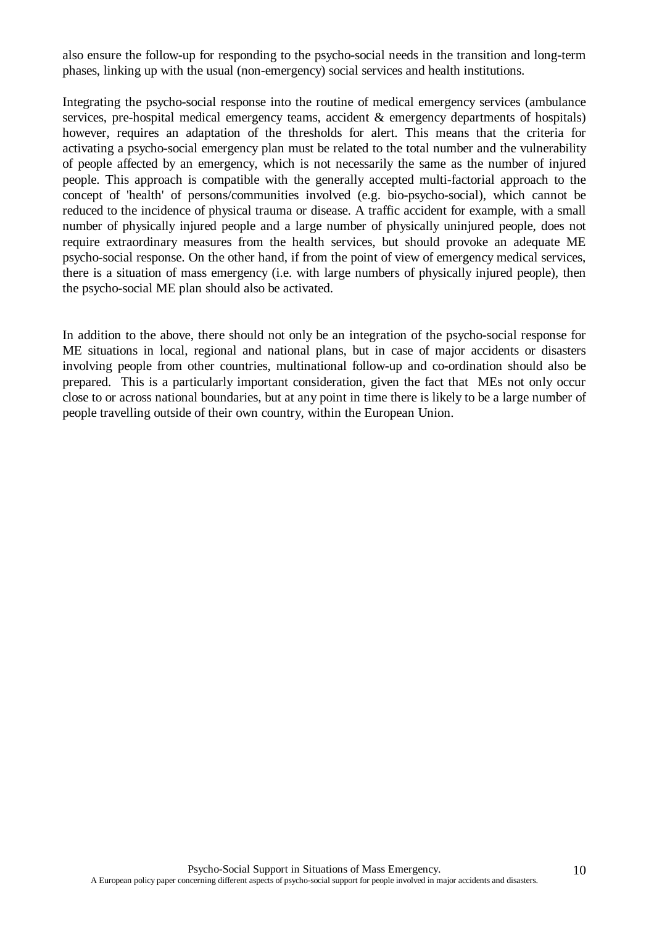also ensure the follow-up for responding to the psycho-social needs in the transition and long-term phases, linking up with the usual (non-emergency) social services and health institutions.

Integrating the psycho-social response into the routine of medical emergency services (ambulance services, pre-hospital medical emergency teams, accident & emergency departments of hospitals) however, requires an adaptation of the thresholds for alert. This means that the criteria for activating a psycho-social emergency plan must be related to the total number and the vulnerability of people affected by an emergency, which is not necessarily the same as the number of injured people. This approach is compatible with the generally accepted multi-factorial approach to the concept of 'health' of persons/communities involved (e.g. bio-psycho-social), which cannot be reduced to the incidence of physical trauma or disease. A traffic accident for example, with a small number of physically injured people and a large number of physically uninjured people, does not require extraordinary measures from the health services, but should provoke an adequate ME psycho-social response. On the other hand, if from the point of view of emergency medical services, there is a situation of mass emergency (i.e. with large numbers of physically injured people), then the psycho-social ME plan should also be activated.

In addition to the above, there should not only be an integration of the psycho-social response for ME situations in local, regional and national plans, but in case of major accidents or disasters involving people from other countries, multinational follow-up and co-ordination should also be prepared. This is a particularly important consideration, given the fact that MEs not only occur close to or across national boundaries, but at any point in time there is likely to be a large number of people travelling outside of their own country, within the European Union.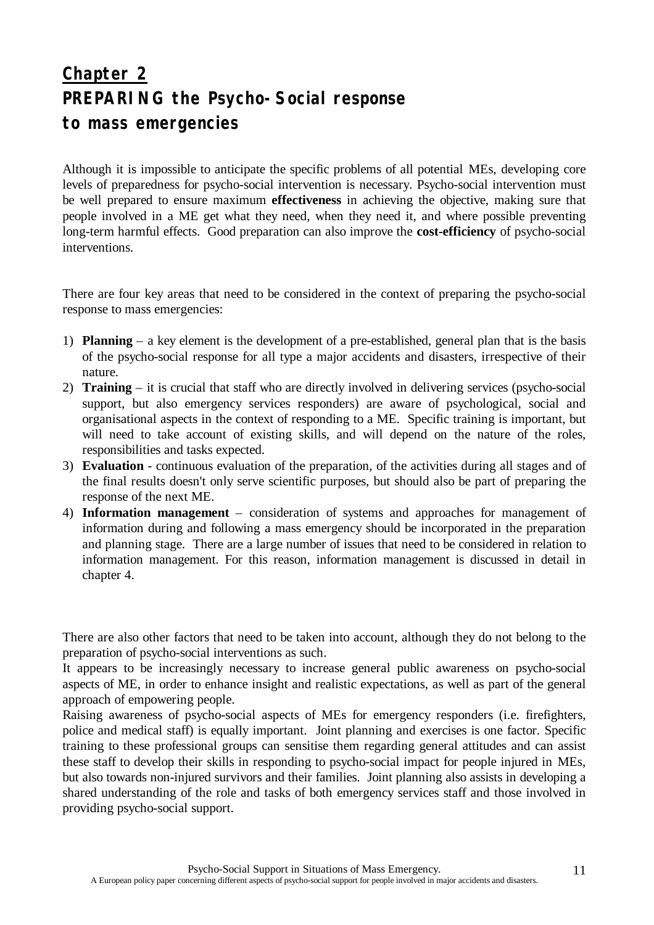# **Chapter 2 PREPARING the Psycho-Social response to mass emergencies**

Although it is impossible to anticipate the specific problems of all potential MEs, developing core levels of preparedness for psycho-social intervention is necessary. Psycho-social intervention must be well prepared to ensure maximum **effectiveness** in achieving the objective, making sure that people involved in a ME get what they need, when they need it, and where possible preventing long-term harmful effects. Good preparation can also improve the **cost-efficiency** of psycho-social interventions.

There are four key areas that need to be considered in the context of preparing the psycho-social response to mass emergencies:

- 1) **Planning**  a key element is the development of a pre-established, general plan that is the basis of the psycho-social response for all type a major accidents and disasters, irrespective of their nature.
- 2) **Training**  it is crucial that staff who are directly involved in delivering services (psycho-social support, but also emergency services responders) are aware of psychological, social and organisational aspects in the context of responding to a ME. Specific training is important, but will need to take account of existing skills, and will depend on the nature of the roles, responsibilities and tasks expected.
- 3) **Evaluation** continuous evaluation of the preparation, of the activities during all stages and of the final results doesn't only serve scientific purposes, but should also be part of preparing the response of the next ME.
- 4) **Information management** consideration of systems and approaches for management of information during and following a mass emergency should be incorporated in the preparation and planning stage. There are a large number of issues that need to be considered in relation to information management. For this reason, information management is discussed in detail in chapter 4.

There are also other factors that need to be taken into account, although they do not belong to the preparation of psycho-social interventions as such.

It appears to be increasingly necessary to increase general public awareness on psycho-social aspects of ME, in order to enhance insight and realistic expectations, as well as part of the general approach of empowering people.

Raising awareness of psycho-social aspects of MEs for emergency responders (i.e. firefighters, police and medical staff) is equally important. Joint planning and exercises is one factor. Specific training to these professional groups can sensitise them regarding general attitudes and can assist these staff to develop their skills in responding to psycho-social impact for people injured in MEs, but also towards non-injured survivors and their families. Joint planning also assists in developing a shared understanding of the role and tasks of both emergency services staff and those involved in providing psycho-social support.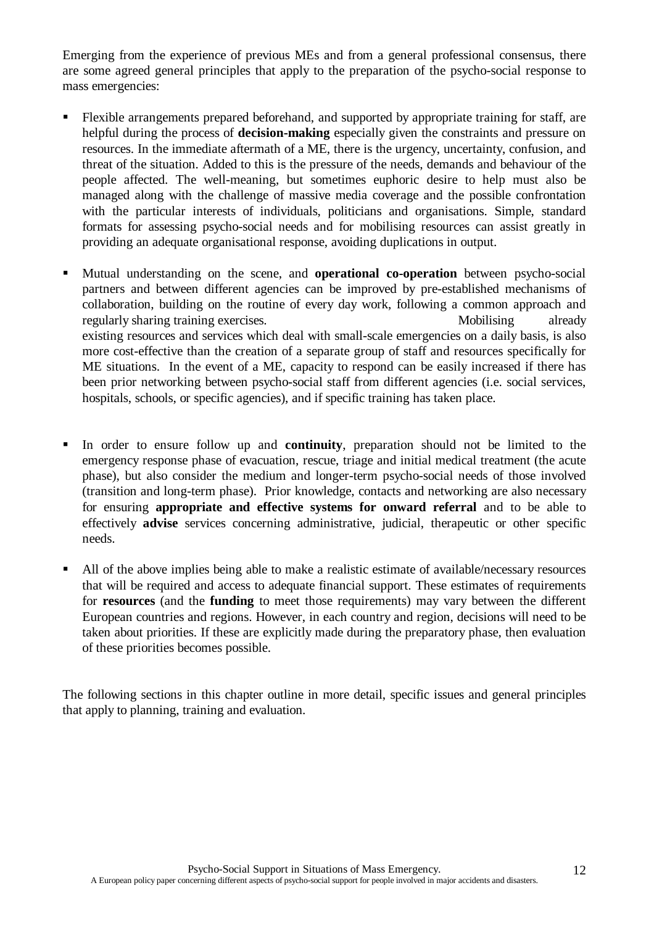Emerging from the experience of previous MEs and from a general professional consensus, there are some agreed general principles that apply to the preparation of the psycho-social response to mass emergencies:

- **Flexible arrangements prepared beforehand, and supported by appropriate training for staff, are** helpful during the process of **decision-making** especially given the constraints and pressure on resources. In the immediate aftermath of a ME, there is the urgency, uncertainty, confusion, and threat of the situation. Added to this is the pressure of the needs, demands and behaviour of the people affected. The well-meaning, but sometimes euphoric desire to help must also be managed along with the challenge of massive media coverage and the possible confrontation with the particular interests of individuals, politicians and organisations. Simple, standard formats for assessing psycho-social needs and for mobilising resources can assist greatly in providing an adequate organisational response, avoiding duplications in output.
- Mutual understanding on the scene, and **operational co-operation** between psycho-social partners and between different agencies can be improved by pre-established mechanisms of collaboration, building on the routine of every day work, following a common approach and regularly sharing training exercises. Mobilising already existing resources and services which deal with small-scale emergencies on a daily basis, is also more cost-effective than the creation of a separate group of staff and resources specifically for ME situations. In the event of a ME, capacity to respond can be easily increased if there has been prior networking between psycho-social staff from different agencies (i.e. social services, hospitals, schools, or specific agencies), and if specific training has taken place.
- In order to ensure follow up and **continuity**, preparation should not be limited to the emergency response phase of evacuation, rescue, triage and initial medical treatment (the acute phase), but also consider the medium and longer-term psycho-social needs of those involved (transition and long-term phase). Prior knowledge, contacts and networking are also necessary for ensuring **appropriate and effective systems for onward referral** and to be able to effectively **advise** services concerning administrative, judicial, therapeutic or other specific needs.
- All of the above implies being able to make a realistic estimate of available/necessary resources that will be required and access to adequate financial support. These estimates of requirements for **resources** (and the **funding** to meet those requirements) may vary between the different European countries and regions. However, in each country and region, decisions will need to be taken about priorities. If these are explicitly made during the preparatory phase, then evaluation of these priorities becomes possible.

The following sections in this chapter outline in more detail, specific issues and general principles that apply to planning, training and evaluation.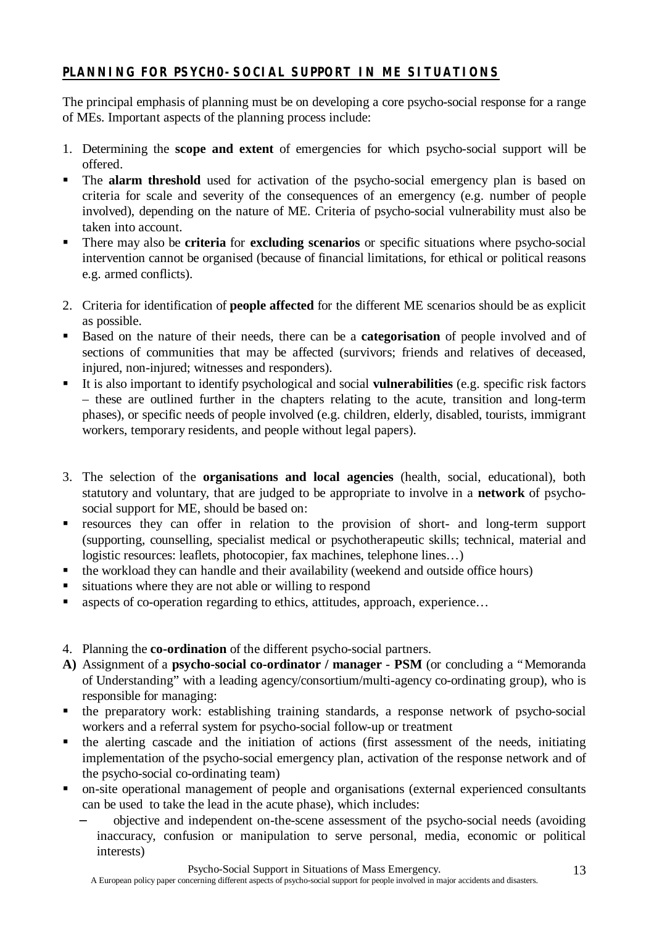## **PLANNING FOR PSYCH0-SOCIAL SUPPORT IN ME SITUATIONS**

The principal emphasis of planning must be on developing a core psycho-social response for a range of MEs. Important aspects of the planning process include:

- 1. Determining the **scope and extent** of emergencies for which psycho-social support will be offered.
- **The alarm threshold** used for activation of the psycho-social emergency plan is based on criteria for scale and severity of the consequences of an emergency (e.g. number of people involved), depending on the nature of ME. Criteria of psycho-social vulnerability must also be taken into account.
- **There may also be criteria for excluding scenarios** or specific situations where psycho-social intervention cannot be organised (because of financial limitations, for ethical or political reasons e.g. armed conflicts).
- 2. Criteria for identification of **people affected** for the different ME scenarios should be as explicit as possible.
- Based on the nature of their needs, there can be a **categorisation** of people involved and of sections of communities that may be affected (survivors; friends and relatives of deceased, injured, non-injured; witnesses and responders).
- ß It is also important to identify psychological and social **vulnerabilities** (e.g. specific risk factors – these are outlined further in the chapters relating to the acute, transition and long-term phases), or specific needs of people involved (e.g. children, elderly, disabled, tourists, immigrant workers, temporary residents, and people without legal papers).
- 3. The selection of the **organisations and local agencies** (health, social, educational), both statutory and voluntary, that are judged to be appropriate to involve in a **network** of psychosocial support for ME, should be based on:
- **Exercise resources** they can offer in relation to the provision of short- and long-term support (supporting, counselling, specialist medical or psychotherapeutic skills; technical, material and logistic resources: leaflets, photocopier, fax machines, telephone lines...)
- $\blacksquare$  the workload they can handle and their availability (weekend and outside office hours)
- $\blacksquare$  situations where they are not able or willing to respond
- aspects of co-operation regarding to ethics, attitudes, approach, experience...
- 4. Planning the **co-ordination** of the different psycho-social partners.
- **A)** Assignment of a **psycho-social co-ordinator / manager PSM** (or concluding a "Memoranda of Understanding" with a leading agency/consortium/multi-agency co-ordinating group), who is responsible for managing:
- the preparatory work: establishing training standards, a response network of psycho-social workers and a referral system for psycho-social follow-up or treatment
- $\blacksquare$  the alerting cascade and the initiation of actions (first assessment of the needs, initiating implementation of the psycho-social emergency plan, activation of the response network and of the psycho-social co-ordinating team)
- on-site operational management of people and organisations (external experienced consultants can be used to take the lead in the acute phase), which includes:
	- − objective and independent on-the-scene assessment of the psycho-social needs (avoiding inaccuracy, confusion or manipulation to serve personal, media, economic or political interests)

A European policy paper concerning different aspects of psycho-social support for people involved in major accidents and disasters.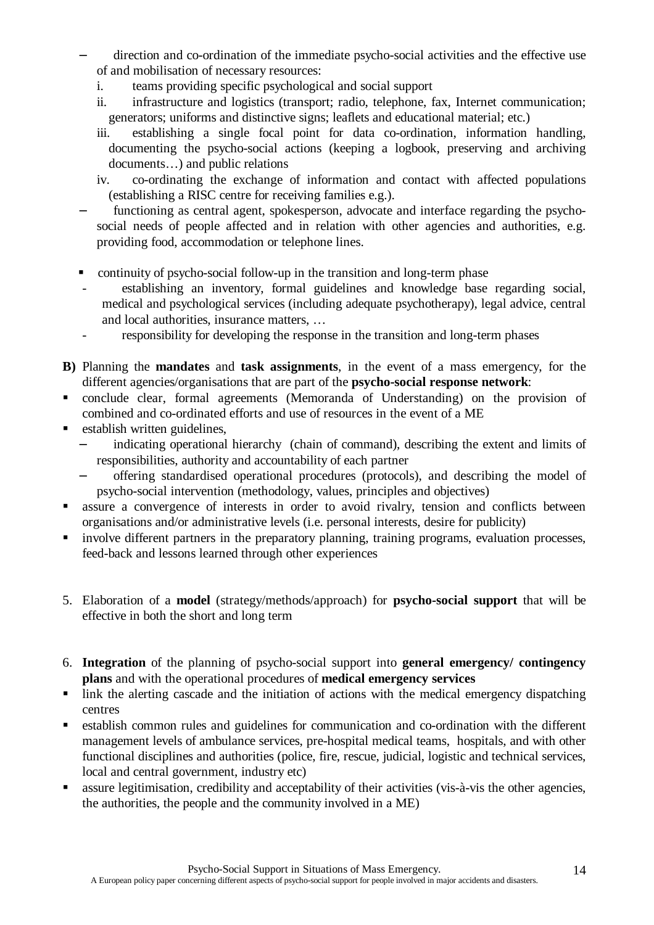- direction and co-ordination of the immediate psycho-social activities and the effective use of and mobilisation of necessary resources:
	- i. teams providing specific psychological and social support
	- ii. infrastructure and logistics (transport; radio, telephone, fax, Internet communication; generators; uniforms and distinctive signs; leaflets and educational material; etc.)
	- iii. establishing a single focal point for data co-ordination, information handling, documenting the psycho-social actions (keeping a logbook, preserving and archiving documents… ) and public relations
	- iv. co-ordinating the exchange of information and contact with affected populations (establishing a RISC centre for receiving families e.g.).
- functioning as central agent, spokesperson, advocate and interface regarding the psychosocial needs of people affected and in relation with other agencies and authorities, e.g. providing food, accommodation or telephone lines.
- continuity of psycho-social follow-up in the transition and long-term phase
- establishing an inventory, formal guidelines and knowledge base regarding social, medical and psychological services (including adequate psychotherapy), legal advice, central and local authorities, insurance matters, …
- responsibility for developing the response in the transition and long-term phases
- **B)** Planning the **mandates** and **task assignments**, in the event of a mass emergency, for the different agencies/organisations that are part of the **psycho-social response network**:
- ß conclude clear, formal agreements (Memoranda of Understanding) on the provision of combined and co-ordinated efforts and use of resources in the event of a ME
- $\blacksquare$  establish written guidelines.
	- indicating operational hierarchy (chain of command), describing the extent and limits of responsibilities, authority and accountability of each partner
	- − offering standardised operational procedures (protocols), and describing the model of psycho-social intervention (methodology, values, principles and objectives)
- **B** assure a convergence of interests in order to avoid rivalry, tension and conflicts between organisations and/or administrative levels (i.e. personal interests, desire for publicity)
- involve different partners in the preparatory planning, training programs, evaluation processes, feed-back and lessons learned through other experiences
- 5. Elaboration of a **model** (strategy/methods/approach) for **psycho-social support** that will be effective in both the short and long term
- 6. **Integration** of the planning of psycho-social support into **general emergency/ contingency plans** and with the operational procedures of **medical emergency services**
- $\blacksquare$  link the alerting cascade and the initiation of actions with the medical emergency dispatching centres
- **Example 1** establish common rules and guidelines for communication and co-ordination with the different management levels of ambulance services, pre-hospital medical teams, hospitals, and with other functional disciplines and authorities (police, fire, rescue, judicial, logistic and technical services, local and central government, industry etc)
- ß assure legitimisation, credibility and acceptability of their activities (vis-à-vis the other agencies, the authorities, the people and the community involved in a ME)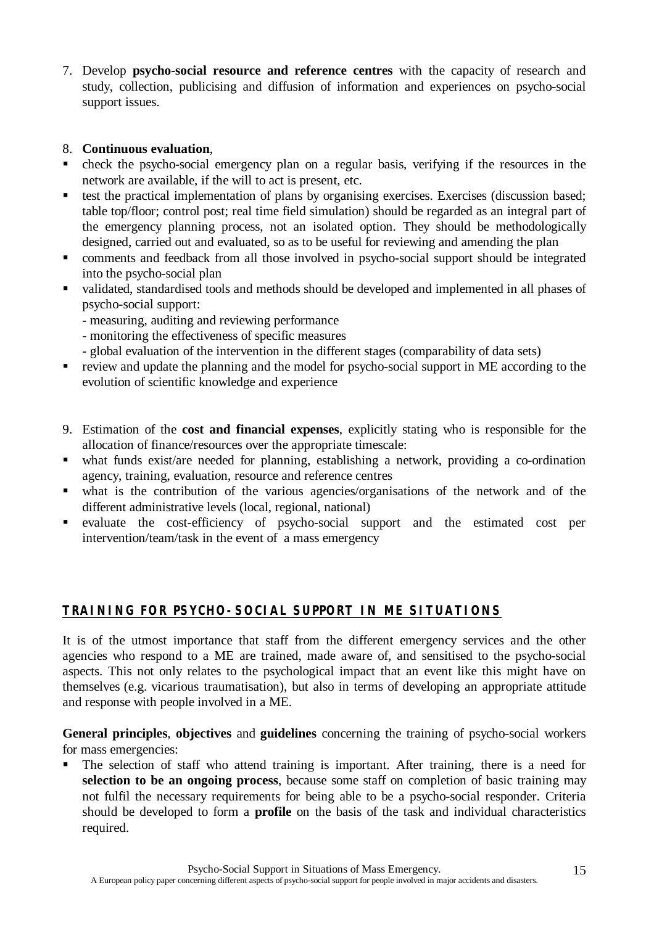7. Develop **psycho-social resource and reference centres** with the capacity of research and study, collection, publicising and diffusion of information and experiences on psycho-social support issues.

## 8. **Continuous evaluation**,

- check the psycho-social emergency plan on a regular basis, verifying if the resources in the network are available, if the will to act is present, etc.
- **Exercises** the practical implementation of plans by organising exercises. Exercises (discussion based; table top/floor; control post; real time field simulation) should be regarded as an integral part of the emergency planning process, not an isolated option. They should be methodologically designed, carried out and evaluated, so as to be useful for reviewing and amending the plan
- comments and feedback from all those involved in psycho-social support should be integrated into the psycho-social plan
- validated, standardised tools and methods should be developed and implemented in all phases of psycho-social support:
	- measuring, auditing and reviewing performance
	- monitoring the effectiveness of specific measures
	- global evaluation of the intervention in the different stages (comparability of data sets)
- **•** review and update the planning and the model for psycho-social support in ME according to the evolution of scientific knowledge and experience
- 9. Estimation of the **cost and financial expenses**, explicitly stating who is responsible for the allocation of finance/resources over the appropriate timescale:
- what funds exist/are needed for planning, establishing a network, providing a co-ordination agency, training, evaluation, resource and reference centres
- ß what is the contribution of the various agencies/organisations of the network and of the different administrative levels (local, regional, national)
- evaluate the cost-efficiency of psycho-social support and the estimated cost per intervention/team/task in the event of a mass emergency

## **TRAINING FOR PSYCHO-SOCIAL SUPPORT IN ME SITUATIONS**

It is of the utmost importance that staff from the different emergency services and the other agencies who respond to a ME are trained, made aware of, and sensitised to the psycho-social aspects. This not only relates to the psychological impact that an event like this might have on themselves (e.g. vicarious traumatisation), but also in terms of developing an appropriate attitude and response with people involved in a ME.

**General principles**, **objectives** and **guidelines** concerning the training of psycho-social workers for mass emergencies:

The selection of staff who attend training is important. After training, there is a need for **selection to be an ongoing process**, because some staff on completion of basic training may not fulfil the necessary requirements for being able to be a psycho-social responder. Criteria should be developed to form a **profile** on the basis of the task and individual characteristics required.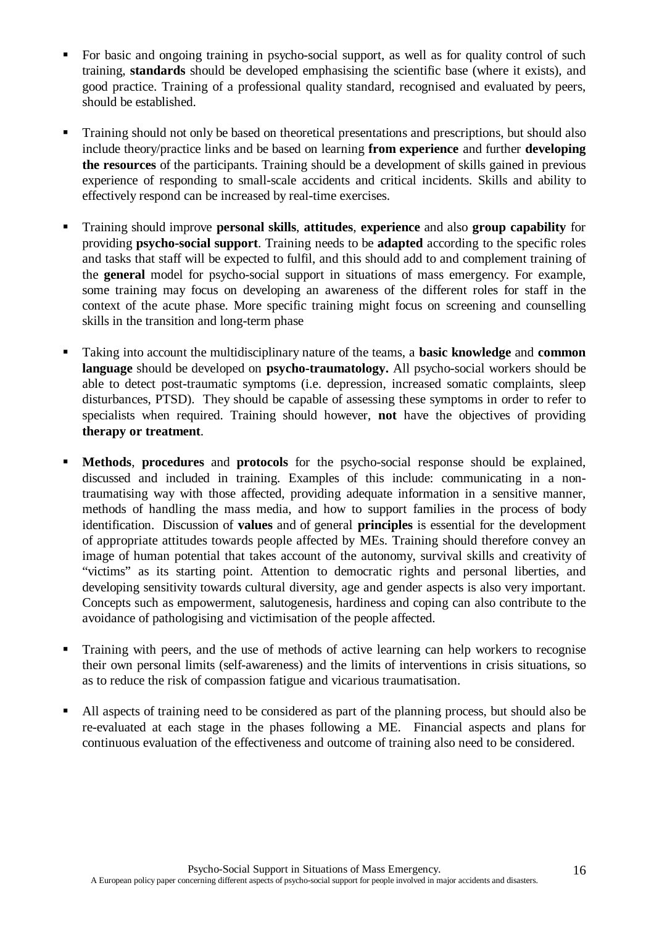- For basic and ongoing training in psycho-social support, as well as for quality control of such training, **standards** should be developed emphasising the scientific base (where it exists), and good practice. Training of a professional quality standard, recognised and evaluated by peers, should be established.
- ß Training should not only be based on theoretical presentations and prescriptions, but should also include theory/practice links and be based on learning **from experience** and further **developing the resources** of the participants. Training should be a development of skills gained in previous experience of responding to small-scale accidents and critical incidents. Skills and ability to effectively respond can be increased by real-time exercises.
- ß Training should improve **personal skills**, **attitudes**, **experience** and also **group capability** for providing **psycho-social support**. Training needs to be **adapted** according to the specific roles and tasks that staff will be expected to fulfil, and this should add to and complement training of the **general** model for psycho-social support in situations of mass emergency. For example, some training may focus on developing an awareness of the different roles for staff in the context of the acute phase. More specific training might focus on screening and counselling skills in the transition and long-term phase
- ß Taking into account the multidisciplinary nature of the teams, a **basic knowledge** and **common language** should be developed on **psycho-traumatology.** All psycho-social workers should be able to detect post-traumatic symptoms (i.e. depression, increased somatic complaints, sleep disturbances, PTSD). They should be capable of assessing these symptoms in order to refer to specialists when required. Training should however, **not** have the objectives of providing **therapy or treatment**.
- **Methods, procedures** and **protocols** for the psycho-social response should be explained, discussed and included in training. Examples of this include: communicating in a nontraumatising way with those affected, providing adequate information in a sensitive manner, methods of handling the mass media, and how to support families in the process of body identification. Discussion of **values** and of general **principles** is essential for the development of appropriate attitudes towards people affected by MEs. Training should therefore convey an image of human potential that takes account of the autonomy, survival skills and creativity of "victims" as its starting point. Attention to democratic rights and personal liberties, and developing sensitivity towards cultural diversity, age and gender aspects is also very important. Concepts such as empowerment, salutogenesis, hardiness and coping can also contribute to the avoidance of pathologising and victimisation of the people affected.
- ß Training with peers, and the use of methods of active learning can help workers to recognise their own personal limits (self-awareness) and the limits of interventions in crisis situations, so as to reduce the risk of compassion fatigue and vicarious traumatisation.
- All aspects of training need to be considered as part of the planning process, but should also be re-evaluated at each stage in the phases following a ME. Financial aspects and plans for continuous evaluation of the effectiveness and outcome of training also need to be considered.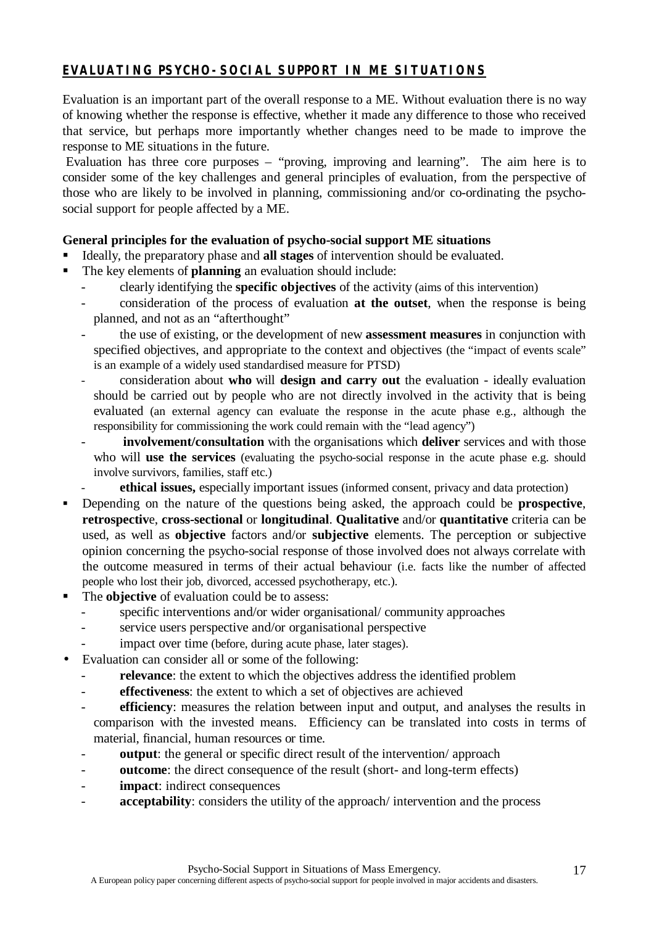## **EVALUATING PSYCHO-SOCIAL SUPPORT IN ME SITUATIONS**

Evaluation is an important part of the overall response to a ME. Without evaluation there is no way of knowing whether the response is effective, whether it made any difference to those who received that service, but perhaps more importantly whether changes need to be made to improve the response to ME situations in the future.

 Evaluation has three core purposes – "proving, improving and learning". The aim here is to consider some of the key challenges and general principles of evaluation, from the perspective of those who are likely to be involved in planning, commissioning and/or co-ordinating the psychosocial support for people affected by a ME.

## **General principles for the evaluation of psycho-social support ME situations**

- ß Ideally, the preparatory phase and **all stages** of intervention should be evaluated.
- ß The key elements of **planning** an evaluation should include:
	- clearly identifying the **specific objectives** of the activity (aims of this intervention)
	- consideration of the process of evaluation **at the outset**, when the response is being planned, and not as an "afterthought"
	- the use of existing, or the development of new **assessment measures** in conjunction with specified objectives, and appropriate to the context and objectives (the "impact of events scale" is an example of a widely used standardised measure for PTSD)
	- consideration about **who** will **design and carry out** the evaluation ideally evaluation should be carried out by people who are not directly involved in the activity that is being evaluated (an external agency can evaluate the response in the acute phase e.g., although the responsibility for commissioning the work could remain with the "lead agency")
	- - **involvement/consultation** with the organisations which **deliver** services and with those who will **use the services** (evaluating the psycho-social response in the acute phase e.g. should involve survivors, families, staff etc.)
	- **ethical issues,** especially important issues (informed consent, privacy and data protection)
- ß Depending on the nature of the questions being asked, the approach could be **prospective**, **retrospectiv**e, **cross-sectional** or **longitudinal**. **Qualitative** and/or **quantitative** criteria can be used, as well as **objective** factors and/or **subjective** elements. The perception or subjective opinion concerning the psycho-social response of those involved does not always correlate with the outcome measured in terms of their actual behaviour (i.e. facts like the number of affected people who lost their job, divorced, accessed psychotherapy, etc.).
- The **objective** of evaluation could be to assess:
	- specific interventions and/or wider organisational/ community approaches
	- service users perspective and/or organisational perspective
	- impact over time (before, during acute phase, later stages).
- Evaluation can consider all or some of the following:
	- relevance: the extent to which the objectives address the identified problem
	- **effectiveness**: the extent to which a set of objectives are achieved
	- **efficiency**: measures the relation between input and output, and analyses the results in comparison with the invested means. Efficiency can be translated into costs in terms of material, financial, human resources or time.
	- **output**: the general or specific direct result of the intervention/ approach
	- **outcome**: the direct consequence of the result (short- and long-term effects)
	- **impact**: indirect consequences
	- acceptability: considers the utility of the approach/ intervention and the process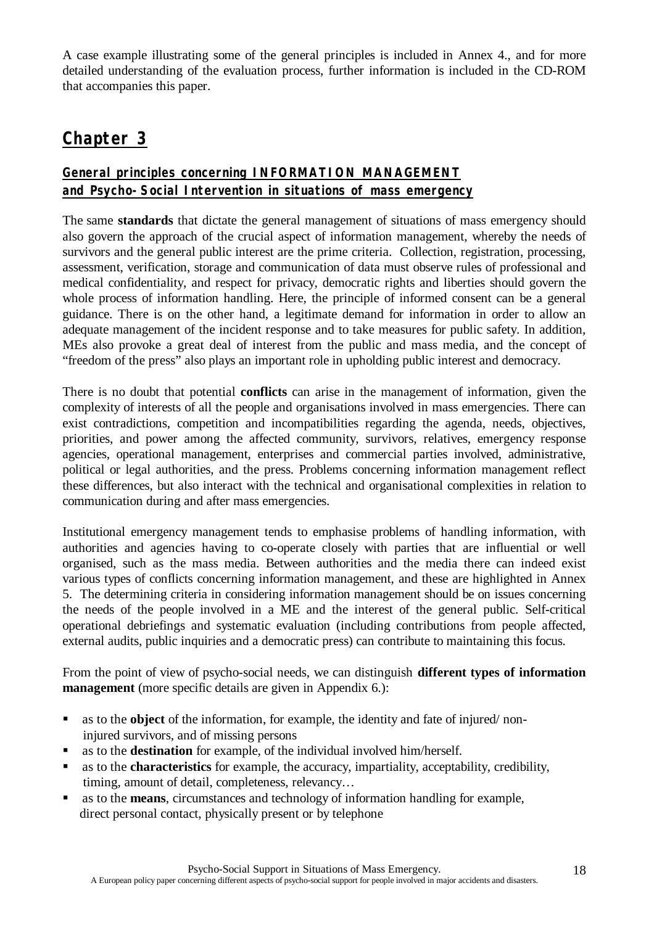A case example illustrating some of the general principles is included in Annex 4., and for more detailed understanding of the evaluation process, further information is included in the CD-ROM that accompanies this paper.

# **Chapter 3**

## **General principles concerning INFORMATION MANAGEMENT and Psycho-Social Intervention in situations of mass emergency**

The same **standards** that dictate the general management of situations of mass emergency should also govern the approach of the crucial aspect of information management, whereby the needs of survivors and the general public interest are the prime criteria. Collection, registration, processing, assessment, verification, storage and communication of data must observe rules of professional and medical confidentiality, and respect for privacy, democratic rights and liberties should govern the whole process of information handling. Here, the principle of informed consent can be a general guidance. There is on the other hand, a legitimate demand for information in order to allow an adequate management of the incident response and to take measures for public safety. In addition, MEs also provoke a great deal of interest from the public and mass media, and the concept of "freedom of the press" also plays an important role in upholding public interest and democracy.

There is no doubt that potential **conflicts** can arise in the management of information, given the complexity of interests of all the people and organisations involved in mass emergencies. There can exist contradictions, competition and incompatibilities regarding the agenda, needs, objectives, priorities, and power among the affected community, survivors, relatives, emergency response agencies, operational management, enterprises and commercial parties involved, administrative, political or legal authorities, and the press. Problems concerning information management reflect these differences, but also interact with the technical and organisational complexities in relation to communication during and after mass emergencies.

Institutional emergency management tends to emphasise problems of handling information, with authorities and agencies having to co-operate closely with parties that are influential or well organised, such as the mass media. Between authorities and the media there can indeed exist various types of conflicts concerning information management, and these are highlighted in Annex 5. The determining criteria in considering information management should be on issues concerning the needs of the people involved in a ME and the interest of the general public. Self-critical operational debriefings and systematic evaluation (including contributions from people affected, external audits, public inquiries and a democratic press) can contribute to maintaining this focus.

From the point of view of psycho-social needs, we can distinguish **different types of information management** (more specific details are given in Appendix 6.):

- **as to the object** of the information, for example, the identity and fate of injured/noninjured survivors, and of missing persons
- **as to the destination** for example, of the individual involved him/herself.
- **B** as to the **characteristics** for example, the accuracy, impartiality, acceptability, credibility, timing, amount of detail, completeness, relevancy…
- ß as to the **means**, circumstances and technology of information handling for example, direct personal contact, physically present or by telephone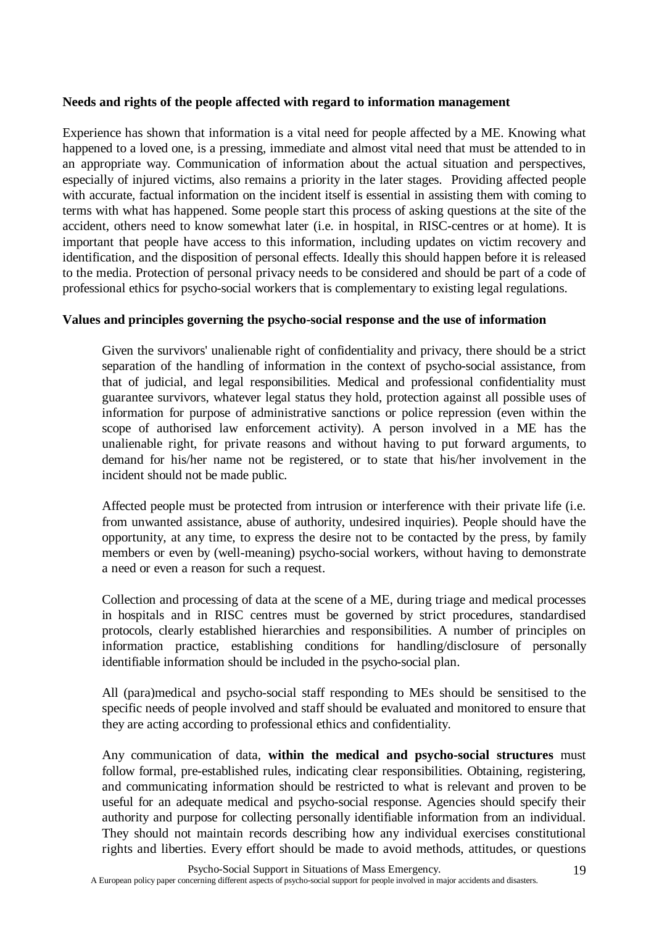### **Needs and rights of the people affected with regard to information management**

Experience has shown that information is a vital need for people affected by a ME. Knowing what happened to a loved one, is a pressing, immediate and almost vital need that must be attended to in an appropriate way. Communication of information about the actual situation and perspectives, especially of injured victims, also remains a priority in the later stages. Providing affected people with accurate, factual information on the incident itself is essential in assisting them with coming to terms with what has happened. Some people start this process of asking questions at the site of the accident, others need to know somewhat later (i.e. in hospital, in RISC-centres or at home). It is important that people have access to this information, including updates on victim recovery and identification, and the disposition of personal effects. Ideally this should happen before it is released to the media. Protection of personal privacy needs to be considered and should be part of a code of professional ethics for psycho-social workers that is complementary to existing legal regulations.

### **Values and principles governing the psycho-social response and the use of information**

Given the survivors' unalienable right of confidentiality and privacy, there should be a strict separation of the handling of information in the context of psycho-social assistance, from that of judicial, and legal responsibilities. Medical and professional confidentiality must guarantee survivors, whatever legal status they hold, protection against all possible uses of information for purpose of administrative sanctions or police repression (even within the scope of authorised law enforcement activity). A person involved in a ME has the unalienable right, for private reasons and without having to put forward arguments, to demand for his/her name not be registered, or to state that his/her involvement in the incident should not be made public.

Affected people must be protected from intrusion or interference with their private life (i.e. from unwanted assistance, abuse of authority, undesired inquiries). People should have the opportunity, at any time, to express the desire not to be contacted by the press, by family members or even by (well-meaning) psycho-social workers, without having to demonstrate a need or even a reason for such a request.

Collection and processing of data at the scene of a ME, during triage and medical processes in hospitals and in RISC centres must be governed by strict procedures, standardised protocols, clearly established hierarchies and responsibilities. A number of principles on information practice, establishing conditions for handling/disclosure of personally identifiable information should be included in the psycho-social plan.

All (para)medical and psycho-social staff responding to MEs should be sensitised to the specific needs of people involved and staff should be evaluated and monitored to ensure that they are acting according to professional ethics and confidentiality.

Any communication of data, **within the medical and psycho-social structures** must follow formal, pre-established rules, indicating clear responsibilities. Obtaining, registering, and communicating information should be restricted to what is relevant and proven to be useful for an adequate medical and psycho-social response. Agencies should specify their authority and purpose for collecting personally identifiable information from an individual. They should not maintain records describing how any individual exercises constitutional rights and liberties. Every effort should be made to avoid methods, attitudes, or questions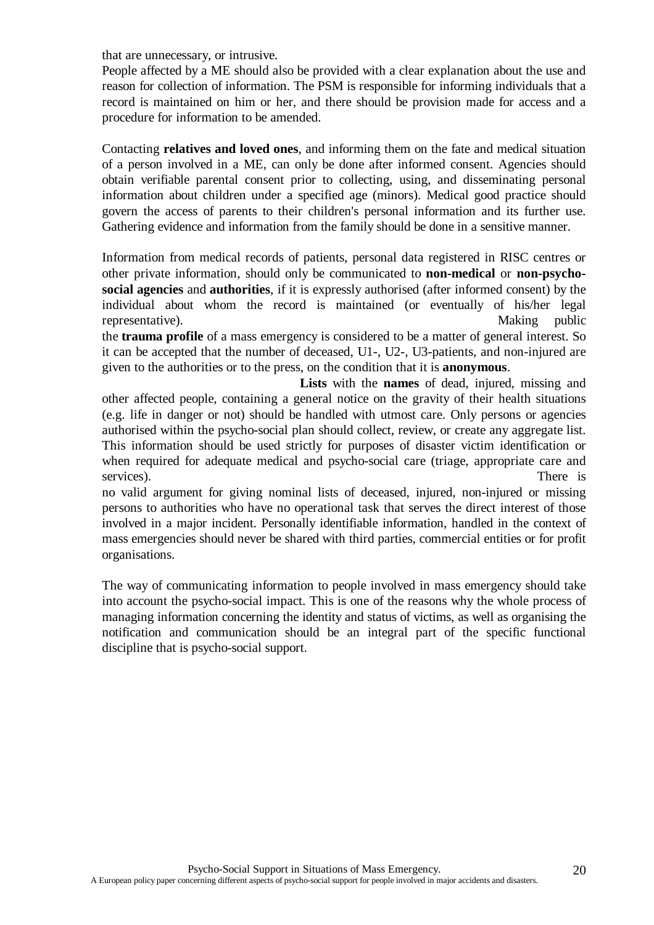that are unnecessary, or intrusive.

People affected by a ME should also be provided with a clear explanation about the use and reason for collection of information. The PSM is responsible for informing individuals that a record is maintained on him or her, and there should be provision made for access and a procedure for information to be amended.

Contacting **relatives and loved ones**, and informing them on the fate and medical situation of a person involved in a ME, can only be done after informed consent. Agencies should obtain verifiable parental consent prior to collecting, using, and disseminating personal information about children under a specified age (minors). Medical good practice should govern the access of parents to their children's personal information and its further use. Gathering evidence and information from the family should be done in a sensitive manner.

Information from medical records of patients, personal data registered in RISC centres or other private information, should only be communicated to **non-medical** or **non-psychosocial agencies** and **authorities**, if it is expressly authorised (after informed consent) by the individual about whom the record is maintained (or eventually of his/her legal representative). Making public

the **trauma profile** of a mass emergency is considered to be a matter of general interest. So it can be accepted that the number of deceased, U1-, U2-, U3-patients, and non-injured are given to the authorities or to the press, on the condition that it is **anonymous**.

**Lists** with the **names** of dead, injured, missing and other affected people, containing a general notice on the gravity of their health situations (e.g. life in danger or not) should be handled with utmost care. Only persons or agencies authorised within the psycho-social plan should collect, review, or create any aggregate list. This information should be used strictly for purposes of disaster victim identification or when required for adequate medical and psycho-social care (triage, appropriate care and services). There is

no valid argument for giving nominal lists of deceased, injured, non-injured or missing persons to authorities who have no operational task that serves the direct interest of those involved in a major incident. Personally identifiable information, handled in the context of mass emergencies should never be shared with third parties, commercial entities or for profit organisations.

The way of communicating information to people involved in mass emergency should take into account the psycho-social impact. This is one of the reasons why the whole process of managing information concerning the identity and status of victims, as well as organising the notification and communication should be an integral part of the specific functional discipline that is psycho-social support.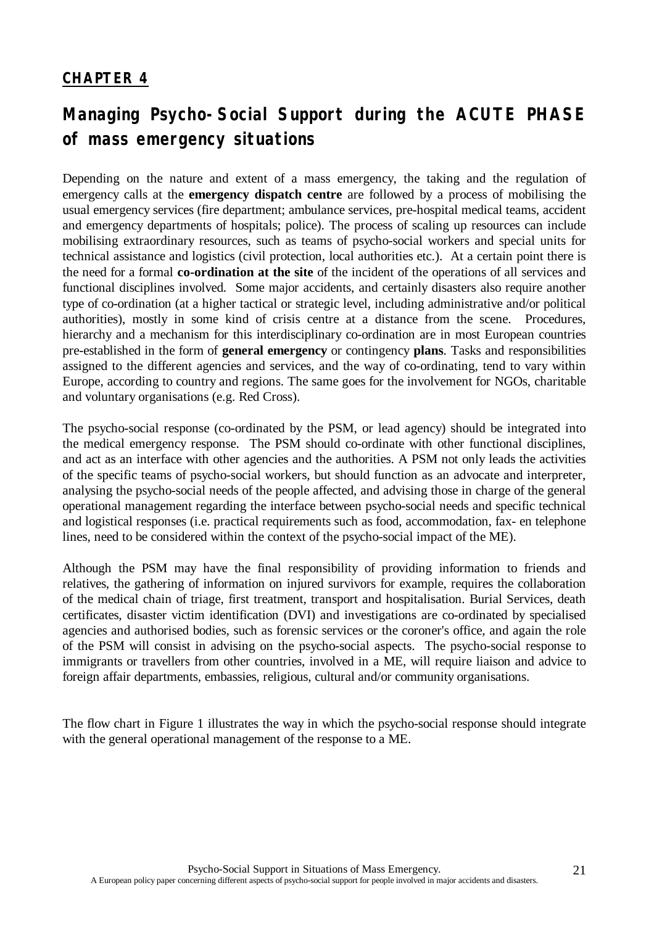# **CHAPTER 4**

# **Managing Psycho-Social Support during the ACUTE PHASE of mass emergency situations**

Depending on the nature and extent of a mass emergency, the taking and the regulation of emergency calls at the **emergency dispatch centre** are followed by a process of mobilising the usual emergency services (fire department; ambulance services, pre-hospital medical teams, accident and emergency departments of hospitals; police). The process of scaling up resources can include mobilising extraordinary resources, such as teams of psycho-social workers and special units for technical assistance and logistics (civil protection, local authorities etc.). At a certain point there is the need for a formal **co-ordination at the site** of the incident of the operations of all services and functional disciplines involved. Some major accidents, and certainly disasters also require another type of co-ordination (at a higher tactical or strategic level, including administrative and/or political authorities), mostly in some kind of crisis centre at a distance from the scene. Procedures, hierarchy and a mechanism for this interdisciplinary co-ordination are in most European countries pre-established in the form of **general emergency** or contingency **plans**. Tasks and responsibilities assigned to the different agencies and services, and the way of co-ordinating, tend to vary within Europe, according to country and regions. The same goes for the involvement for NGOs, charitable and voluntary organisations (e.g. Red Cross).

The psycho-social response (co-ordinated by the PSM, or lead agency) should be integrated into the medical emergency response. The PSM should co-ordinate with other functional disciplines, and act as an interface with other agencies and the authorities. A PSM not only leads the activities of the specific teams of psycho-social workers, but should function as an advocate and interpreter, analysing the psycho-social needs of the people affected, and advising those in charge of the general operational management regarding the interface between psycho-social needs and specific technical and logistical responses (i.e. practical requirements such as food, accommodation, fax- en telephone lines, need to be considered within the context of the psycho-social impact of the ME).

Although the PSM may have the final responsibility of providing information to friends and relatives, the gathering of information on injured survivors for example, requires the collaboration of the medical chain of triage, first treatment, transport and hospitalisation. Burial Services, death certificates, disaster victim identification (DVI) and investigations are co-ordinated by specialised agencies and authorised bodies, such as forensic services or the coroner's office, and again the role of the PSM will consist in advising on the psycho-social aspects. The psycho-social response to immigrants or travellers from other countries, involved in a ME, will require liaison and advice to foreign affair departments, embassies, religious, cultural and/or community organisations.

The flow chart in Figure 1 illustrates the way in which the psycho-social response should integrate with the general operational management of the response to a ME.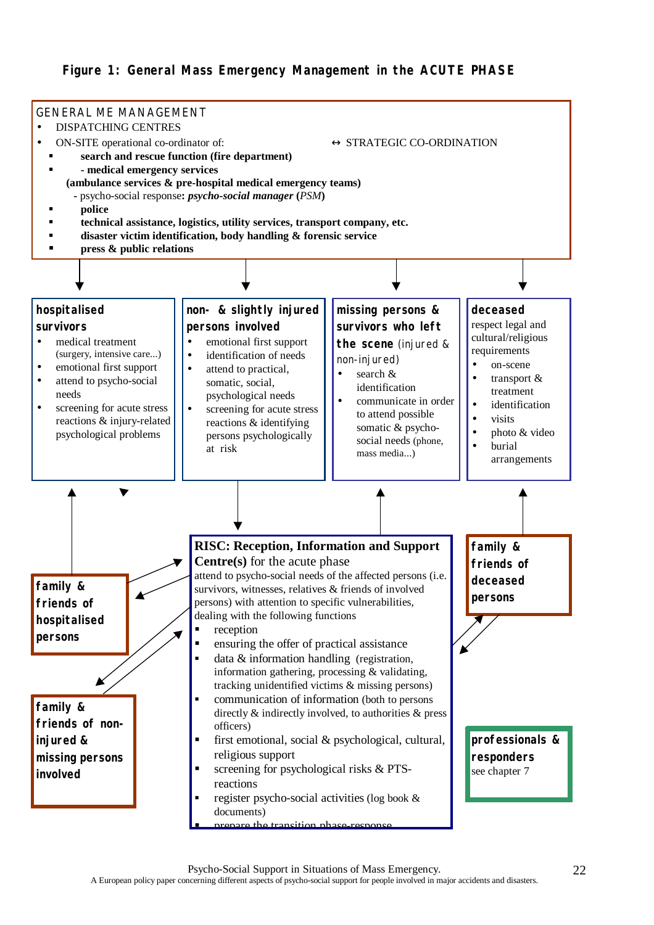## **Figure 1: General Mass Emergency Management in the ACUTE PHASE**

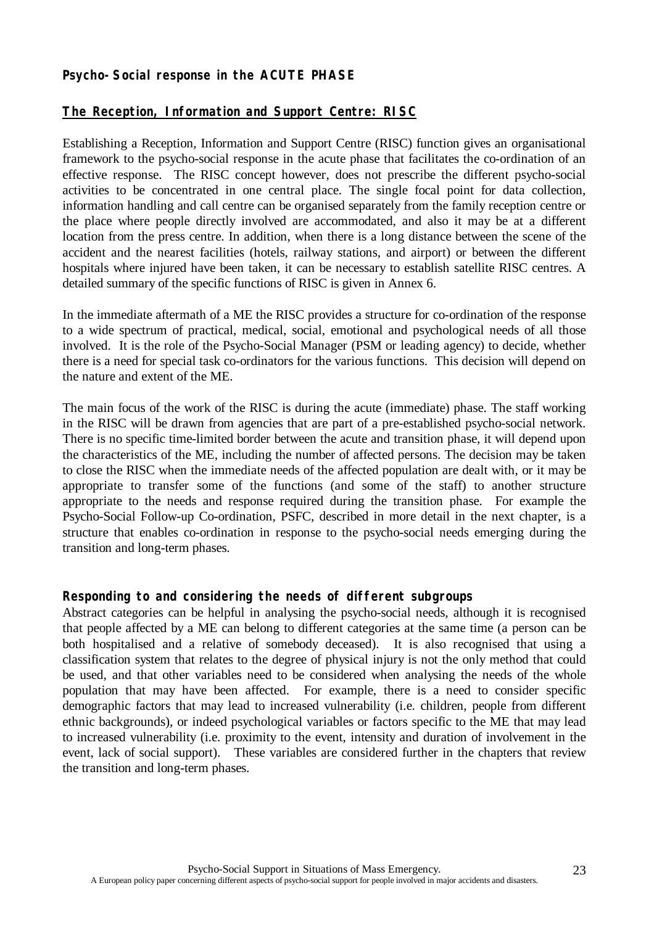## **Psycho-Social response in the ACUTE PHASE**

## **The Reception, Information and Support Centre: RISC**

Establishing a Reception, Information and Support Centre (RISC) function gives an organisational framework to the psycho-social response in the acute phase that facilitates the co-ordination of an effective response. The RISC concept however, does not prescribe the different psycho-social activities to be concentrated in one central place. The single focal point for data collection, information handling and call centre can be organised separately from the family reception centre or the place where people directly involved are accommodated, and also it may be at a different location from the press centre. In addition, when there is a long distance between the scene of the accident and the nearest facilities (hotels, railway stations, and airport) or between the different hospitals where injured have been taken, it can be necessary to establish satellite RISC centres. A detailed summary of the specific functions of RISC is given in Annex 6.

In the immediate aftermath of a ME the RISC provides a structure for co-ordination of the response to a wide spectrum of practical, medical, social, emotional and psychological needs of all those involved. It is the role of the Psycho-Social Manager (PSM or leading agency) to decide, whether there is a need for special task co-ordinators for the various functions. This decision will depend on the nature and extent of the ME.

The main focus of the work of the RISC is during the acute (immediate) phase. The staff working in the RISC will be drawn from agencies that are part of a pre-established psycho-social network. There is no specific time-limited border between the acute and transition phase, it will depend upon the characteristics of the ME, including the number of affected persons. The decision may be taken to close the RISC when the immediate needs of the affected population are dealt with, or it may be appropriate to transfer some of the functions (and some of the staff) to another structure appropriate to the needs and response required during the transition phase. For example the Psycho-Social Follow-up Co-ordination, PSFC, described in more detail in the next chapter, is a structure that enables co-ordination in response to the psycho-social needs emerging during the transition and long-term phases.

### **Responding to and considering the needs of different subgroups**

Abstract categories can be helpful in analysing the psycho-social needs, although it is recognised that people affected by a ME can belong to different categories at the same time (a person can be both hospitalised and a relative of somebody deceased). It is also recognised that using a classification system that relates to the degree of physical injury is not the only method that could be used, and that other variables need to be considered when analysing the needs of the whole population that may have been affected. For example, there is a need to consider specific demographic factors that may lead to increased vulnerability (i.e. children, people from different ethnic backgrounds), or indeed psychological variables or factors specific to the ME that may lead to increased vulnerability (i.e. proximity to the event, intensity and duration of involvement in the event, lack of social support). These variables are considered further in the chapters that review the transition and long-term phases.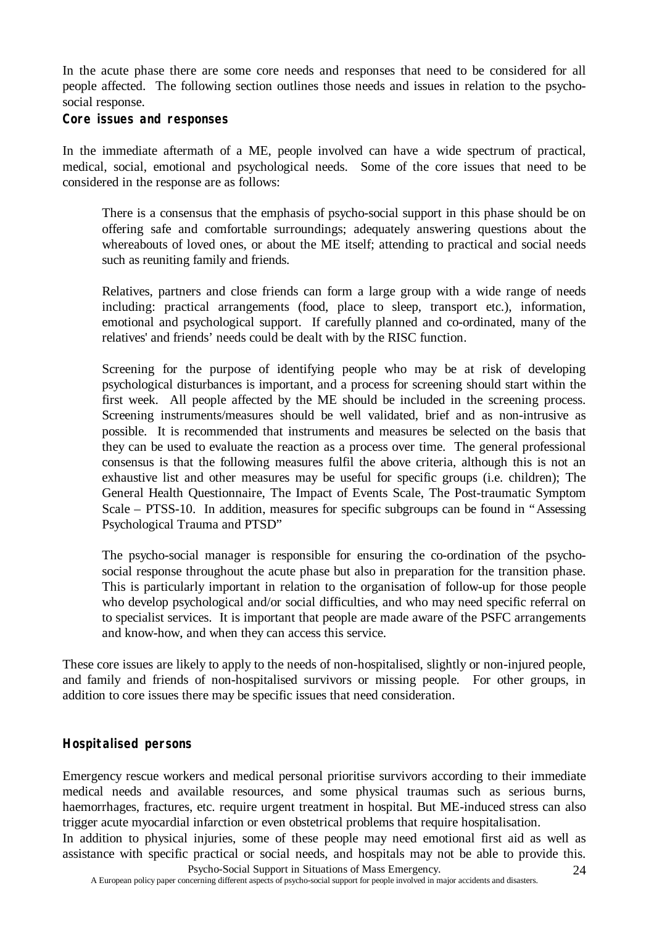In the acute phase there are some core needs and responses that need to be considered for all people affected. The following section outlines those needs and issues in relation to the psychosocial response.

### **Core issues and responses**

In the immediate aftermath of a ME, people involved can have a wide spectrum of practical, medical, social, emotional and psychological needs. Some of the core issues that need to be considered in the response are as follows:

There is a consensus that the emphasis of psycho-social support in this phase should be on offering safe and comfortable surroundings; adequately answering questions about the whereabouts of loved ones, or about the ME itself; attending to practical and social needs such as reuniting family and friends.

Relatives, partners and close friends can form a large group with a wide range of needs including: practical arrangements (food, place to sleep, transport etc.), information, emotional and psychological support. If carefully planned and co-ordinated, many of the relatives' and friends' needs could be dealt with by the RISC function.

Screening for the purpose of identifying people who may be at risk of developing psychological disturbances is important, and a process for screening should start within the first week. All people affected by the ME should be included in the screening process. Screening instruments/measures should be well validated, brief and as non-intrusive as possible. It is recommended that instruments and measures be selected on the basis that they can be used to evaluate the reaction as a process over time. The general professional consensus is that the following measures fulfil the above criteria, although this is not an exhaustive list and other measures may be useful for specific groups (i.e. children); The General Health Questionnaire, The Impact of Events Scale, The Post-traumatic Symptom Scale – PTSS-10. In addition, measures for specific subgroups can be found in "Assessing Psychological Trauma and PTSD"

The psycho-social manager is responsible for ensuring the co-ordination of the psychosocial response throughout the acute phase but also in preparation for the transition phase. This is particularly important in relation to the organisation of follow-up for those people who develop psychological and/or social difficulties, and who may need specific referral on to specialist services. It is important that people are made aware of the PSFC arrangements and know-how, and when they can access this service.

These core issues are likely to apply to the needs of non-hospitalised, slightly or non-injured people, and family and friends of non-hospitalised survivors or missing people. For other groups, in addition to core issues there may be specific issues that need consideration.

## **Hospitalised persons**

Emergency rescue workers and medical personal prioritise survivors according to their immediate medical needs and available resources, and some physical traumas such as serious burns, haemorrhages, fractures, etc. require urgent treatment in hospital. But ME-induced stress can also trigger acute myocardial infarction or even obstetrical problems that require hospitalisation.

Psycho-Social Support in Situations of Mass Emergency. In addition to physical injuries, some of these people may need emotional first aid as well as assistance with specific practical or social needs, and hospitals may not be able to provide this.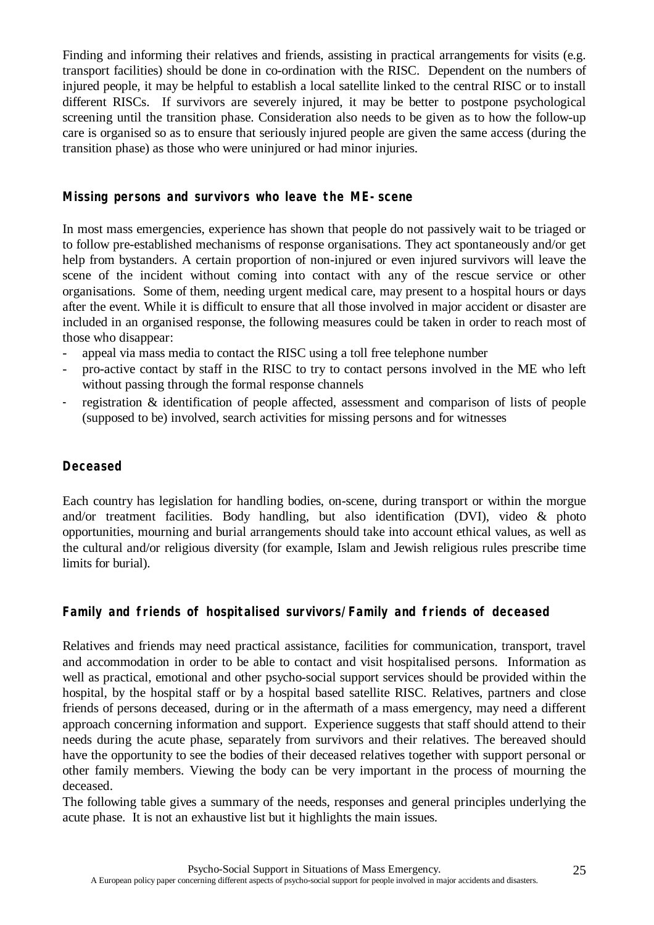Finding and informing their relatives and friends, assisting in practical arrangements for visits (e.g. transport facilities) should be done in co-ordination with the RISC. Dependent on the numbers of injured people, it may be helpful to establish a local satellite linked to the central RISC or to install different RISCs. If survivors are severely injured, it may be better to postpone psychological screening until the transition phase. Consideration also needs to be given as to how the follow-up care is organised so as to ensure that seriously injured people are given the same access (during the transition phase) as those who were uninjured or had minor injuries.

## **Missing persons and survivors who leave the ME-scene**

In most mass emergencies, experience has shown that people do not passively wait to be triaged or to follow pre-established mechanisms of response organisations. They act spontaneously and/or get help from bystanders. A certain proportion of non-injured or even injured survivors will leave the scene of the incident without coming into contact with any of the rescue service or other organisations. Some of them, needing urgent medical care, may present to a hospital hours or days after the event. While it is difficult to ensure that all those involved in major accident or disaster are included in an organised response, the following measures could be taken in order to reach most of those who disappear:

- appeal via mass media to contact the RISC using a toll free telephone number
- pro-active contact by staff in the RISC to try to contact persons involved in the ME who left without passing through the formal response channels
- registration & identification of people affected, assessment and comparison of lists of people (supposed to be) involved, search activities for missing persons and for witnesses

## **Deceased**

Each country has legislation for handling bodies, on-scene, during transport or within the morgue and/or treatment facilities. Body handling, but also identification (DVI), video & photo opportunities, mourning and burial arrangements should take into account ethical values, as well as the cultural and/or religious diversity (for example, Islam and Jewish religious rules prescribe time limits for burial).

## **Family and friends of hospitalised survivors/Family and friends of deceased**

Relatives and friends may need practical assistance, facilities for communication, transport, travel and accommodation in order to be able to contact and visit hospitalised persons. Information as well as practical, emotional and other psycho-social support services should be provided within the hospital, by the hospital staff or by a hospital based satellite RISC. Relatives, partners and close friends of persons deceased, during or in the aftermath of a mass emergency, may need a different approach concerning information and support. Experience suggests that staff should attend to their needs during the acute phase, separately from survivors and their relatives. The bereaved should have the opportunity to see the bodies of their deceased relatives together with support personal or other family members. Viewing the body can be very important in the process of mourning the deceased.

The following table gives a summary of the needs, responses and general principles underlying the acute phase. It is not an exhaustive list but it highlights the main issues.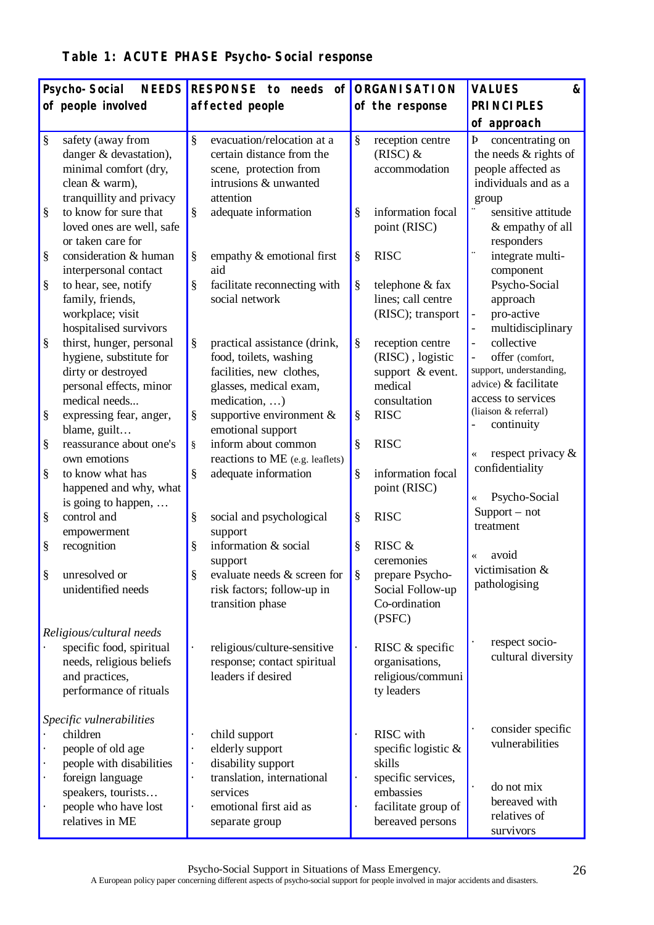| Table 1: ACUTE PHASE Psycho-Social response |  |  |
|---------------------------------------------|--|--|
|---------------------------------------------|--|--|

|           | <b>NEEDS</b><br>Psycho-Social                                                                                                                                              | RESPONSE to needs                                                                                                                                                   |        | of ORGANISATION                                                                                                                 | <b>VALUES</b><br>&                                                                                                             |
|-----------|----------------------------------------------------------------------------------------------------------------------------------------------------------------------------|---------------------------------------------------------------------------------------------------------------------------------------------------------------------|--------|---------------------------------------------------------------------------------------------------------------------------------|--------------------------------------------------------------------------------------------------------------------------------|
|           | of people involved                                                                                                                                                         | affected people                                                                                                                                                     |        | of the response                                                                                                                 | <b>PRINCIPLES</b>                                                                                                              |
|           |                                                                                                                                                                            |                                                                                                                                                                     |        |                                                                                                                                 | of approach                                                                                                                    |
| §<br>$\S$ | safety (away from<br>danger & devastation),<br>minimal comfort (dry,<br>clean & warm),<br>tranquillity and privacy<br>to know for sure that                                | ş<br>evacuation/relocation at a<br>certain distance from the<br>scene, protection from<br>intrusions & unwanted<br>attention<br>§<br>adequate information           | §<br>§ | reception centre<br>$(RISC)$ &<br>accommodation<br>information focal                                                            | Þ<br>concentrating on<br>the needs $&$ rights of<br>people affected as<br>individuals and as a<br>group<br>sensitive attitude  |
| §         | loved ones are well, safe<br>or taken care for<br>consideration & human<br>interpersonal contact                                                                           | §<br>empathy & emotional first<br>aid                                                                                                                               | §      | point (RISC)<br><b>RISC</b>                                                                                                     | & empathy of all<br>responders<br>integrate multi-<br>component                                                                |
| $\S$      | to hear, see, notify<br>family, friends,<br>workplace; visit<br>hospitalised survivors                                                                                     | §<br>facilitate reconnecting with<br>social network                                                                                                                 | §      | telephone & fax<br>lines; call centre<br>(RISC); transport                                                                      | Psycho-Social<br>approach<br>pro-active<br>$\qquad \qquad -$<br>multidisciplinary                                              |
| §<br>§    | thirst, hunger, personal<br>hygiene, substitute for<br>dirty or destroyed<br>personal effects, minor<br>medical needs<br>expressing fear, anger,                           | §<br>practical assistance (drink,<br>food, toilets, washing<br>facilities, new clothes,<br>glasses, medical exam,<br>medication, )<br>§<br>supportive environment & | ş<br>§ | reception centre<br>(RISC), logistic<br>support $&$ event.<br>medical<br>consultation<br><b>RISC</b>                            | collective<br>offer (comfort,<br>support, understanding,<br>advice) & facilitate<br>access to services<br>(liaison & referral) |
| $\S$      | blame, guilt<br>reassurance about one's<br>own emotions                                                                                                                    | emotional support<br>inform about common<br>ş<br>reactions to ME (e.g. leaflets)                                                                                    | ş      | <b>RISC</b>                                                                                                                     | continuity<br>respect privacy &<br>$\overline{\langle}$                                                                        |
| §<br>§    | to know what has<br>happened and why, what<br>is going to happen,<br>control and                                                                                           | ş<br>adequate information<br>§<br>social and psychological                                                                                                          | ş<br>§ | information focal<br>point (RISC)<br><b>RISC</b>                                                                                | confidentiality<br>Psycho-Social<br>«<br>$Support - not$<br>treatment                                                          |
| §         | empowerment<br>recognition                                                                                                                                                 | support<br>§<br>information & social<br>support                                                                                                                     | §      | RISC &<br>ceremonies                                                                                                            | avoid                                                                                                                          |
| §         | unresolved or<br>unidentified needs                                                                                                                                        | §<br>evaluate needs & screen for<br>risk factors; follow-up in<br>transition phase                                                                                  | §      | prepare Psycho-<br>Social Follow-up<br>Co-ordination<br>(PSFC)                                                                  | victimisation &<br>pathologising                                                                                               |
|           | Religious/cultural needs<br>specific food, spiritual<br>needs, religious beliefs<br>and practices,<br>performance of rituals                                               | religious/culture-sensitive<br>response; contact spiritual<br>leaders if desired                                                                                    |        | RISC & specific<br>organisations,<br>religious/communi<br>ty leaders                                                            | respect socio-<br>cultural diversity                                                                                           |
|           | Specific vulnerabilities<br>children<br>people of old age<br>people with disabilities<br>foreign language<br>speakers, tourists<br>people who have lost<br>relatives in ME | child support<br>elderly support<br>disability support<br>translation, international<br>services<br>emotional first aid as<br>separate group                        |        | <b>RISC</b> with<br>specific logistic &<br>skills<br>specific services,<br>embassies<br>facilitate group of<br>bereaved persons | consider specific<br>vulnerabilities<br>do not mix<br>bereaved with<br>relatives of<br>survivors                               |

Psycho-Social Support in Situations of Mass Emergency.

A European policy paper concerning different aspects of psycho-social support for people involved in major accidents and disasters.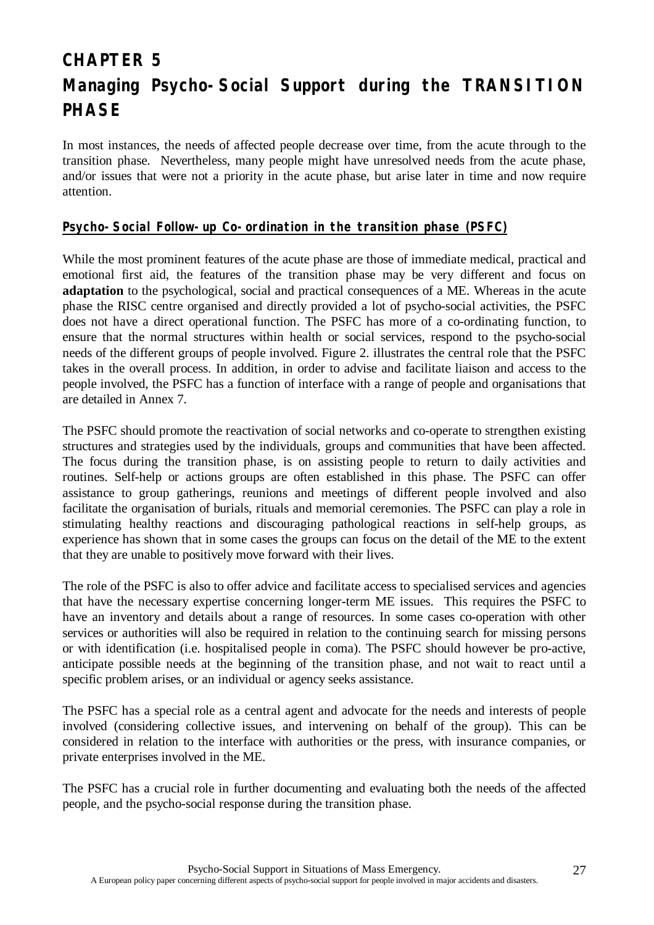# **CHAPTER 5 Managing Psycho-Social Support during the TRANSITION PHASE**

In most instances, the needs of affected people decrease over time, from the acute through to the transition phase. Nevertheless, many people might have unresolved needs from the acute phase, and/or issues that were not a priority in the acute phase, but arise later in time and now require attention.

### **Psycho-Social Follow-up Co-ordination in the transition phase (PSFC)**

While the most prominent features of the acute phase are those of immediate medical, practical and emotional first aid, the features of the transition phase may be very different and focus on **adaptation** to the psychological, social and practical consequences of a ME. Whereas in the acute phase the RISC centre organised and directly provided a lot of psycho-social activities, the PSFC does not have a direct operational function. The PSFC has more of a co-ordinating function, to ensure that the normal structures within health or social services, respond to the psycho-social needs of the different groups of people involved. Figure 2. illustrates the central role that the PSFC takes in the overall process. In addition, in order to advise and facilitate liaison and access to the people involved, the PSFC has a function of interface with a range of people and organisations that are detailed in Annex 7.

The PSFC should promote the reactivation of social networks and co-operate to strengthen existing structures and strategies used by the individuals, groups and communities that have been affected. The focus during the transition phase, is on assisting people to return to daily activities and routines. Self-help or actions groups are often established in this phase. The PSFC can offer assistance to group gatherings, reunions and meetings of different people involved and also facilitate the organisation of burials, rituals and memorial ceremonies. The PSFC can play a role in stimulating healthy reactions and discouraging pathological reactions in self-help groups, as experience has shown that in some cases the groups can focus on the detail of the ME to the extent that they are unable to positively move forward with their lives.

The role of the PSFC is also to offer advice and facilitate access to specialised services and agencies that have the necessary expertise concerning longer-term ME issues. This requires the PSFC to have an inventory and details about a range of resources. In some cases co-operation with other services or authorities will also be required in relation to the continuing search for missing persons or with identification (i.e. hospitalised people in coma). The PSFC should however be pro-active, anticipate possible needs at the beginning of the transition phase, and not wait to react until a specific problem arises, or an individual or agency seeks assistance.

The PSFC has a special role as a central agent and advocate for the needs and interests of people involved (considering collective issues, and intervening on behalf of the group). This can be considered in relation to the interface with authorities or the press, with insurance companies, or private enterprises involved in the ME.

The PSFC has a crucial role in further documenting and evaluating both the needs of the affected people, and the psycho-social response during the transition phase.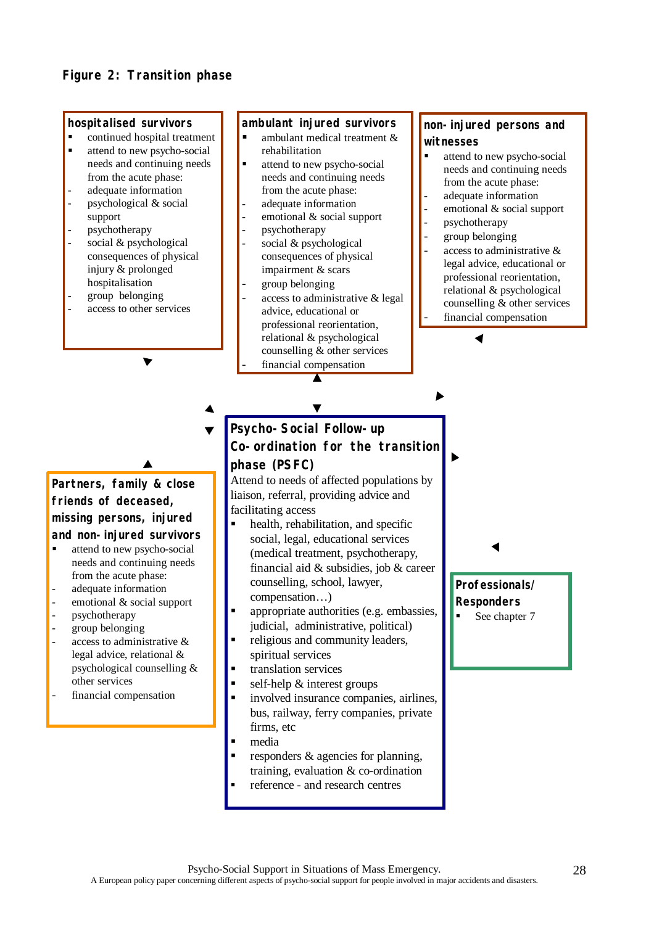#### **hospitalised survivors**

- ß continued hospital treatment
- ß attend to new psycho-social needs and continuing needs from the acute phase:
- adequate information psychological & social support
- psychotherapy
- social & psychological consequences of physical injury & prolonged hospitalisation
- group belonging
- access to other services

#### **ambulant injured survivors**

- ambulant medical treatment & rehabilitation
- ß attend to new psycho-social needs and continuing needs from the acute phase:
- adequate information
- emotional & social support
- psychotherapy
- social & psychological consequences of physical impairment & scars
- group belonging
- access to administrative & legal advice, educational or professional reorientation, relational & psychological counselling & other services financial compensation

 $\overline{\blacktriangle}$ 

 $\blacktriangledown$ 

## **non-injured persons and witnesses**

- $\blacksquare$  attend to new psycho-social needs and continuing needs from the acute phase:
- adequate information
- emotional & social support
- psychotherapy
- group belonging
- access to administrative  $\&$ legal advice, educational or professional reorientation, relational & psychological counselling & other services
- financial compensation

**Partners, family & close**

## **friends of deceased, missing persons, injured and non-injured survivors**

- ß attend to new psycho-social needs and continuing needs from the acute phase:
- adequate information
- emotional & social support
- psychotherapy
- group belonging
- access to administrative  $\&$ legal advice, relational & psychological counselling & other services
- financial compensation

**Psycho-Social Follow-up Co-ordination for the transition phase (PSFC)**

Attend to needs of affected populations by liaison, referral, providing advice and facilitating access

- $\blacksquare$  health, rehabilitation, and specific social, legal, educational services (medical treatment, psychotherapy, financial aid & subsidies, job & career counselling, school, lawyer, compensation… )
- ß appropriate authorities (e.g. embassies, judicial, administrative, political)
- ß religious and community leaders, spiritual services
- ß translation services
- self-help & interest groups
- ß involved insurance companies, airlines, bus, railway, ferry companies, private firms, etc
- ß media
- responders & agencies for planning, training, evaluation & co-ordination
- ß reference and research centres

**Professionals/ Responders**

See chapter 7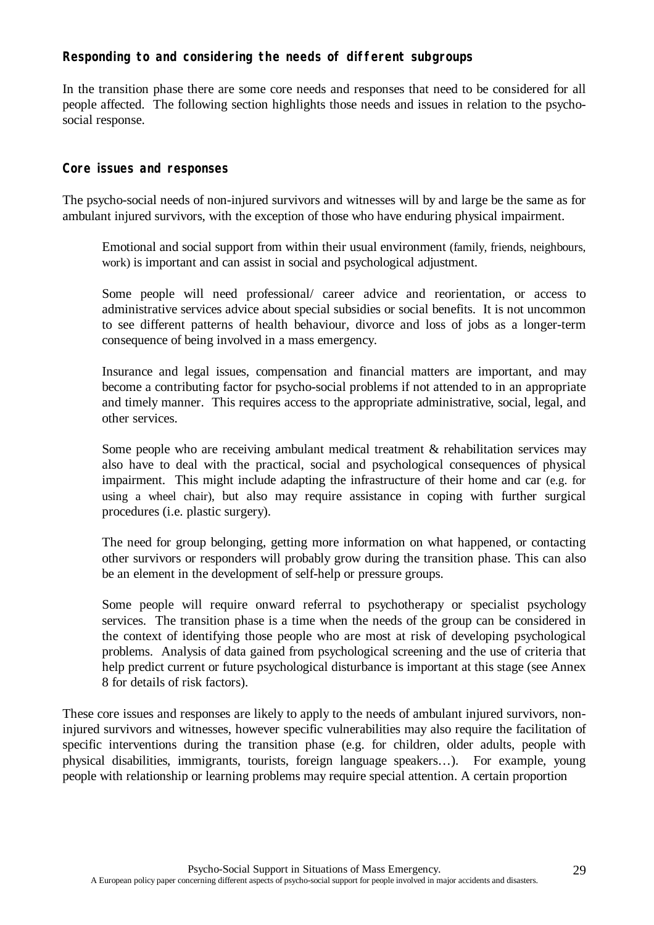## **Responding to and considering the needs of different subgroups**

In the transition phase there are some core needs and responses that need to be considered for all people affected. The following section highlights those needs and issues in relation to the psychosocial response.

### **Core issues and responses**

The psycho-social needs of non-injured survivors and witnesses will by and large be the same as for ambulant injured survivors, with the exception of those who have enduring physical impairment.

Emotional and social support from within their usual environment (family, friends, neighbours, work) is important and can assist in social and psychological adjustment.

Some people will need professional/ career advice and reorientation, or access to administrative services advice about special subsidies or social benefits. It is not uncommon to see different patterns of health behaviour, divorce and loss of jobs as a longer-term consequence of being involved in a mass emergency.

Insurance and legal issues, compensation and financial matters are important, and may become a contributing factor for psycho-social problems if not attended to in an appropriate and timely manner. This requires access to the appropriate administrative, social, legal, and other services.

Some people who are receiving ambulant medical treatment & rehabilitation services may also have to deal with the practical, social and psychological consequences of physical impairment. This might include adapting the infrastructure of their home and car (e.g. for using a wheel chair), but also may require assistance in coping with further surgical procedures (i.e. plastic surgery).

The need for group belonging, getting more information on what happened, or contacting other survivors or responders will probably grow during the transition phase. This can also be an element in the development of self-help or pressure groups.

Some people will require onward referral to psychotherapy or specialist psychology services. The transition phase is a time when the needs of the group can be considered in the context of identifying those people who are most at risk of developing psychological problems. Analysis of data gained from psychological screening and the use of criteria that help predict current or future psychological disturbance is important at this stage (see Annex 8 for details of risk factors).

These core issues and responses are likely to apply to the needs of ambulant injured survivors, noninjured survivors and witnesses, however specific vulnerabilities may also require the facilitation of specific interventions during the transition phase (e.g. for children, older adults, people with physical disabilities, immigrants, tourists, foreign language speakers… ). For example, young people with relationship or learning problems may require special attention. A certain proportion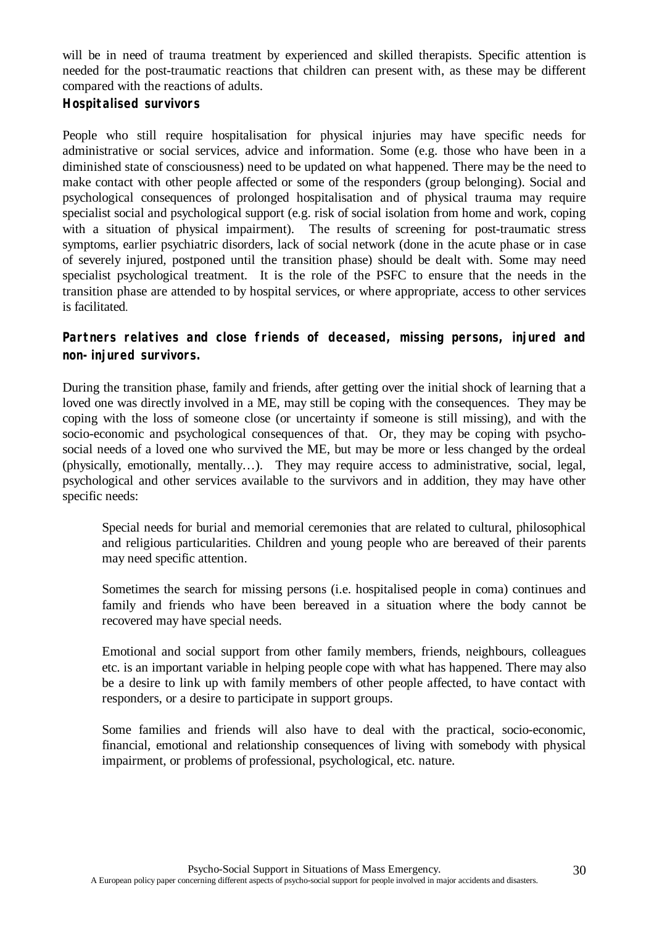will be in need of trauma treatment by experienced and skilled therapists. Specific attention is needed for the post-traumatic reactions that children can present with, as these may be different compared with the reactions of adults.

## **Hospitalised survivors**

People who still require hospitalisation for physical injuries may have specific needs for administrative or social services, advice and information. Some (e.g. those who have been in a diminished state of consciousness) need to be updated on what happened. There may be the need to make contact with other people affected or some of the responders (group belonging). Social and psychological consequences of prolonged hospitalisation and of physical trauma may require specialist social and psychological support (e.g. risk of social isolation from home and work, coping with a situation of physical impairment). The results of screening for post-traumatic stress symptoms, earlier psychiatric disorders, lack of social network (done in the acute phase or in case of severely injured, postponed until the transition phase) should be dealt with. Some may need specialist psychological treatment. It is the role of the PSFC to ensure that the needs in the transition phase are attended to by hospital services, or where appropriate, access to other services is facilitated.

## **Partners relatives and close friends of deceased, missing persons, injured and non-injured survivors.**

During the transition phase, family and friends, after getting over the initial shock of learning that a loved one was directly involved in a ME, may still be coping with the consequences. They may be coping with the loss of someone close (or uncertainty if someone is still missing), and with the socio-economic and psychological consequences of that. Or, they may be coping with psychosocial needs of a loved one who survived the ME, but may be more or less changed by the ordeal (physically, emotionally, mentally… ). They may require access to administrative, social, legal, psychological and other services available to the survivors and in addition, they may have other specific needs:

Special needs for burial and memorial ceremonies that are related to cultural, philosophical and religious particularities. Children and young people who are bereaved of their parents may need specific attention.

Sometimes the search for missing persons (i.e. hospitalised people in coma) continues and family and friends who have been bereaved in a situation where the body cannot be recovered may have special needs.

Emotional and social support from other family members, friends, neighbours, colleagues etc. is an important variable in helping people cope with what has happened. There may also be a desire to link up with family members of other people affected, to have contact with responders, or a desire to participate in support groups.

Some families and friends will also have to deal with the practical, socio-economic, financial, emotional and relationship consequences of living with somebody with physical impairment, or problems of professional, psychological, etc. nature.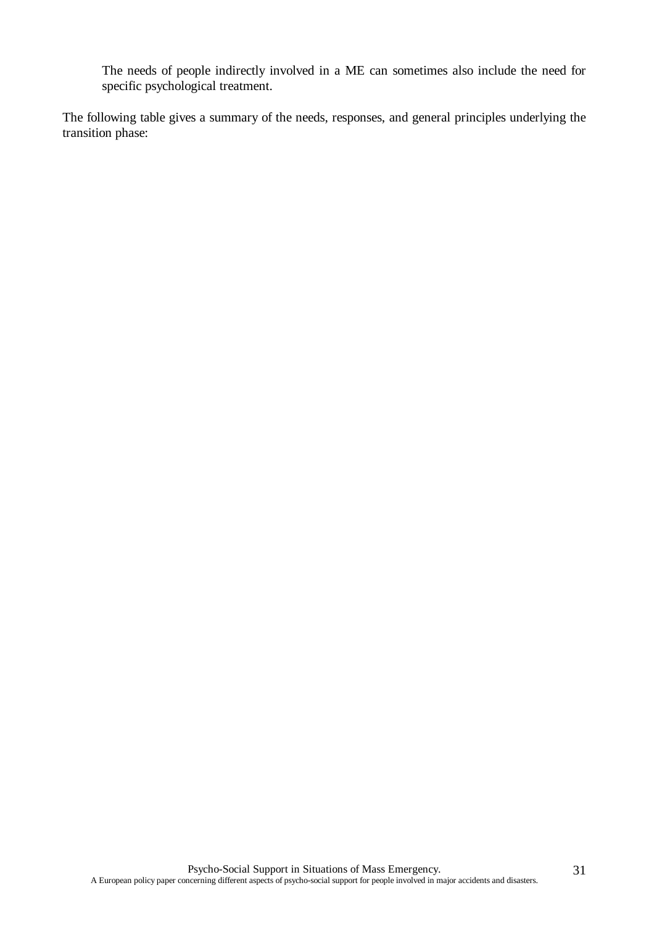The needs of people indirectly involved in a ME can sometimes also include the need for specific psychological treatment.

The following table gives a summary of the needs, responses, and general principles underlying the transition phase: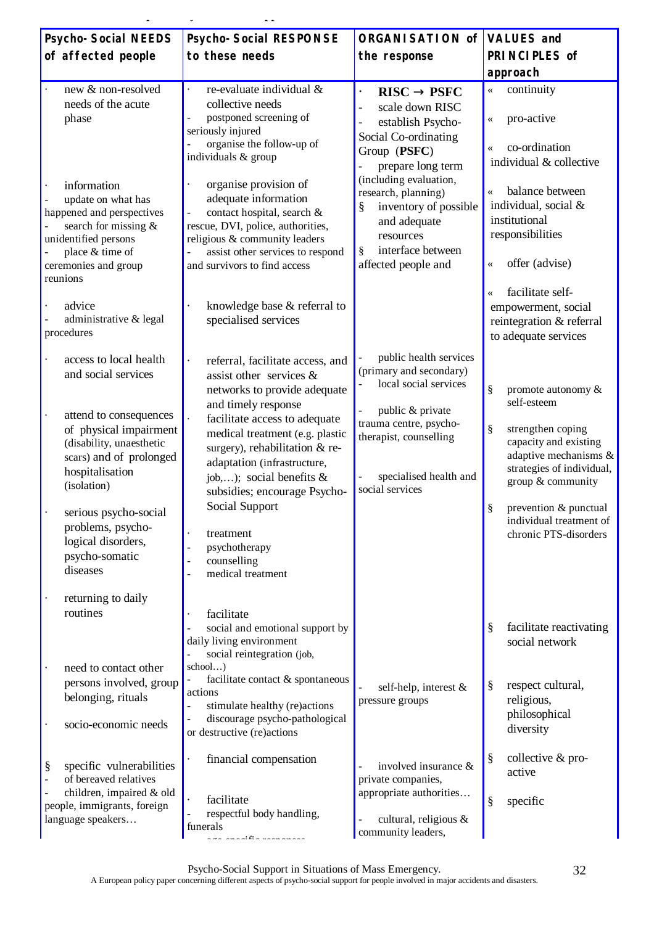| <b>Psycho-Social NEEDS</b>                                                                                                                                                                                                                                                                                         | <b>Psycho-Social RESPONSE</b>                                                                                                                                                                                                                                                                                                                                                                              | <b>ORGANISATION of</b>                                                                                                                                                                                                                                                                      | <b>VALUES and</b>                                                                                                                                                                                                                                      |
|--------------------------------------------------------------------------------------------------------------------------------------------------------------------------------------------------------------------------------------------------------------------------------------------------------------------|------------------------------------------------------------------------------------------------------------------------------------------------------------------------------------------------------------------------------------------------------------------------------------------------------------------------------------------------------------------------------------------------------------|---------------------------------------------------------------------------------------------------------------------------------------------------------------------------------------------------------------------------------------------------------------------------------------------|--------------------------------------------------------------------------------------------------------------------------------------------------------------------------------------------------------------------------------------------------------|
| of affected people                                                                                                                                                                                                                                                                                                 | to these needs                                                                                                                                                                                                                                                                                                                                                                                             | the response                                                                                                                                                                                                                                                                                | PRINCIPLES of                                                                                                                                                                                                                                          |
|                                                                                                                                                                                                                                                                                                                    |                                                                                                                                                                                                                                                                                                                                                                                                            |                                                                                                                                                                                                                                                                                             | approach                                                                                                                                                                                                                                               |
| new & non-resolved<br>needs of the acute<br>phase<br>information<br>update on what has<br>happened and perspectives<br>search for missing &<br>unidentified persons<br>place & time of                                                                                                                             | re-evaluate individual &<br>collective needs<br>postponed screening of<br>seriously injured<br>organise the follow-up of<br>individuals & group<br>organise provision of<br>adequate information<br>contact hospital, search &<br>rescue, DVI, police, authorities,<br>religious & community leaders<br>assist other services to respond                                                                   | <b>RISC® PSFC</b><br>$\bullet$<br>scale down RISC<br>$\overline{a}$<br>establish Psycho-<br>Social Co-ordinating<br>Group (PSFC)<br>prepare long term<br>(including evaluation,<br>research, planning)<br>ş<br>inventory of possible<br>and adequate<br>resources<br>interface between<br>§ | continuity<br>pro-active<br>$\ll$<br>co-ordination<br>$\ll$<br>individual & collective<br>balance between<br>$\overline{\mathbf{X}}$<br>individual, social &<br>institutional<br>responsibilities                                                      |
| ceremonies and group<br>reunions                                                                                                                                                                                                                                                                                   | and survivors to find access                                                                                                                                                                                                                                                                                                                                                                               | affected people and                                                                                                                                                                                                                                                                         | offer (advise)<br>$\ll$                                                                                                                                                                                                                                |
| advice<br>administrative & legal<br>procedures                                                                                                                                                                                                                                                                     | knowledge base & referral to<br>specialised services                                                                                                                                                                                                                                                                                                                                                       |                                                                                                                                                                                                                                                                                             | facilitate self-<br>$\overline{\langle}$<br>empowerment, social<br>reintegration & referral<br>to adequate services                                                                                                                                    |
| access to local health<br>and social services<br>attend to consequences<br>of physical impairment<br>(disability, unaesthetic<br>scars) and of prolonged<br>hospitalisation<br>(isolation)<br>serious psycho-social<br>problems, psycho-<br>logical disorders,<br>psycho-somatic<br>diseases<br>returning to daily | referral, facilitate access, and<br>assist other services &<br>networks to provide adequate<br>and timely response<br>facilitate access to adequate<br>medical treatment (e.g. plastic<br>surgery), rehabilitation & re-<br>adaptation (infrastructure,<br>job,); social benefits $\&$<br>subsidies; encourage Psycho-<br>Social Support<br>treatment<br>psychotherapy<br>counselling<br>medical treatment | public health services<br>(primary and secondary)<br>local social services<br>public & private<br>$\mathbb{L}$<br>trauma centre, psycho-<br>therapist, counselling<br>specialised health and<br>social services                                                                             | §<br>promote autonomy &<br>self-esteem<br>§<br>strengthen coping<br>capacity and existing<br>adaptive mechanisms &<br>strategies of individual,<br>group & community<br>§<br>prevention & punctual<br>individual treatment of<br>chronic PTS-disorders |
| routines<br>need to contact other<br>persons involved, group<br>belonging, rituals<br>socio-economic needs                                                                                                                                                                                                         | facilitate<br>social and emotional support by<br>daily living environment<br>social reintegration (job,<br>school)<br>facilitate contact & spontaneous<br>actions<br>stimulate healthy (re)actions<br>discourage psycho-pathological<br>or destructive (re)actions                                                                                                                                         | self-help, interest &<br>pressure groups                                                                                                                                                                                                                                                    | §<br>facilitate reactivating<br>social network<br>§<br>respect cultural,<br>religious,<br>philosophical<br>diversity                                                                                                                                   |
| §<br>specific vulnerabilities<br>of bereaved relatives<br>children, impaired & old<br>people, immigrants, foreign<br>language speakers                                                                                                                                                                             | financial compensation<br>facilitate<br>respectful body handling,<br>funerals                                                                                                                                                                                                                                                                                                                              | involved insurance &<br>private companies,<br>appropriate authorities<br>cultural, religious &<br>$\overline{\phantom{a}}$<br>community leaders,                                                                                                                                            | collective & pro-<br>§<br>active<br>§<br>specific                                                                                                                                                                                                      |

**Table 2: Transition phase Psycho-Social Support**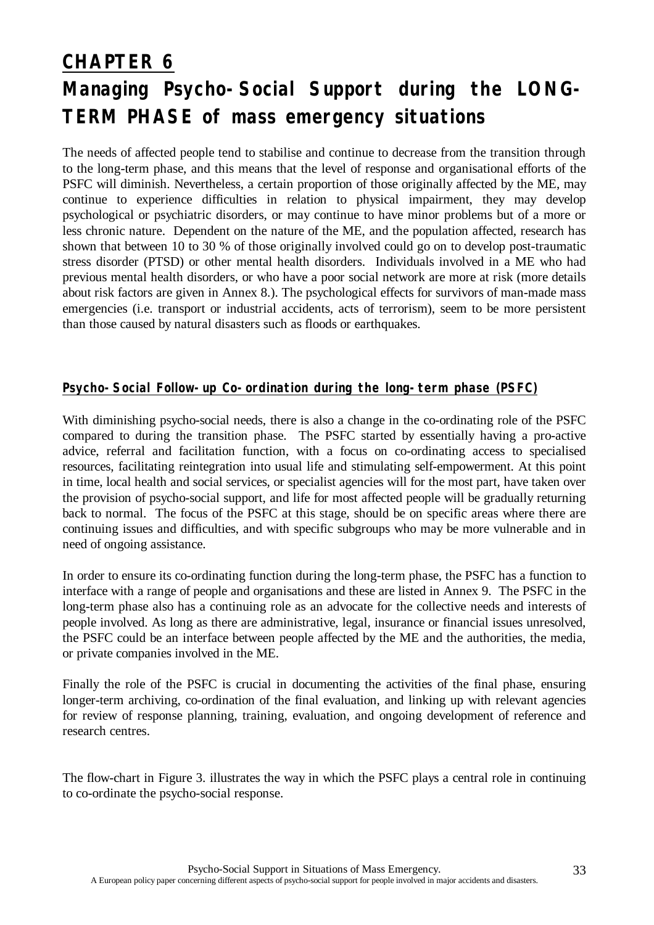# **CHAPTER 6 Managing Psycho-Social Support during the LONG-TERM PHASE of mass emergency situations**

The needs of affected people tend to stabilise and continue to decrease from the transition through to the long-term phase, and this means that the level of response and organisational efforts of the PSFC will diminish. Nevertheless, a certain proportion of those originally affected by the ME, may continue to experience difficulties in relation to physical impairment, they may develop psychological or psychiatric disorders, or may continue to have minor problems but of a more or less chronic nature. Dependent on the nature of the ME, and the population affected, research has shown that between 10 to 30 % of those originally involved could go on to develop post-traumatic stress disorder (PTSD) or other mental health disorders. Individuals involved in a ME who had previous mental health disorders, or who have a poor social network are more at risk (more details about risk factors are given in Annex 8.). The psychological effects for survivors of man-made mass emergencies (i.e. transport or industrial accidents, acts of terrorism), seem to be more persistent than those caused by natural disasters such as floods or earthquakes.

## **Psycho-Social Follow-up Co-ordination during the long-term phase (PSFC)**

With diminishing psycho-social needs, there is also a change in the co-ordinating role of the PSFC compared to during the transition phase. The PSFC started by essentially having a pro-active advice, referral and facilitation function, with a focus on co-ordinating access to specialised resources, facilitating reintegration into usual life and stimulating self-empowerment. At this point in time, local health and social services, or specialist agencies will for the most part, have taken over the provision of psycho-social support, and life for most affected people will be gradually returning back to normal. The focus of the PSFC at this stage, should be on specific areas where there are continuing issues and difficulties, and with specific subgroups who may be more vulnerable and in need of ongoing assistance.

In order to ensure its co-ordinating function during the long-term phase, the PSFC has a function to interface with a range of people and organisations and these are listed in Annex 9. The PSFC in the long-term phase also has a continuing role as an advocate for the collective needs and interests of people involved. As long as there are administrative, legal, insurance or financial issues unresolved, the PSFC could be an interface between people affected by the ME and the authorities, the media, or private companies involved in the ME.

Finally the role of the PSFC is crucial in documenting the activities of the final phase, ensuring longer-term archiving, co-ordination of the final evaluation, and linking up with relevant agencies for review of response planning, training, evaluation, and ongoing development of reference and research centres.

The flow-chart in Figure 3. illustrates the way in which the PSFC plays a central role in continuing to co-ordinate the psycho-social response.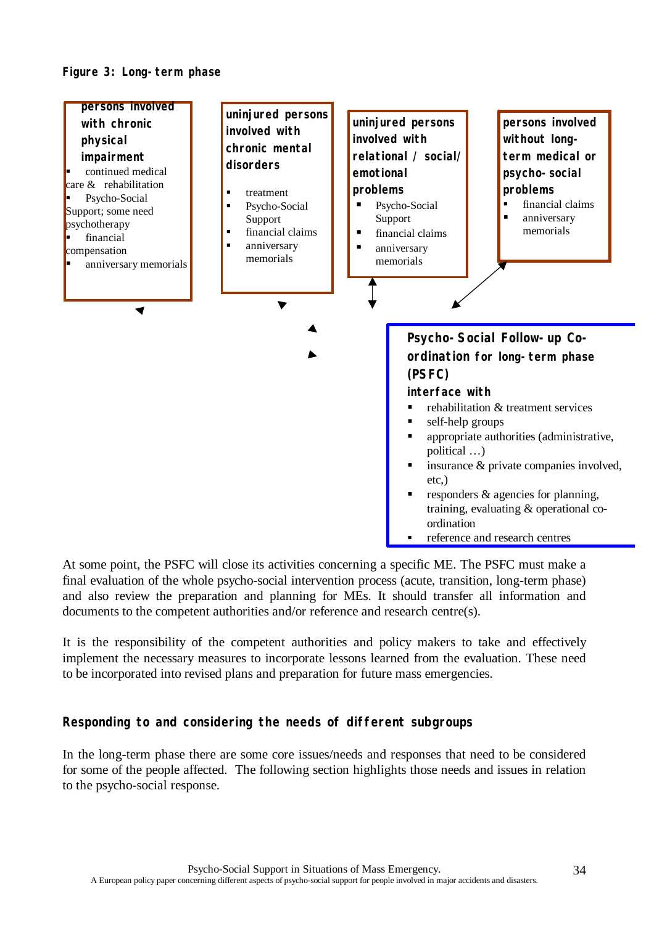



At some point, the PSFC will close its activities concerning a specific ME. The PSFC must make a final evaluation of the whole psycho-social intervention process (acute, transition, long-term phase) and also review the preparation and planning for MEs. It should transfer all information and documents to the competent authorities and/or reference and research centre(s).

It is the responsibility of the competent authorities and policy makers to take and effectively implement the necessary measures to incorporate lessons learned from the evaluation. These need to be incorporated into revised plans and preparation for future mass emergencies.

## **Responding to and considering the needs of different subgroups**

In the long-term phase there are some core issues/needs and responses that need to be considered for some of the people affected. The following section highlights those needs and issues in relation to the psycho-social response.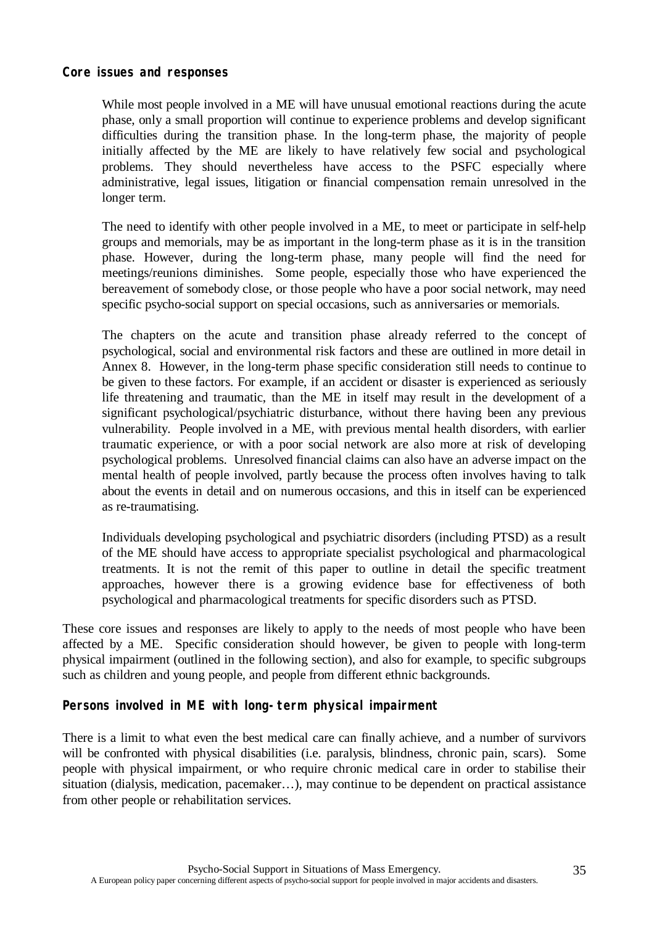### **Core issues and responses**

While most people involved in a ME will have unusual emotional reactions during the acute phase, only a small proportion will continue to experience problems and develop significant difficulties during the transition phase. In the long-term phase, the majority of people initially affected by the ME are likely to have relatively few social and psychological problems. They should nevertheless have access to the PSFC especially where administrative, legal issues, litigation or financial compensation remain unresolved in the longer term.

The need to identify with other people involved in a ME, to meet or participate in self-help groups and memorials, may be as important in the long-term phase as it is in the transition phase. However, during the long-term phase, many people will find the need for meetings/reunions diminishes. Some people, especially those who have experienced the bereavement of somebody close, or those people who have a poor social network, may need specific psycho-social support on special occasions, such as anniversaries or memorials.

The chapters on the acute and transition phase already referred to the concept of psychological, social and environmental risk factors and these are outlined in more detail in Annex 8. However, in the long-term phase specific consideration still needs to continue to be given to these factors. For example, if an accident or disaster is experienced as seriously life threatening and traumatic, than the ME in itself may result in the development of a significant psychological/psychiatric disturbance, without there having been any previous vulnerability. People involved in a ME, with previous mental health disorders, with earlier traumatic experience, or with a poor social network are also more at risk of developing psychological problems. Unresolved financial claims can also have an adverse impact on the mental health of people involved, partly because the process often involves having to talk about the events in detail and on numerous occasions, and this in itself can be experienced as re-traumatising.

Individuals developing psychological and psychiatric disorders (including PTSD) as a result of the ME should have access to appropriate specialist psychological and pharmacological treatments. It is not the remit of this paper to outline in detail the specific treatment approaches, however there is a growing evidence base for effectiveness of both psychological and pharmacological treatments for specific disorders such as PTSD.

These core issues and responses are likely to apply to the needs of most people who have been affected by a ME. Specific consideration should however, be given to people with long-term physical impairment (outlined in the following section), and also for example, to specific subgroups such as children and young people, and people from different ethnic backgrounds.

## **Persons involved in ME with long-term physical impairment**

There is a limit to what even the best medical care can finally achieve, and a number of survivors will be confronted with physical disabilities (i.e. paralysis, blindness, chronic pain, scars). Some people with physical impairment, or who require chronic medical care in order to stabilise their situation (dialysis, medication, pacemaker… ), may continue to be dependent on practical assistance from other people or rehabilitation services.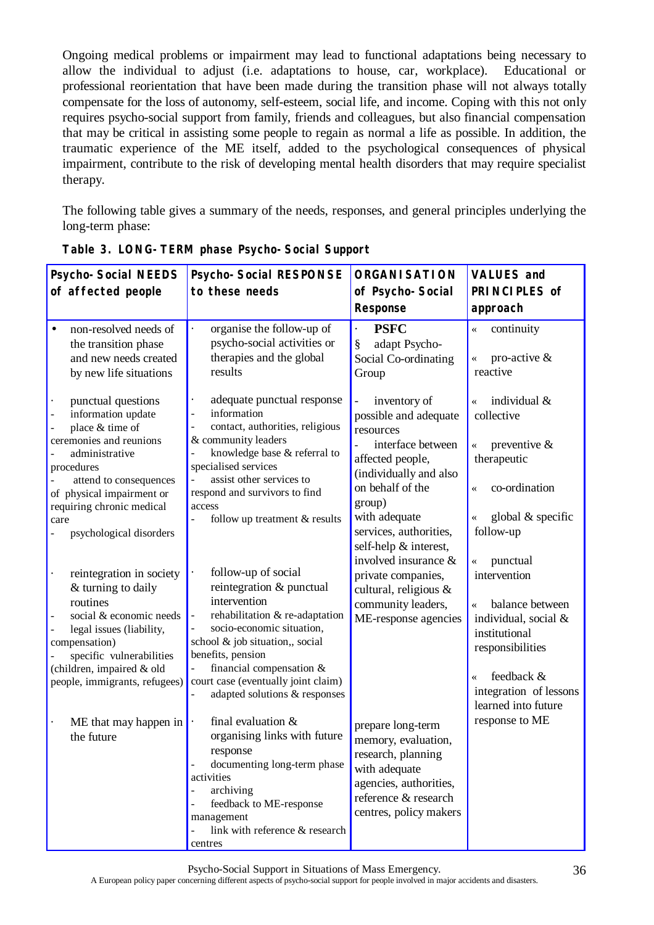Ongoing medical problems or impairment may lead to functional adaptations being necessary to allow the individual to adjust (i.e. adaptations to house, car, workplace). Educational or professional reorientation that have been made during the transition phase will not always totally compensate for the loss of autonomy, self-esteem, social life, and income. Coping with this not only requires psycho-social support from family, friends and colleagues, but also financial compensation that may be critical in assisting some people to regain as normal a life as possible. In addition, the traumatic experience of the ME itself, added to the psychological consequences of physical impairment, contribute to the risk of developing mental health disorders that may require specialist therapy.

The following table gives a summary of the needs, responses, and general principles underlying the long-term phase:

| <b>Psycho-Social NEEDS</b>                                                                                                                                                                                                                                                                                                                                                                                                     | <b>Psycho-Social RESPONSE</b>                                                                                                                                                                                                                                                                                                                                                                                                                                      | <b>ORGANISATION</b>                                                                                                                                                                                                                                                                                                  | <b>VALUES and</b>                                                                                                                                                                                                                                     |
|--------------------------------------------------------------------------------------------------------------------------------------------------------------------------------------------------------------------------------------------------------------------------------------------------------------------------------------------------------------------------------------------------------------------------------|--------------------------------------------------------------------------------------------------------------------------------------------------------------------------------------------------------------------------------------------------------------------------------------------------------------------------------------------------------------------------------------------------------------------------------------------------------------------|----------------------------------------------------------------------------------------------------------------------------------------------------------------------------------------------------------------------------------------------------------------------------------------------------------------------|-------------------------------------------------------------------------------------------------------------------------------------------------------------------------------------------------------------------------------------------------------|
| of affected people                                                                                                                                                                                                                                                                                                                                                                                                             | to these needs                                                                                                                                                                                                                                                                                                                                                                                                                                                     | of Psycho-Social                                                                                                                                                                                                                                                                                                     | PRINCIPLES of                                                                                                                                                                                                                                         |
|                                                                                                                                                                                                                                                                                                                                                                                                                                |                                                                                                                                                                                                                                                                                                                                                                                                                                                                    | <b>Response</b>                                                                                                                                                                                                                                                                                                      | approach                                                                                                                                                                                                                                              |
| $\bullet$<br>non-resolved needs of<br>the transition phase<br>and new needs created<br>by new life situations                                                                                                                                                                                                                                                                                                                  | organise the follow-up of<br>psycho-social activities or<br>therapies and the global<br>results                                                                                                                                                                                                                                                                                                                                                                    | <b>PSFC</b><br>adapt Psycho-<br>§<br>Social Co-ordinating<br>Group                                                                                                                                                                                                                                                   | continuity<br>$\ll$<br>pro-active $\&$<br>reactive                                                                                                                                                                                                    |
| punctual questions<br>$\ddot{\phantom{a}}$<br>information update<br>$\overline{\phantom{a}}$<br>place & time of<br>ceremonies and reunions<br>administrative<br>procedures<br>attend to consequences<br>of physical impairment or<br>requiring chronic medical<br>care<br>psychological disorders<br>reintegration in society<br>$\blacksquare$<br>& turning to daily<br>routines<br>social & economic needs<br>$\overline{a}$ | adequate punctual response<br>$\blacksquare$<br>information<br>÷,<br>contact, authorities, religious<br>÷,<br>& community leaders<br>knowledge base & referral to<br>specialised services<br>assist other services to<br>$\overline{a}$<br>respond and survivors to find<br>access<br>follow up treatment & results<br>follow-up of social<br>$\ddot{\phantom{a}}$<br>reintegration & punctual<br>intervention<br>rehabilitation & re-adaptation<br>$\blacksquare$ | inventory of<br>possible and adequate<br>resources<br>interface between<br>affected people,<br>(individually and also<br>on behalf of the<br>group)<br>with adequate<br>services, authorities,<br>self-help & interest,<br>involved insurance &<br>private companies,<br>cultural, religious &<br>community leaders, | individual &<br>$\overline{\bf{K}}$<br>collective<br>preventive $\&$<br>$\overline{\bf{X}}$<br>therapeutic<br>co-ordination<br>$\ll$<br>global & specific<br>follow-up<br>punctual<br>$\ll$<br>intervention<br>balance between<br>$\overline{\bf{K}}$ |
| legal issues (liability,<br>compensation)<br>specific vulnerabilities<br>(children, impaired & old<br>people, immigrants, refugees)                                                                                                                                                                                                                                                                                            | socio-economic situation,<br>school & job situation,, social<br>benefits, pension<br>financial compensation &<br>$\blacksquare$<br>court case (eventually joint claim)<br>adapted solutions & responses                                                                                                                                                                                                                                                            | ME-response agencies                                                                                                                                                                                                                                                                                                 | individual, social &<br>institutional<br>responsibilities<br>feedback &<br>$\ll$<br>integration of lessons<br>learned into future                                                                                                                     |
| ME that may happen in<br>$\bullet$<br>the future                                                                                                                                                                                                                                                                                                                                                                               | final evaluation $&$<br>organising links with future<br>response<br>documenting long-term phase<br>activities<br>archiving<br>feedback to ME-response<br>management<br>link with reference & research<br>centres                                                                                                                                                                                                                                                   | prepare long-term<br>memory, evaluation,<br>research, planning<br>with adequate<br>agencies, authorities,<br>reference & research<br>centres, policy makers                                                                                                                                                          | response to ME                                                                                                                                                                                                                                        |

**Table 3. LONG-TERM phase Psycho-Social Support**

Psycho-Social Support in Situations of Mass Emergency.

A European policy paper concerning different aspects of psycho-social support for people involved in major accidents and disasters.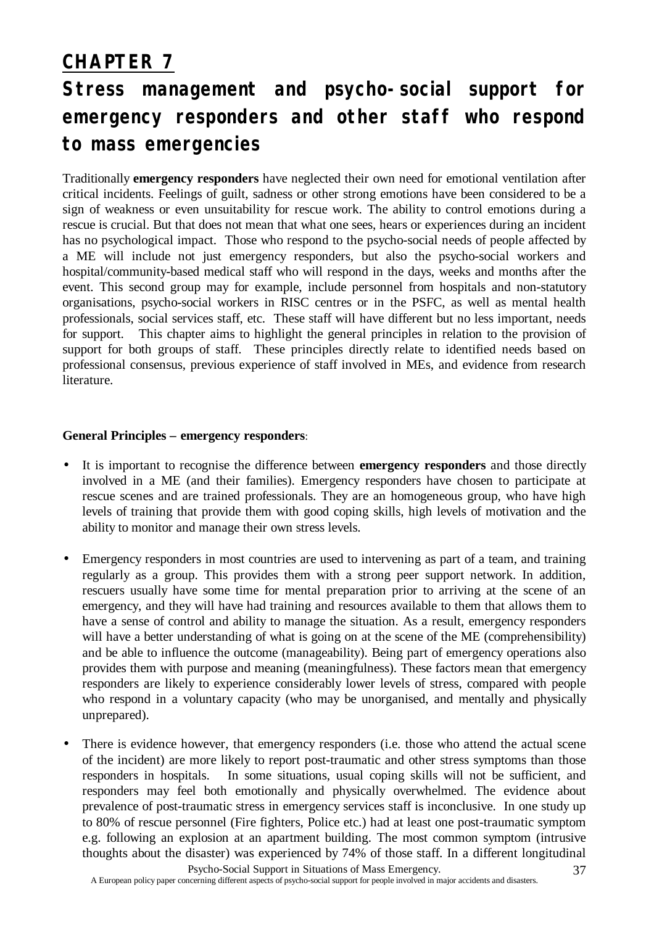# **CHAPTER 7**

# **Stress management and psycho-social support for emergency responders and other staff who respond to mass emergencies**

Traditionally **emergency responders** have neglected their own need for emotional ventilation after critical incidents. Feelings of guilt, sadness or other strong emotions have been considered to be a sign of weakness or even unsuitability for rescue work. The ability to control emotions during a rescue is crucial. But that does not mean that what one sees, hears or experiences during an incident has no psychological impact. Those who respond to the psycho-social needs of people affected by a ME will include not just emergency responders, but also the psycho-social workers and hospital/community-based medical staff who will respond in the days, weeks and months after the event. This second group may for example, include personnel from hospitals and non-statutory organisations, psycho-social workers in RISC centres or in the PSFC, as well as mental health professionals, social services staff, etc. These staff will have different but no less important, needs for support. This chapter aims to highlight the general principles in relation to the provision of support for both groups of staff. These principles directly relate to identified needs based on professional consensus, previous experience of staff involved in MEs, and evidence from research literature.

### **General Principles – emergency responders**:

- It is important to recognise the difference between **emergency responders** and those directly involved in a ME (and their families). Emergency responders have chosen to participate at rescue scenes and are trained professionals. They are an homogeneous group, who have high levels of training that provide them with good coping skills, high levels of motivation and the ability to monitor and manage their own stress levels.
- Emergency responders in most countries are used to intervening as part of a team, and training regularly as a group. This provides them with a strong peer support network. In addition, rescuers usually have some time for mental preparation prior to arriving at the scene of an emergency, and they will have had training and resources available to them that allows them to have a sense of control and ability to manage the situation. As a result, emergency responders will have a better understanding of what is going on at the scene of the ME (comprehensibility) and be able to influence the outcome (manageability). Being part of emergency operations also provides them with purpose and meaning (meaningfulness). These factors mean that emergency responders are likely to experience considerably lower levels of stress, compared with people who respond in a voluntary capacity (who may be unorganised, and mentally and physically unprepared).
- There is evidence however, that emergency responders (i.e. those who attend the actual scene of the incident) are more likely to report post-traumatic and other stress symptoms than those responders in hospitals. In some situations, usual coping skills will not be sufficient, and responders may feel both emotionally and physically overwhelmed. The evidence about prevalence of post-traumatic stress in emergency services staff is inconclusive. In one study up to 80% of rescue personnel (Fire fighters, Police etc.) had at least one post-traumatic symptom e.g. following an explosion at an apartment building. The most common symptom (intrusive thoughts about the disaster) was experienced by 74% of those staff. In a different longitudinal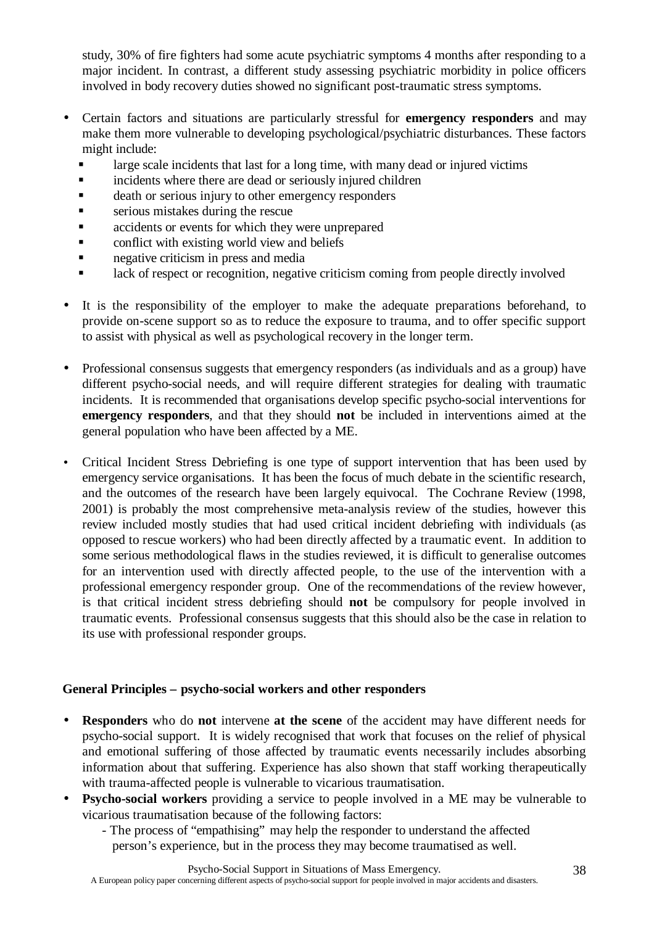study, 30% of fire fighters had some acute psychiatric symptoms 4 months after responding to a major incident. In contrast, a different study assessing psychiatric morbidity in police officers involved in body recovery duties showed no significant post-traumatic stress symptoms.

- Certain factors and situations are particularly stressful for **emergency responders** and may make them more vulnerable to developing psychological/psychiatric disturbances. These factors might include:
	- large scale incidents that last for a long time, with many dead or injured victims
	- **Example 1** incidents where there are dead or seriously injured children
	- **Example 3** death or serious injury to other emergency responders
	- $\blacksquare$  serious mistakes during the rescue
	- **Exercise accidents or events for which they were unprepared**
	- $\blacksquare$  conflict with existing world view and beliefs
	- **negative criticism in press and media**
	- lack of respect or recognition, negative criticism coming from people directly involved
- It is the responsibility of the employer to make the adequate preparations beforehand, to provide on-scene support so as to reduce the exposure to trauma, and to offer specific support to assist with physical as well as psychological recovery in the longer term.
- Professional consensus suggests that emergency responders (as individuals and as a group) have different psycho-social needs, and will require different strategies for dealing with traumatic incidents. It is recommended that organisations develop specific psycho-social interventions for **emergency responders**, and that they should **not** be included in interventions aimed at the general population who have been affected by a ME.
- Critical Incident Stress Debriefing is one type of support intervention that has been used by emergency service organisations. It has been the focus of much debate in the scientific research, and the outcomes of the research have been largely equivocal. The Cochrane Review (1998, 2001) is probably the most comprehensive meta-analysis review of the studies, however this review included mostly studies that had used critical incident debriefing with individuals (as opposed to rescue workers) who had been directly affected by a traumatic event. In addition to some serious methodological flaws in the studies reviewed, it is difficult to generalise outcomes for an intervention used with directly affected people, to the use of the intervention with a professional emergency responder group. One of the recommendations of the review however, is that critical incident stress debriefing should **not** be compulsory for people involved in traumatic events. Professional consensus suggests that this should also be the case in relation to its use with professional responder groups.

## **General Principles – psycho-social workers and other responders**

- **Responders** who do **not** intervene **at the scene** of the accident may have different needs for psycho-social support. It is widely recognised that work that focuses on the relief of physical and emotional suffering of those affected by traumatic events necessarily includes absorbing information about that suffering. Experience has also shown that staff working therapeutically with trauma-affected people is vulnerable to vicarious traumatisation.
- **Psycho-social workers** providing a service to people involved in a ME may be vulnerable to vicarious traumatisation because of the following factors:
	- The process of "empathising" may help the responder to understand the affected person's experience, but in the process they may become traumatised as well.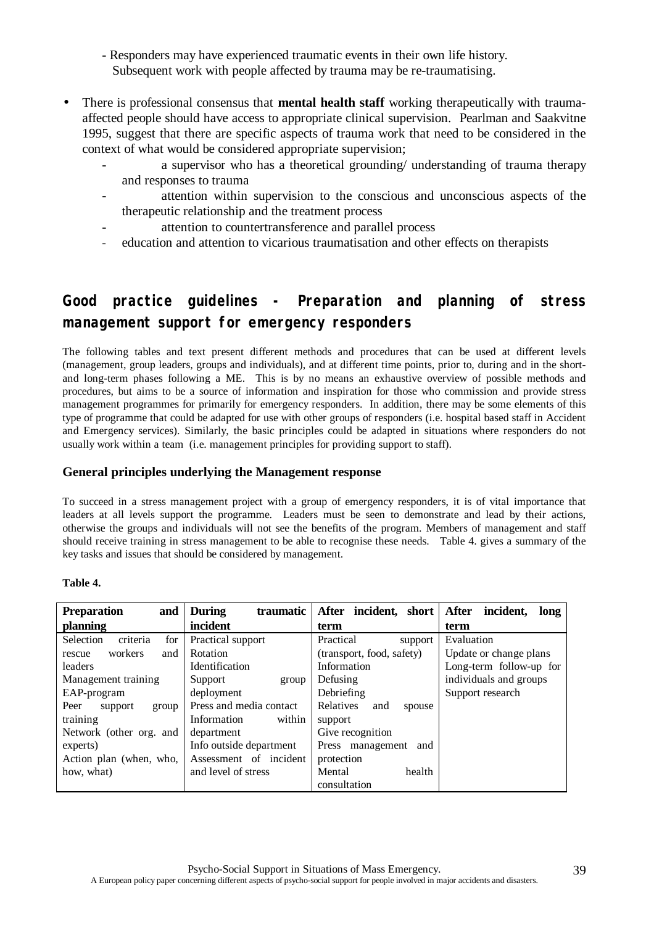- Responders may have experienced traumatic events in their own life history. Subsequent work with people affected by trauma may be re-traumatising.
- There is professional consensus that **mental health staff** working therapeutically with traumaaffected people should have access to appropriate clinical supervision. Pearlman and Saakvitne 1995, suggest that there are specific aspects of trauma work that need to be considered in the context of what would be considered appropriate supervision;
	- a supervisor who has a theoretical grounding/ understanding of trauma therapy and responses to trauma
	- attention within supervision to the conscious and unconscious aspects of the therapeutic relationship and the treatment process
	- attention to countertransference and parallel process
	- education and attention to vicarious traumatisation and other effects on therapists

# **Good practice guidelines - Preparation and planning of stress management support for emergency responders**

The following tables and text present different methods and procedures that can be used at different levels (management, group leaders, groups and individuals), and at different time points, prior to, during and in the shortand long-term phases following a ME. This is by no means an exhaustive overview of possible methods and procedures, but aims to be a source of information and inspiration for those who commission and provide stress management programmes for primarily for emergency responders. In addition, there may be some elements of this type of programme that could be adapted for use with other groups of responders (i.e. hospital based staff in Accident and Emergency services). Similarly, the basic principles could be adapted in situations where responders do not usually work within a team (i.e. management principles for providing support to staff).

### **General principles underlying the Management response**

To succeed in a stress management project with a group of emergency responders, it is of vital importance that leaders at all levels support the programme. Leaders must be seen to demonstrate and lead by their actions, otherwise the groups and individuals will not see the benefits of the program. Members of management and staff should receive training in stress management to be able to recognise these needs. Table 4. gives a summary of the key tasks and issues that should be considered by management.

#### **Table 4.**

| <b>Preparation</b><br>and    | traumatic<br><b>During</b> | After incident, short      | After<br>incident,<br>long |
|------------------------------|----------------------------|----------------------------|----------------------------|
| planning                     | incident                   | term                       | term                       |
| criteria<br>Selection<br>for | Practical support          | Practical<br>support       | Evaluation                 |
| workers<br>and<br>rescue     | Rotation                   | (transport, food, safety)  | Update or change plans     |
| leaders                      | <b>Identification</b>      | Information                | Long-term follow-up for    |
| Management training          | Support<br>group           | Defusing                   | individuals and groups     |
| EAP-program                  | deployment                 | Debriefing                 | Support research           |
| Peer<br>support<br>group     | Press and media contact    | Relatives<br>and<br>spouse |                            |
| training                     | within<br>Information      | support                    |                            |
| Network (other org. and      | department                 | Give recognition           |                            |
| experts)                     | Info outside department    | Press management<br>and    |                            |
| Action plan (when, who,      | Assessment of incident     | protection                 |                            |
| how, what)                   | and level of stress        | Mental<br>health           |                            |
|                              |                            | consultation               |                            |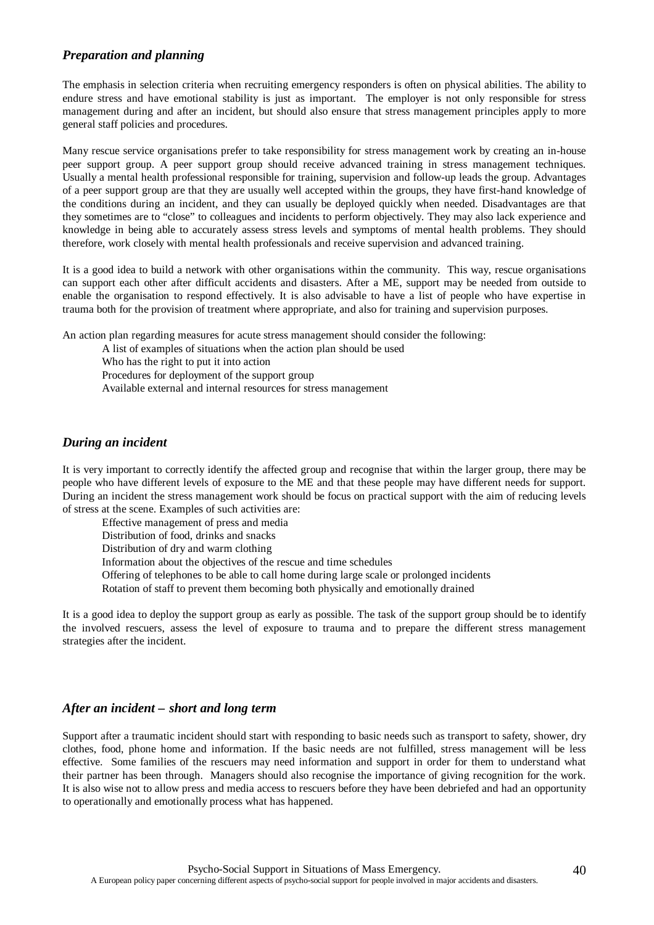#### *Preparation and planning*

The emphasis in selection criteria when recruiting emergency responders is often on physical abilities. The ability to endure stress and have emotional stability is just as important. The employer is not only responsible for stress management during and after an incident, but should also ensure that stress management principles apply to more general staff policies and procedures.

Many rescue service organisations prefer to take responsibility for stress management work by creating an in-house peer support group. A peer support group should receive advanced training in stress management techniques. Usually a mental health professional responsible for training, supervision and follow-up leads the group. Advantages of a peer support group are that they are usually well accepted within the groups, they have first-hand knowledge of the conditions during an incident, and they can usually be deployed quickly when needed. Disadvantages are that they sometimes are to "close" to colleagues and incidents to perform objectively. They may also lack experience and knowledge in being able to accurately assess stress levels and symptoms of mental health problems. They should therefore, work closely with mental health professionals and receive supervision and advanced training.

It is a good idea to build a network with other organisations within the community. This way, rescue organisations can support each other after difficult accidents and disasters. After a ME, support may be needed from outside to enable the organisation to respond effectively. It is also advisable to have a list of people who have expertise in trauma both for the provision of treatment where appropriate, and also for training and supervision purposes.

An action plan regarding measures for acute stress management should consider the following:

A list of examples of situations when the action plan should be used

Who has the right to put it into action

Procedures for deployment of the support group

Available external and internal resources for stress management

#### *During an incident*

It is very important to correctly identify the affected group and recognise that within the larger group, there may be people who have different levels of exposure to the ME and that these people may have different needs for support. During an incident the stress management work should be focus on practical support with the aim of reducing levels of stress at the scene. Examples of such activities are:

Effective management of press and media Distribution of food, drinks and snacks Distribution of dry and warm clothing Information about the objectives of the rescue and time schedules Offering of telephones to be able to call home during large scale or prolonged incidents Rotation of staff to prevent them becoming both physically and emotionally drained

It is a good idea to deploy the support group as early as possible. The task of the support group should be to identify the involved rescuers, assess the level of exposure to trauma and to prepare the different stress management strategies after the incident.

#### *After an incident – short and long term*

Support after a traumatic incident should start with responding to basic needs such as transport to safety, shower, dry clothes, food, phone home and information. If the basic needs are not fulfilled, stress management will be less effective. Some families of the rescuers may need information and support in order for them to understand what their partner has been through. Managers should also recognise the importance of giving recognition for the work. It is also wise not to allow press and media access to rescuers before they have been debriefed and had an opportunity to operationally and emotionally process what has happened.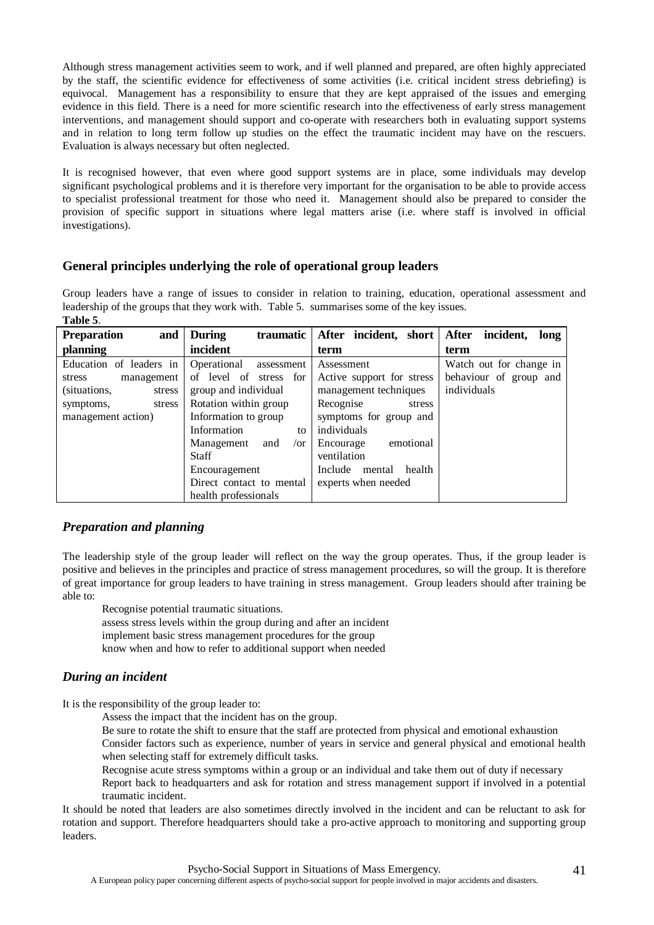Although stress management activities seem to work, and if well planned and prepared, are often highly appreciated by the staff, the scientific evidence for effectiveness of some activities (i.e. critical incident stress debriefing) is equivocal. Management has a responsibility to ensure that they are kept appraised of the issues and emerging evidence in this field. There is a need for more scientific research into the effectiveness of early stress management interventions, and management should support and co-operate with researchers both in evaluating support systems and in relation to long term follow up studies on the effect the traumatic incident may have on the rescuers. Evaluation is always necessary but often neglected.

It is recognised however, that even where good support systems are in place, some individuals may develop significant psychological problems and it is therefore very important for the organisation to be able to provide access to specialist professional treatment for those who need it. Management should also be prepared to consider the provision of specific support in situations where legal matters arise (i.e. where staff is involved in official investigations).

### **General principles underlying the role of operational group leaders**

Group leaders have a range of issues to consider in relation to training, education, operational assessment and leadership of the groups that they work with. Table 5. summarises some of the key issues. **Table 5**.

| and<br><b>Preparation</b> | <b>During</b><br>traumatic    | After incident, short After incident, | long                    |
|---------------------------|-------------------------------|---------------------------------------|-------------------------|
| planning                  | incident                      | term                                  | term                    |
| Education of leaders in   | Operational<br>assessment     | Assessment                            | Watch out for change in |
| management<br>stress      | of level of stress for        | Active support for stress             | behaviour of group and  |
| (situations,<br>stress    | group and individual          | management techniques                 | individuals             |
| symptoms,<br>stress       | Rotation within group         | Recognise<br>stress                   |                         |
| management action)        | Information to group          | symptoms for group and                |                         |
|                           | Information<br>to             | individuals                           |                         |
|                           | and<br>Management<br>$\sigma$ | emotional<br>Encourage                |                         |
|                           | Staff                         | ventilation                           |                         |
|                           | Encouragement                 | Include<br>health<br>mental           |                         |
|                           | Direct contact to mental      | experts when needed                   |                         |
|                           | health professionals          |                                       |                         |

#### *Preparation and planning*

The leadership style of the group leader will reflect on the way the group operates. Thus, if the group leader is positive and believes in the principles and practice of stress management procedures, so will the group. It is therefore of great importance for group leaders to have training in stress management. Group leaders should after training be able to:

Recognise potential traumatic situations.

assess stress levels within the group during and after an incident implement basic stress management procedures for the group know when and how to refer to additional support when needed

### *During an incident*

It is the responsibility of the group leader to:

Assess the impact that the incident has on the group.

Be sure to rotate the shift to ensure that the staff are protected from physical and emotional exhaustion Consider factors such as experience, number of years in service and general physical and emotional health when selecting staff for extremely difficult tasks.

Recognise acute stress symptoms within a group or an individual and take them out of duty if necessary

Report back to headquarters and ask for rotation and stress management support if involved in a potential traumatic incident.

It should be noted that leaders are also sometimes directly involved in the incident and can be reluctant to ask for rotation and support. Therefore headquarters should take a pro-active approach to monitoring and supporting group leaders.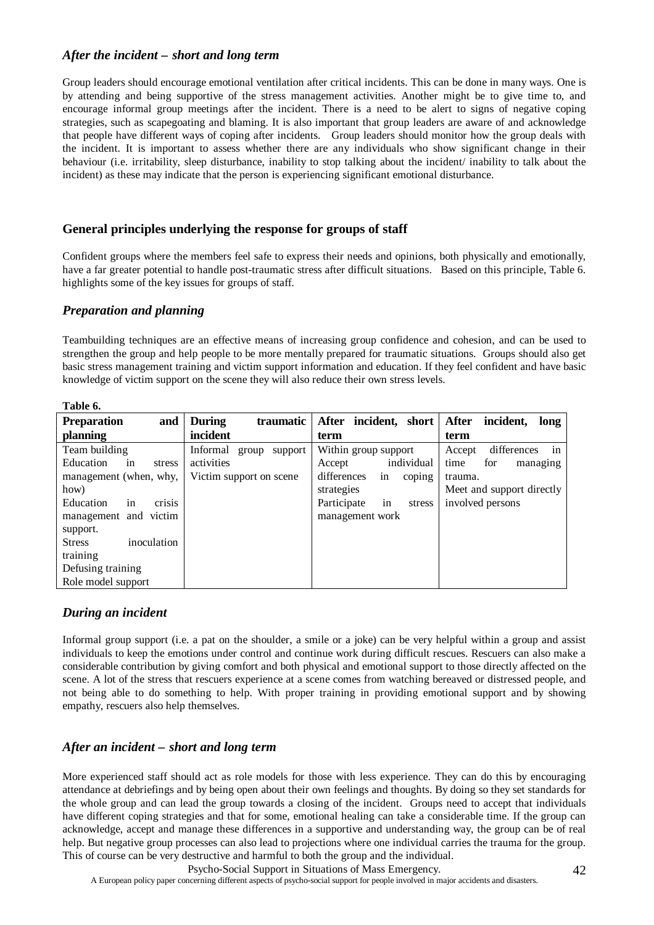#### *After the incident – short and long term*

Group leaders should encourage emotional ventilation after critical incidents. This can be done in many ways. One is by attending and being supportive of the stress management activities. Another might be to give time to, and encourage informal group meetings after the incident. There is a need to be alert to signs of negative coping strategies, such as scapegoating and blaming. It is also important that group leaders are aware of and acknowledge that people have different ways of coping after incidents. Group leaders should monitor how the group deals with the incident. It is important to assess whether there are any individuals who show significant change in their behaviour (i.e. irritability, sleep disturbance, inability to stop talking about the incident/ inability to talk about the incident) as these may indicate that the person is experiencing significant emotional disturbance.

#### **General principles underlying the response for groups of staff**

Confident groups where the members feel safe to express their needs and opinions, both physically and emotionally, have a far greater potential to handle post-traumatic stress after difficult situations. Based on this principle, Table 6. highlights some of the key issues for groups of staff.

#### *Preparation and planning*

Teambuilding techniques are an effective means of increasing group confidence and cohesion, and can be used to strengthen the group and help people to be more mentally prepared for traumatic situations. Groups should also get basic stress management training and victim support information and education. If they feel confident and have basic knowledge of victim support on the scene they will also reduce their own stress levels.

| Table 6.                              |                              |                             |                                   |
|---------------------------------------|------------------------------|-----------------------------|-----------------------------------|
| and<br><b>Preparation</b>             | <b>During</b><br>traumatic   | After incident, short       | <b>After</b><br>incident,<br>long |
| planning                              | incident                     | term                        | term                              |
| Team building                         | Informal<br>support<br>group | Within group support        | differences<br>Accept<br>in       |
| Education<br>stress<br><sub>1</sub> n | activities                   | individual<br>Accept        | for<br>time<br>managing           |
| management (when, why,                | Victim support on scene      | differences<br>in<br>coping | trauma.                           |
| how)                                  |                              | strategies                  | Meet and support directly         |
| crisis<br>Education<br><sub>1</sub> n |                              | Participate<br>stress<br>in | involved persons                  |
| management and victim                 |                              | management work             |                                   |
| support.                              |                              |                             |                                   |
| inoculation<br><b>Stress</b>          |                              |                             |                                   |
| training                              |                              |                             |                                   |
| Defusing training                     |                              |                             |                                   |
| Role model support                    |                              |                             |                                   |

#### *During an incident*

Informal group support (i.e. a pat on the shoulder, a smile or a joke) can be very helpful within a group and assist individuals to keep the emotions under control and continue work during difficult rescues. Rescuers can also make a considerable contribution by giving comfort and both physical and emotional support to those directly affected on the scene. A lot of the stress that rescuers experience at a scene comes from watching bereaved or distressed people, and not being able to do something to help. With proper training in providing emotional support and by showing empathy, rescuers also help themselves.

### *After an incident – short and long term*

More experienced staff should act as role models for those with less experience. They can do this by encouraging attendance at debriefings and by being open about their own feelings and thoughts. By doing so they set standards for the whole group and can lead the group towards a closing of the incident. Groups need to accept that individuals have different coping strategies and that for some, emotional healing can take a considerable time. If the group can acknowledge, accept and manage these differences in a supportive and understanding way, the group can be of real help. But negative group processes can also lead to projections where one individual carries the trauma for the group. This of course can be very destructive and harmful to both the group and the individual.

A European policy paper concerning different aspects of psycho-social support for people involved in major accidents and disasters.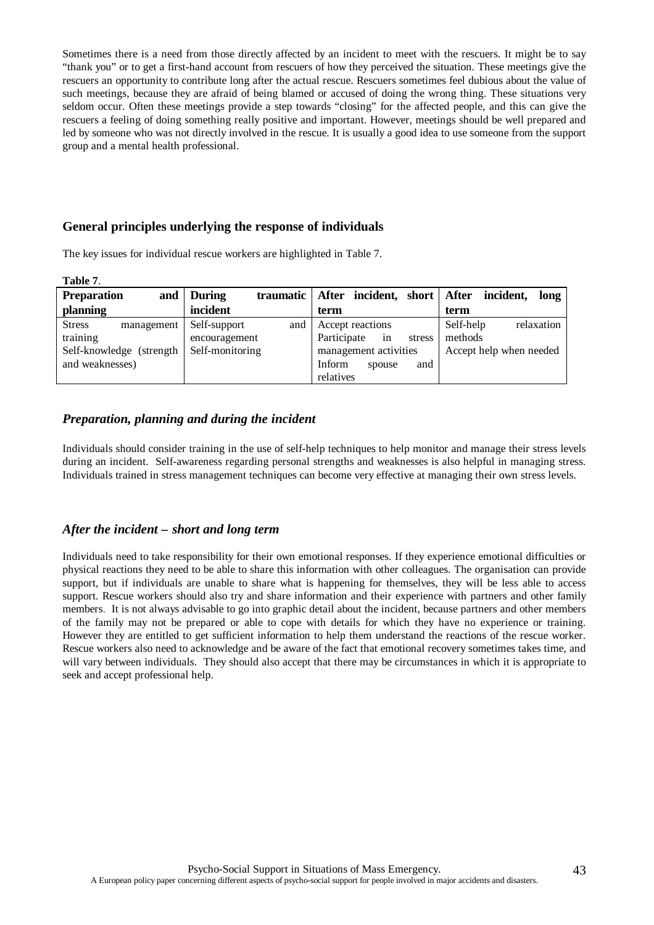Sometimes there is a need from those directly affected by an incident to meet with the rescuers. It might be to say "thank you" or to get a first-hand account from rescuers of how they perceived the situation. These meetings give the rescuers an opportunity to contribute long after the actual rescue. Rescuers sometimes feel dubious about the value of such meetings, because they are afraid of being blamed or accused of doing the wrong thing. These situations very seldom occur. Often these meetings provide a step towards "closing" for the affected people, and this can give the rescuers a feeling of doing something really positive and important. However, meetings should be well prepared and led by someone who was not directly involved in the rescue. It is usually a good idea to use someone from the support group and a mental health professional.

#### **General principles underlying the response of individuals**

The key issues for individual rescue workers are highlighted in Table 7.

| таніс І.                    |                           |                             |                         |
|-----------------------------|---------------------------|-----------------------------|-------------------------|
| <b>Preparation</b>          | and   During<br>traumatic | After incident, short After | incident,<br>long       |
| planning                    | incident                  | term                        | term                    |
| <b>Stress</b><br>management | Self-support<br>and       | Accept reactions            | Self-help<br>relaxation |
| training                    | encouragement             | Participate<br>in<br>stress | methods                 |
| Self-knowledge (strength)   | Self-monitoring           | management activities       | Accept help when needed |
| and weaknesses)             |                           | Inform<br>and<br>spouse     |                         |
|                             |                           | relatives                   |                         |

#### *Preparation, planning and during the incident*

**Table 7**.

Individuals should consider training in the use of self-help techniques to help monitor and manage their stress levels during an incident. Self-awareness regarding personal strengths and weaknesses is also helpful in managing stress. Individuals trained in stress management techniques can become very effective at managing their own stress levels.

#### *After the incident – short and long term*

Individuals need to take responsibility for their own emotional responses. If they experience emotional difficulties or physical reactions they need to be able to share this information with other colleagues. The organisation can provide support, but if individuals are unable to share what is happening for themselves, they will be less able to access support. Rescue workers should also try and share information and their experience with partners and other family members. It is not always advisable to go into graphic detail about the incident, because partners and other members of the family may not be prepared or able to cope with details for which they have no experience or training. However they are entitled to get sufficient information to help them understand the reactions of the rescue worker. Rescue workers also need to acknowledge and be aware of the fact that emotional recovery sometimes takes time, and will vary between individuals. They should also accept that there may be circumstances in which it is appropriate to seek and accept professional help.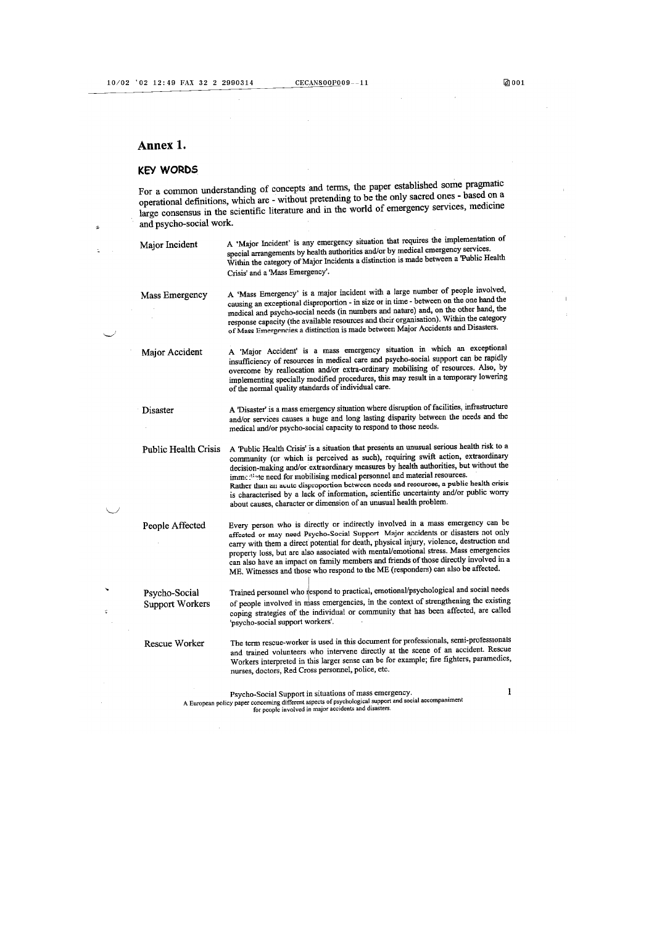#### Annex 1.

#### **KEY WORDS**

For a common understanding of concepts and terms, the paper established some pragmatic operational definitions, which are - without pretending to be the only sacred ones - based on a large consensus in the scientific literature and in the world of emergency services, medicine and psycho-social work.

Major Incident

A 'Major Incident' is any emergency situation that requires the implementation of special arrangements by health authorities and/or by medical emergency services.<br>Within the category of Major Incidents a distinction is made between a Public Health Crisis' and a 'Mass Emergency'.

A 'Mass Emergency' is a major incident with a large number of people involved, Mass Emergency causing an exceptional disproportion - in size or in time - between on the one hand the medical and psycho-social needs (in numbers and nature) and, on the other hand, the response capacity (the available resources and their organisation). Within the category of Mass Emergencies a distinction is made between Major Accidents and Disasters.

A 'Major Accident' is a mass emergency situation in which an exceptional Major Accident insufficiency of resources in medical care and psycho-social support can be rapidly overcome by reallocation and/or extra-ordinary mobilising of resources. Also, by implementing specially modified procedures, this may result in a temporary lowering of the normal quality standards of individual care.

A 'Disaster' is a mass emergency situation where disruption of facilities, infrastructure Disaster and/or services causes a huge and long lasting disparity between the needs and the medical and/or psycho-social capacity to respond to those needs.

Public Health Crisis A 'Public Health Crisis' is a situation that presents an unusual serious health risk to a community (or which is perceived as such), requiring swift action, extraordinary decision-making and/or extraordinary measures by health authorities, but without the immediate need for mobilising medical personnel and material resources. Rather than an acute disproportion between needs and resources, a public health crisis is characterised by a lack of information, scientific uncertainty and/or public worry about causes, character or dimension of an unusual health problem. Every person who is directly or indirectly involved in a mass emergency can be People Affected

affected or may need Psycho-Social Support. Major accidents or disasters not only carry with them a direct potential for death, physical injury, violence, destruction and property loss, but are also associated with mental/emotional stress. Mass emergencies can also have an impact on family members and friends of those directly involved in a ME. Witnesses and those who respond to the ME (responders) can also be affected.

Trained personnel who respond to practical, emotional/psychological and social needs Psycho-Social of people involved in mass emergencies, in the context of strengthening the existing **Support Workers** coping strategies of the individual or community that has been affected, are called 'psycho-social support workers'.

Rescue Worker

The term rescue-worker is used in this document for professionals, semi-professionals and trained volunteers who intervene directly at the scene of an accident. Rescue Workers interpreted in this larger sense can be for example; fire fighters, paramedics, nurses, doctors, Red Cross personnel, police, etc.

Psycho-Social Support in situations of mass emergency. A Symbological support and social accompaniment<br>A European policy paper concerning different aspects of psychological support and social accompaniment<br>for people involved in major accidents and disasters.  $\mathbf{1}$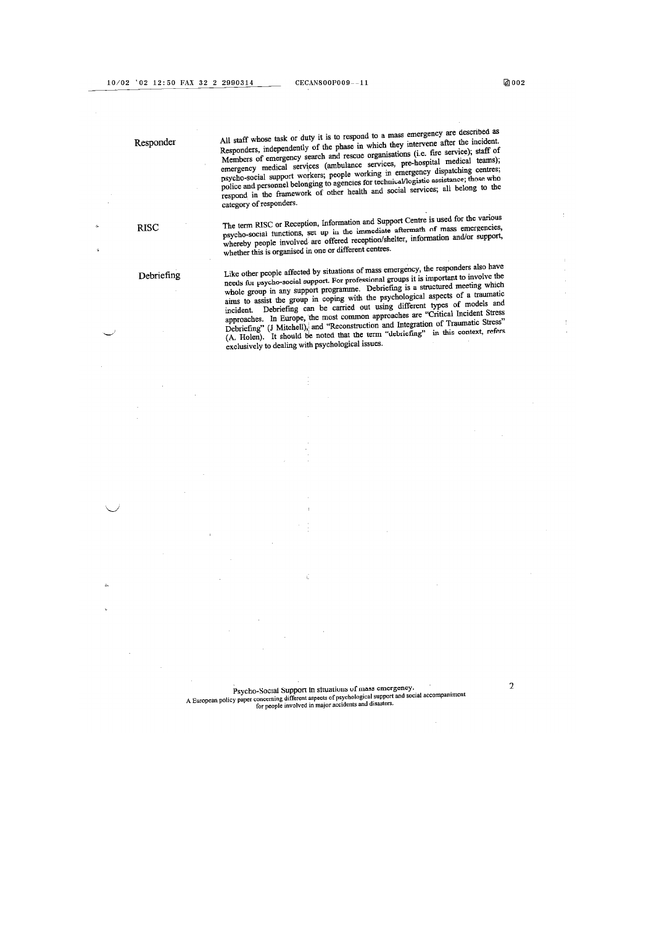All staff whose task or duty it is to respond to a mass emergency are described as Responders, independently of the phase in which they intervene after the incident. Members of emergency search and rescue organisations (i.e. fire service); staff of<br>Members of emergency search and rescue organisations (i.e. fire service); staff of Members of emergency search and rescue organisations (i.e. the service), start of emergency medical services (ambulance services, pre-hospital medical teams); psycho-social support workers; people working in emergency disp category of responders.

The term RISC or Reception, Information and Support Centre is used for the various paycho-social functions, set up in the immediate aftermath of mass emergencies, whereby people involved are offered reception/shelter, information and/or support, whether this is organised in one or different centres.

#### Debriefing

**RISC** 

Responder

Like other people affected by situations of mass emergency, the responders also have may other proper ancores by minimized or time emergency, as responses are needs for psycho-social support. For professional groups it is important to involve the whole group in any support programme. Debriefing is a struct whole group in any support programme. Locations is a subcattle fire at traumatic aims to assist the group in coping with the psychological aspects of a traumatic incident. Debriefing can be carried out using different types of models and approaches. In Europe, the most common approaches are "Critical Incident Stress Debriefing" (J Mitchell), and "Reconstruction and Integration of Traumatic Stress"<br>(A. Holen). It should be noted that the term "debriefing" in this context, refers exclusively to dealing with psychological issues.

Psycho-Social Support in situations of mass emergency.<br>A European policy paper concerning different aspects of psychological support and social accompaniment<br>for people involved in major accidents and disasters.

 $\overline{2}$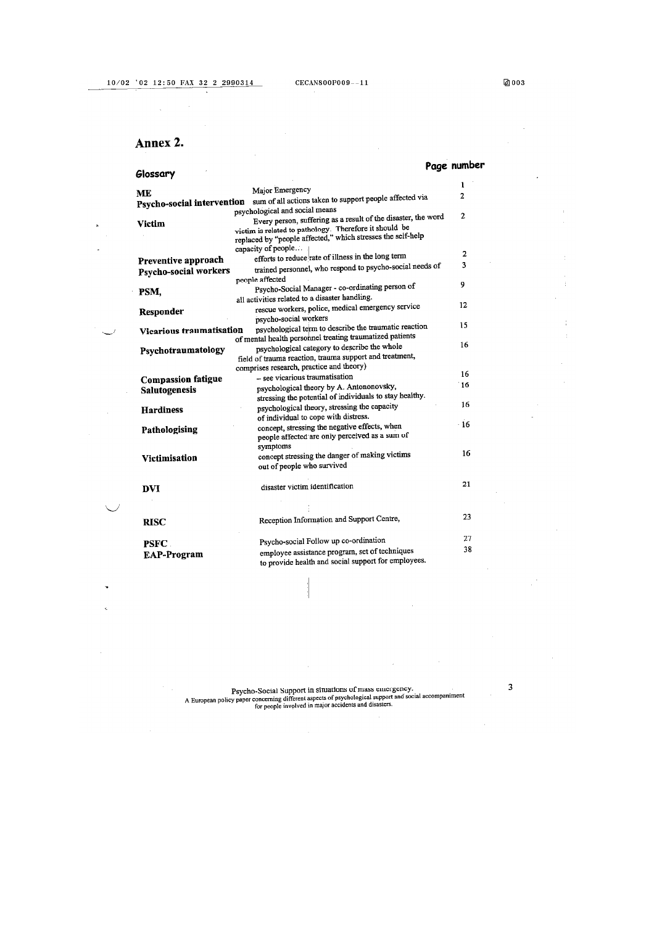#### Annex 2.

#### Page number Glossary  $\mathbf{1}$ Major Emergency ME Psycho-social intervention sum of all actions taken to support people affected via  $\overline{2}$ psychological and social means Every person, suffering as a result of the disaster, the word  $\overline{2}$ Victim victim is related to pathology. Therefore it should be<br>replaced by "people affected," which stresses the self-help capacity of people... efforts to reduce rate of illness in the long term  $\overline{2}$ Preventive approach  $\overline{\mathbf{3}}$ trained personnel, who respond to psycho-social needs of Psycho-social workers people affected  $\overline{9}$ Psycho-Social Manager - co-ordinating person of PSM, all activities related to a disaster handling.  $12 \text{ }$ rescue workers, police, medical emergency service Responder psycho-social workers psychological term to describe the traumatic reaction 15 Vicarious traumatisation of mental health personnel treating traumatized patients psychological category to describe the whole 16 Psychotraumatology field of trauma reaction, trauma support and treatment, comprises research, practice and theory) 16 - see vicarious traumatisation **Compassion fatigue** psychological theory by A. Antononovsky, 16 Salutogenesis stressing the potential of individuals to stay healthy.  $16$ psychological theory, stressing the capacity **Hardiness** of individual to cope with distress. concept, stressing the negative effects, when  $16$ Pathologising people affected are only perceived as a sum of symptoms  $16$ concept stressing the danger of making victims Victimisation out of people who survived  $\bf 21$ disaster victim identification **DVI** Reception Information and Support Centre, 23 **RISC**  $27$ Psycho-social Follow up co-ordination **PSFC** 38 employee assistance program, set of techniques **EAP-Program** to provide health and social support for employees.

Psycho-Social Support in situations of mass emergency. A Buropean policy paper concerning different aspects of psychological support and social accompaniment<br>for people involved in major accidents and disasters.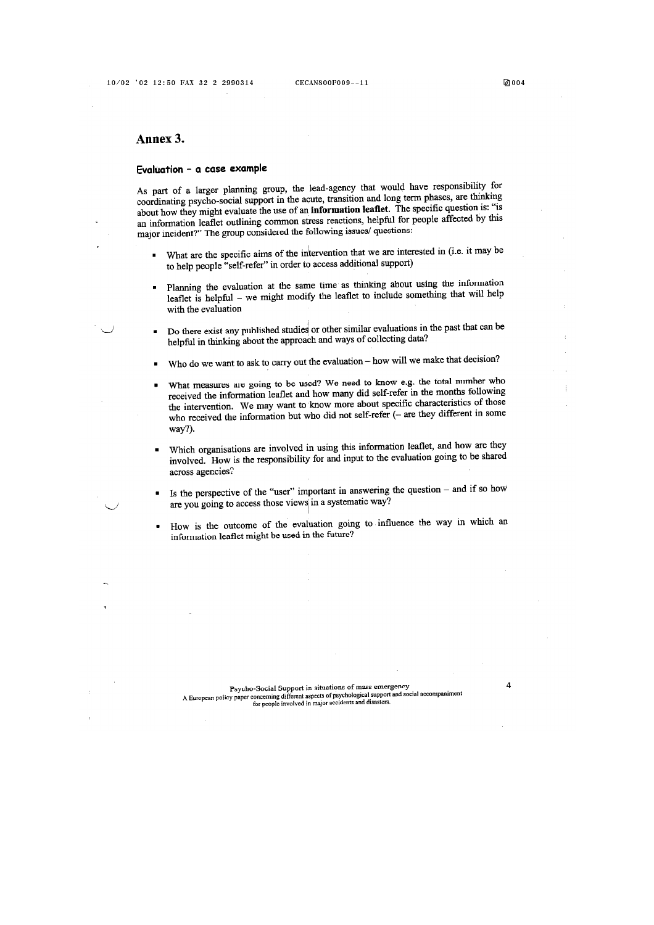$\overline{4}$ 

#### Annex 3.

#### Evaluation - a case example

As part of a larger planning group, the lead-agency that would have responsibility for coordinating psycho-social support in the acute, transition and long term phases, are thinking about how they might evaluate the use of an information leaflet. The specific question is: "is an information leaflet outlining common stress reactions, helpful for people affected by this major incident?" The group considered the following issues/ questions:

- What are the specific aims of the intervention that we are interested in (i.e. it may be to help people "self-refer" in order to access additional support)
- Planning the evaluation at the same time as thinking about using the information  $\blacksquare$ leaflet is helpful - we might modify the leaflet to include something that will help with the evaluation
- Do there exist any published studies or other similar evaluations in the past that can be × helpful in thinking about the approach and ways of collecting data?
- Who do we want to ask to carry out the evaluation how will we make that decision?
- What measures are going to be used? We need to know e.g. the total number who received the information leaflet and how many did self-refer in the months following the intervention. We may want to know more about specific characteristics of those who received the information but who did not self-refer (- are they different in some way?).
- Which organisations are involved in using this information leaflet, and how are they involved. How is the responsibility for and input to the evaluation going to be shared across agencies?
- Is the perspective of the "user" important in answering the question and if so how are you going to access those views in a systematic way?
- How is the outcome of the evaluation going to influence the way in which an information leaflet might be used in the future?

Psycho-Social Support in situations of mass emergency. A dysolomorrow at Dupport in Structures of Higgs CHE grincy.<br>A European policy paper concerning different aspects of psychological support and social accompaniment<br>for people involved in major accidents and disasters.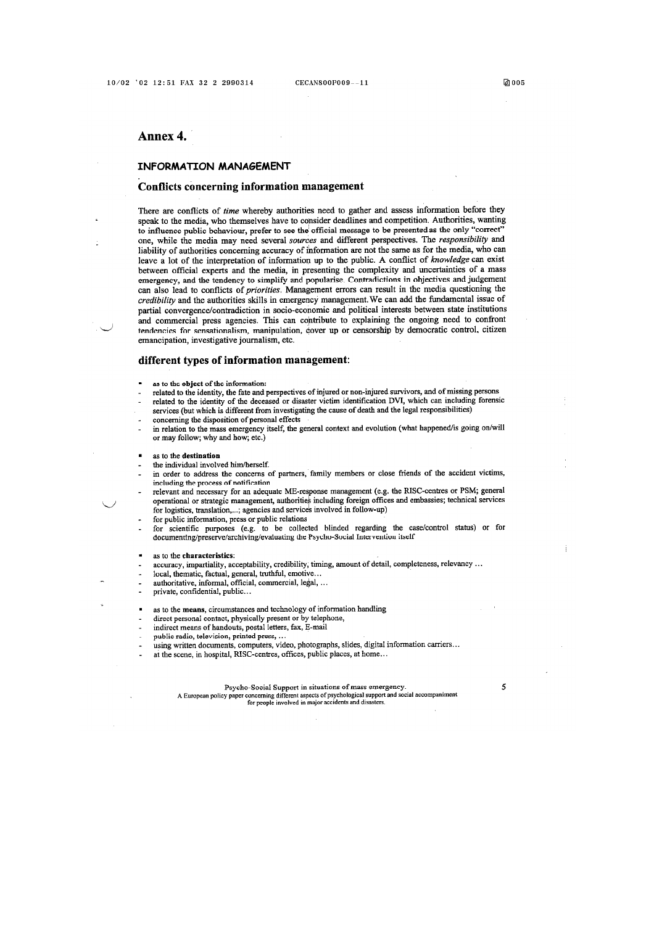#### Annex 4.

#### INFORMATION MANAGEMENT

#### Conflicts concerning information management

There are conflicts of time whereby authorities need to gather and assess information before they speak to the media, who themselves have to consider deadlines and competition. Authorities, wanting to influence public behaviour, prefer to see the official message to be presented as the only "correct" one, while the media may need several sources and different perspectives. The responsibility and liability of authorities concerning accuracy of information are not the same as for the media, who can leave a lot of the interpretation of information up to the public. A conflict of knowledge can exist between official experts and the media, in presenting the complexity and uncertainties of a mass emergency, and the tendency to simplify and popularise. Contradictions in objectives and judgement can also lead to conflicts of *priorities*. Management errors can result in the media questioning the credibility and the authorities skills in emergency management. We can add the fundamental issue of partial convergence/contradiction in socio-economic and political interests between state institutions and commercial press agencies. This can contribute to explaining the ongoing need to confront tendencies for sensationalism, manipulation, cover up or censorship by democratic control, citizen emancipation, investigative journalism, etc.

#### different types of information management:

- as to the object of the information:
- related to the identity, the fate and perspectives of injured or non-injured survivors, and of missing persons
- related to the identity of the deceased or disaster victim identification DVI, which can including forensic services (but which is different from investigating the cause of death and the legal responsibilities)
- concerning the disposition of personal effects
- in relation to the mass emergency itself, the general context and evolution (what happened/is going on/will or may follow; why and how; etc.)

#### as to the destination

- the individual involved him/herself.
- in order to address the concerns of partners, family members or close friends of the accident victims, including the process of notification
- relevant and necessary for an adequate ME-response management (e.g. the RISC-centres or PSM; general operational or strategic management, authorities including foreign offices and embassies; technical services for logistics, translation,...; agencies and services involved in follow-up)

for public information, press or public relations

for scientific purposes (e.g. to be collected blinded regarding the case/control status) or for documenting/preserve/archiving/evaluating the Psycho-Social Intervention itself

as to the characteristics:

- accuracy, impartiality, acceptability, credibility, timing, amount of detail, completeness, relevancy ...
- local, thematic, factual, general, truthful, emotive...
- authoritative, informal, official, commercial, legal, ...

private, confidential, public...

- as to the means, circumstances and technology of information handling
- direct personal contact, physically present or by telephone,
- indirect means of handouts, postal letters, fax, E-mail
- 
- public radio, television, printed press, ...<br>using written documents, computers, video, photographs, slides, digital information carriers...
- at the scene, in hospital, RISC-centres, offices, public places, at home...

Psycho-Social Support in situations of mass emergency. A European policy paper concerning different aspects of psychological support and social accompaniment for people involved in major accidents and disasters.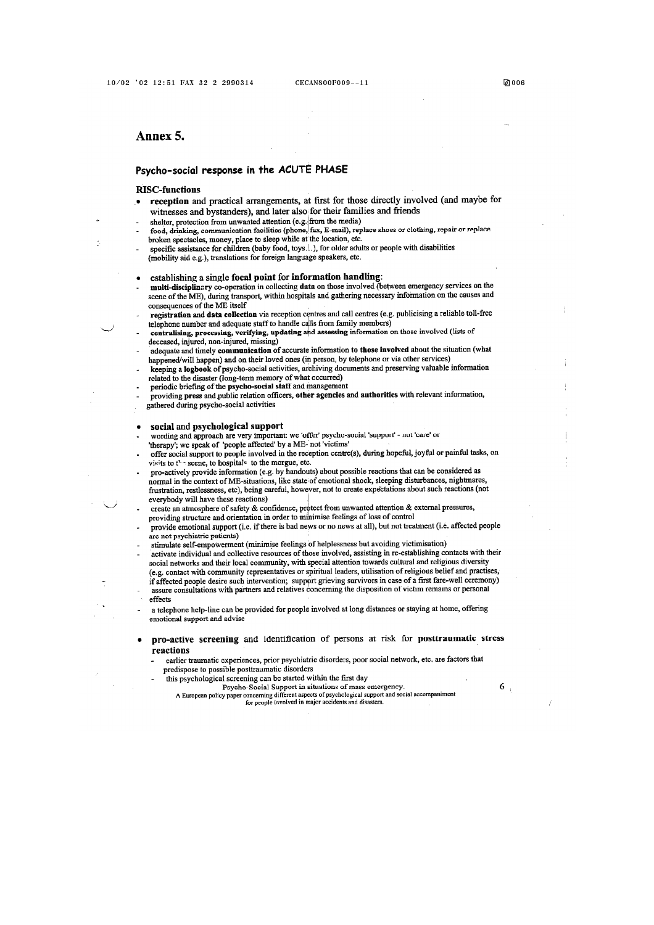#### Annex 5.

#### Psycho-social response in the ACUTE PHASE

#### **RISC-functions**

- reception and practical arrangements, at first for those directly involved (and maybe for witnesses and bystanders), and later also for their families and friends
- shelter, protection from unwanted attention (e.g. from the media)
- food, drinking, communication facilities (phone, fax, E-mail), replace shoes or clothing, repair or replace<br>broken spectacles, money, place to sleep while at the location, etc.
- specific assistance for children (baby food, toys. .. ), for older adults or people with disabilities (mobility aid e.g.), translations for foreign language speakers, etc.

#### establishing a single focal point for information handling:

- multi-disciplinary co-operation in collecting data on those involved (between emergency services on the scene of the ME), during transport, within hospitals and gathering necessary information on the causes and consequences of the ME itself
- registration and data collection via reception centres and call centres (e.g. publicising a reliable toll-free telephone number and adequate staff to handle calls from family members)
- centralising, processing, verifying, updating and assessing information on those involved (lists of deceased, injured, non-injured, missing)
- adequate and timely communication of accurate information to those involved about the situation (what happened/will happen) and on their loved ones (in person, by telephone or via other services)<br>keeping a logbook of psycho-social activities, archiving documents and preserving valuable information
- Architectured to the disaster (long-term memory of what occurred)<br>periodic briefing of the psycho-social staff and management
- 
- providing press and public relation officers, other agencies and authorities with relevant information, gathered during psycho-social activities

#### social and psychological support

- wording and approach are very important: we 'offer' psycho-social 'support' not 'care' or 'therapy'; we speak of 'people affected' by a ME- not 'victims'
- offer social support to people involved in the reception centre(s), during hopeful, joyful or painful tasks, on visits to the scene, to hospitals to the morgue, etc.
- pro-actively provide information (e.g. by handouts) about possible reactions that can be considered as normal in the context of ME-situations, like state of emotional shock, sleeping disturbances, nightmares, frustration, restlessness, etc), being careful, however, not to create expectations about such reactions (not everybody will have these reactions)
- create an atmosphere of safety & confidence, protect from unwanted attention & external pressures, providing structure and orientation in order to minimise feelings of loss of control
- provide emotional support (i.e. if there is bad news or no news at all), but not treatment (i.e. affected people are not psychiatric patients)
- stimulate self-empowerment (minimise feelings of helplessness but avoiding victimisation)
- activate individual and collective resources of those involved, assisting in re-establishing contacts with their social networks and their local community, with special attention towards cultural and religious diversity (e.g. contact with community representatives or spiritual leaders, utilisation of religious belief and practises,
- (e.g. contact that containing the term only of the state of a first fare-well ceremony)<br>assure consultations with partners and relatives concerning the disposition of victim remains or personal effects
- a telephone help-line can be provided for people involved at long distances or staying at home, offering emotional support and advise
- pro-active screening and identification of persons at risk for posttraumatic stress reactions
	- earlier traumatic experiences, prior psychiatric disorders, poor social network, etc. are factors that predispose to possible posttraumatic disorders
	- this psychological screening can be started within the first day
		- Prysual Paycho-Social Support in situations of mass emergency.<br>A European policy paper concerning different aspects of psychological support and social accompaniment for people involved in major accidents and disasters.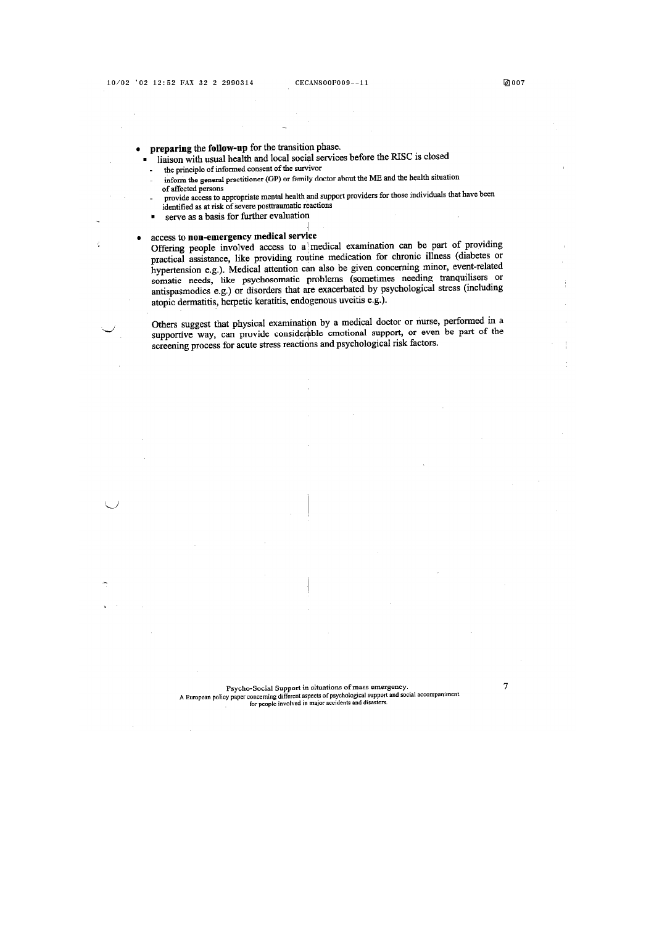ś

- preparing the follow-up for the transition phase.  $\bullet$ 
	- liaison with usual health and local social services before the RISC is closed the principle of informed consent of the survivor
	- inform the general practitioner (GP) or family doctor about the ME and the health situation  $\overline{\phantom{a}}$ of affected persons
	- provide access to appropriate mental health and support providers for those individuals that have been identified as at risk of severe posttraumatic reactions
	- serve as a basis for further evaluation ×

#### access to non-emergency medical service

Offering people involved access to a medical examination can be part of providing practical assistance, like providing routine medication for chronic illness (diabetes or hypertension e.g.). Medical attention can also be given concerning minor, event-related somatic needs, like psychosomatic problems (sometimes needing tranquilisers or antispasmodics e.g.) or disorders that are exacerbated by psychological stress (including atopic dermatitis, herpetic keratitis, endogenous uveitis e.g.).

Others suggest that physical examination by a medical doctor or nurse, performed in a supportive way, can provide considerable emotional support, or even be part of the screening process for acute stress reactions and psychological risk factors.

Psycho-Social Support in situations of mass emergency.<br>A European policy paper concerning different aspects of psychological support and social accompaniment<br>for people involved in major accidents and disasters.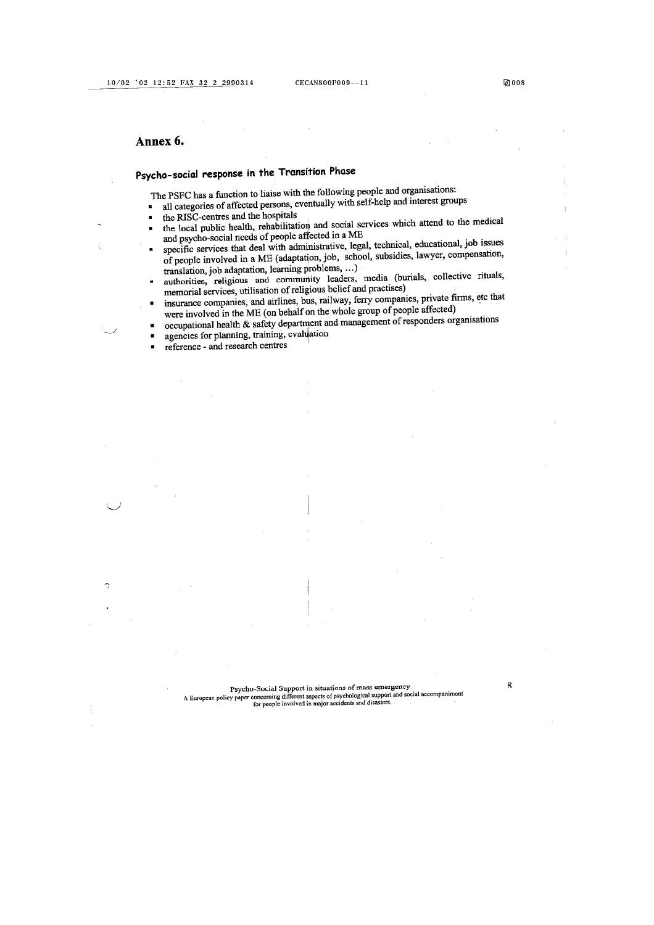#### Annex 6.

×

 $\sim$  .

# Psycho-social response in the Transition Phase

The PSFC has a function to liaise with the following people and organisations:

- all categories of affected persons, eventually with self-help and interest groups
- the RISC-centres and the hospitals  $\blacksquare$
- the local public health, rehabilitation and social services which attend to the medical  $\blacksquare$ and psycho-social needs of people affected in a ME
- specific services that deal with administrative, legal, technical, educational, job issues × of people involved in a ME (adaptation, job, school, subsidies, lawyer, compensation, translation, job adaptation, learning problems, ...)
- authorities, religious and community leaders, media (burials, collective rituals, memorial services, utilisation of religious belief and practises)
- insurance companies, and airlines, bus, railway, ferry companies, private firms, etc that were involved in the ME (on behalf on the whole group of people affected)
- occupational health & safety department and management of responders organisations agencies for planning, training, evaluation  $\blacksquare$
- 
- reference and research centres  $\blacksquare$

8

团008

Psycho-Social Support in situations of mass emergency. A Symposium of the properties of mass emergency.<br>A European policy paper concerning different aspects of psychological support and social accompaniment<br>for people involved in major accidents and disasters.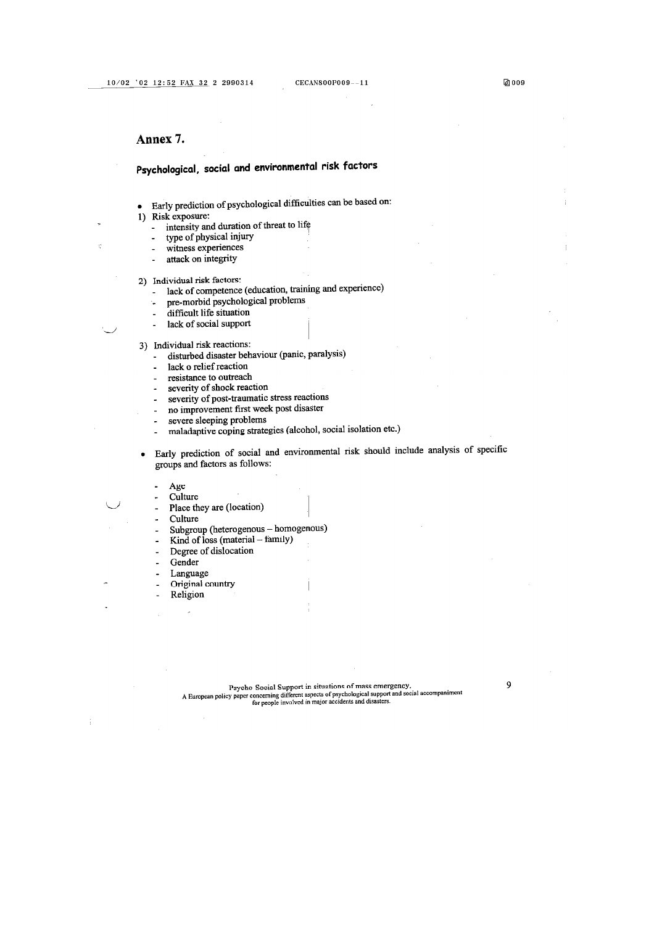9

#### Annex 7.

# Psychological, social and environmental risk factors

- Early prediction of psychological difficulties can be based on:
- 1) Risk exposure:

 $\overline{a}$ 

Ċ,

- intensity and duration of threat to life
- type of physical injury
- witness experiences  $\overline{a}$
- attack on integrity
- 2) Individual risk factors:
	- lack of competence (education, training and experience)  $\overline{a}$
	- pre-morbid psychological problems
	- difficult life situation  $\overline{a}$
	- lack of social support
- 3) Individual risk reactions:
	- disturbed disaster behaviour (panic, paralysis)
	- lack o relief reaction
	- resistance to outreach  $\overline{a}$
	- severity of shock reaction  $\overline{a}$
	- severity of post-traumatic stress reactions
	- no improvement first week post disaster  $\overline{a}$
	- severe sleeping problems  $\ddot{\phantom{a}}$ 
		- maladaptive coping strategies (alcohol, social isolation etc.)
- Early prediction of social and environmental risk should include analysis of specific  $\bullet$ groups and factors as follows:
	- Age
	- Culture
	- Place they are (location)
	- Culture
	- Subgroup (heterogenous homogenous)
	- Kind of loss (material family)
	- Degree of dislocation
	- Gender
	- Language
	- Original country
	- Religion

Psycho-Social Support in situations of mass emergency.<br>A European policy paper concerning different aspects of psychological support and social accompaniment<br>for people involved in major accidents and disasters.